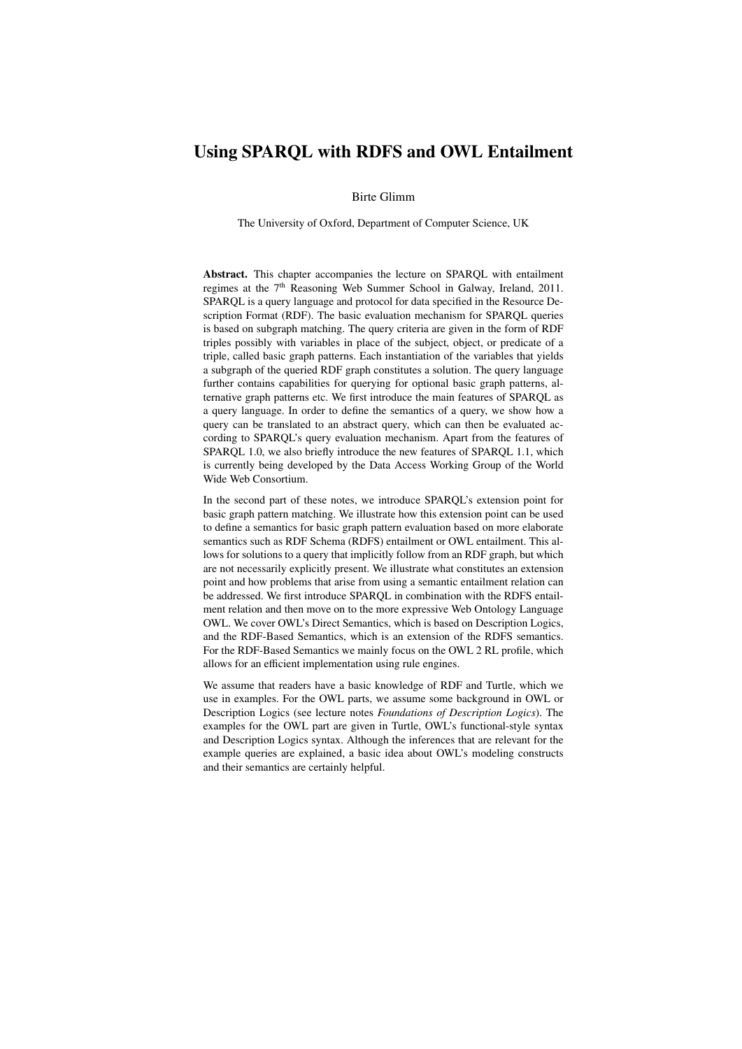# Using SPARQL with RDFS and OWL Entailment

Birte Glimm

The University of Oxford, Department of Computer Science, UK

Abstract. This chapter accompanies the lecture on SPARQL with entailment regimes at the 7<sup>th</sup> Reasoning Web Summer School in Galway, Ireland, 2011. SPARQL is a query language and protocol for data specified in the Resource Description Format (RDF). The basic evaluation mechanism for SPARQL queries is based on subgraph matching. The query criteria are given in the form of RDF triples possibly with variables in place of the subject, object, or predicate of a triple, called basic graph patterns. Each instantiation of the variables that yields a subgraph of the queried RDF graph constitutes a solution. The query language further contains capabilities for querying for optional basic graph patterns, alternative graph patterns etc. We first introduce the main features of SPARQL as a query language. In order to define the semantics of a query, we show how a query can be translated to an abstract query, which can then be evaluated according to SPARQL's query evaluation mechanism. Apart from the features of SPARQL 1.0, we also briefly introduce the new features of SPARQL 1.1, which is currently being developed by the Data Access Working Group of the World Wide Web Consortium.

In the second part of these notes, we introduce SPARQL's extension point for basic graph pattern matching. We illustrate how this extension point can be used to define a semantics for basic graph pattern evaluation based on more elaborate semantics such as RDF Schema (RDFS) entailment or OWL entailment. This allows for solutions to a query that implicitly follow from an RDF graph, but which are not necessarily explicitly present. We illustrate what constitutes an extension point and how problems that arise from using a semantic entailment relation can be addressed. We first introduce SPARQL in combination with the RDFS entailment relation and then move on to the more expressive Web Ontology Language OWL. We cover OWL's Direct Semantics, which is based on Description Logics, and the RDF-Based Semantics, which is an extension of the RDFS semantics. For the RDF-Based Semantics we mainly focus on the OWL 2 RL profile, which allows for an efficient implementation using rule engines.

We assume that readers have a basic knowledge of RDF and Turtle, which we use in examples. For the OWL parts, we assume some background in OWL or Description Logics (see lecture notes *Foundations of Description Logics*). The examples for the OWL part are given in Turtle, OWL's functional-style syntax and Description Logics syntax. Although the inferences that are relevant for the example queries are explained, a basic idea about OWL's modeling constructs and their semantics are certainly helpful.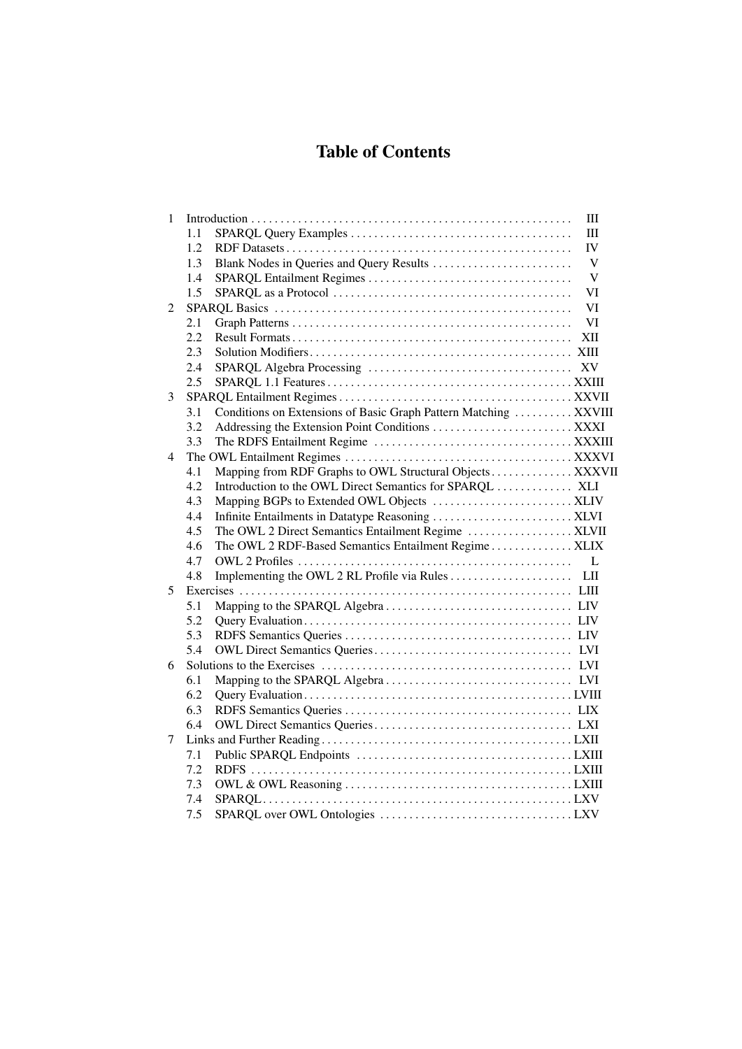# Table of Contents

| 1              |     |                                                                  | Ш  |
|----------------|-----|------------------------------------------------------------------|----|
|                | 1.1 |                                                                  | Ш  |
|                | 1.2 |                                                                  | IV |
|                | 1.3 |                                                                  | V  |
|                | 1.4 |                                                                  | V  |
|                | 1.5 |                                                                  | VI |
| $\overline{2}$ |     |                                                                  | VI |
|                | 2.1 |                                                                  | VI |
|                | 2.2 |                                                                  |    |
|                | 2.3 |                                                                  |    |
|                | 2.4 |                                                                  |    |
|                | 2.5 |                                                                  |    |
| 3              |     |                                                                  |    |
|                | 3.1 | Conditions on Extensions of Basic Graph Pattern Matching  XXVIII |    |
|                | 3.2 |                                                                  |    |
|                | 3.3 |                                                                  |    |
| 4              |     |                                                                  |    |
|                | 4.1 | Mapping from RDF Graphs to OWL Structural Objects XXXVII         |    |
|                | 4.2 | Introduction to the OWL Direct Semantics for SPARQL  XLI         |    |
|                | 4.3 |                                                                  |    |
|                | 4.4 |                                                                  |    |
|                | 4.5 | The OWL 2 Direct Semantics Entailment Regime  XLVII              |    |
|                | 4.6 | The OWL 2 RDF-Based Semantics Entailment Regime XLIX             |    |
|                | 4.7 |                                                                  | L  |
|                | 4.8 |                                                                  |    |
| 5              |     |                                                                  |    |
|                | 5.1 |                                                                  |    |
|                | 5.2 |                                                                  |    |
|                | 5.3 |                                                                  |    |
|                | 5.4 |                                                                  |    |
| 6              |     |                                                                  |    |
|                | 6.1 |                                                                  |    |
|                | 6.2 |                                                                  |    |
|                | 6.3 |                                                                  |    |
|                | 6.4 |                                                                  |    |
| 7              |     |                                                                  |    |
|                | 7.1 |                                                                  |    |
|                | 7.2 |                                                                  |    |
|                | 7.3 |                                                                  |    |
|                | 7.4 |                                                                  |    |
|                | 7.5 |                                                                  |    |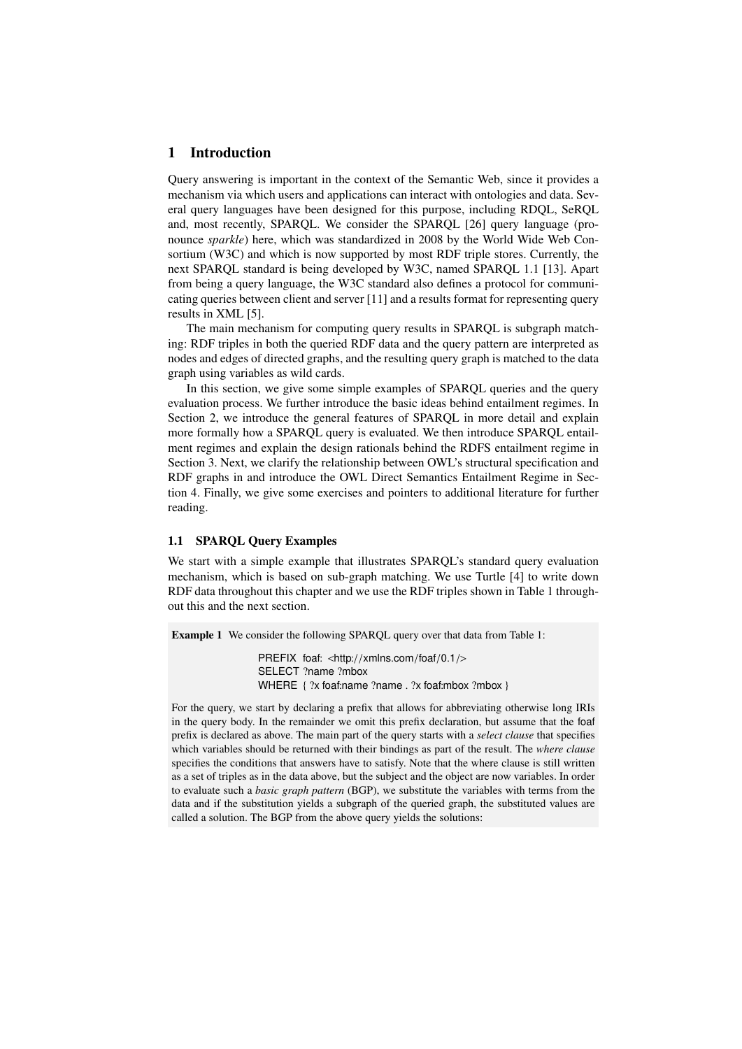## 1 Introduction

Query answering is important in the context of the Semantic Web, since it provides a mechanism via which users and applications can interact with ontologies and data. Several query languages have been designed for this purpose, including RDQL, SeRQL and, most recently, SPARQL. We consider the SPARQL [26] query language (pronounce *sparkle*) here, which was standardized in 2008 by the World Wide Web Consortium (W3C) and which is now supported by most RDF triple stores. Currently, the next SPARQL standard is being developed by W3C, named SPARQL 1.1 [13]. Apart from being a query language, the W3C standard also defines a protocol for communicating queries between client and server [11] and a results format for representing query results in XML [5].

The main mechanism for computing query results in SPARQL is subgraph matching: RDF triples in both the queried RDF data and the query pattern are interpreted as nodes and edges of directed graphs, and the resulting query graph is matched to the data graph using variables as wild cards.

In this section, we give some simple examples of SPARQL queries and the query evaluation process. We further introduce the basic ideas behind entailment regimes. In Section 2, we introduce the general features of SPARQL in more detail and explain more formally how a SPARQL query is evaluated. We then introduce SPARQL entailment regimes and explain the design rationals behind the RDFS entailment regime in Section 3. Next, we clarify the relationship between OWL's structural specification and RDF graphs in and introduce the OWL Direct Semantics Entailment Regime in Section 4. Finally, we give some exercises and pointers to additional literature for further reading.

## 1.1 SPARQL Query Examples

We start with a simple example that illustrates SPARQL's standard query evaluation mechanism, which is based on sub-graph matching. We use Turtle [4] to write down RDF data throughout this chapter and we use the RDF triples shown in Table 1 throughout this and the next section.

Example 1 We consider the following SPARQL query over that data from Table 1:

PREFIX foaf: <http://xmlns.com/foaf/0.1/> SELECT ?name ?mbox WHERE { ?x foaf:name ?name . ?x foaf:mbox ?mbox }

For the query, we start by declaring a prefix that allows for abbreviating otherwise long IRIs in the query body. In the remainder we omit this prefix declaration, but assume that the foaf prefix is declared as above. The main part of the query starts with a *select clause* that specifies which variables should be returned with their bindings as part of the result. The *where clause* specifies the conditions that answers have to satisfy. Note that the where clause is still written as a set of triples as in the data above, but the subject and the object are now variables. In order to evaluate such a *basic graph pattern* (BGP), we substitute the variables with terms from the data and if the substitution yields a subgraph of the queried graph, the substituted values are called a solution. The BGP from the above query yields the solutions: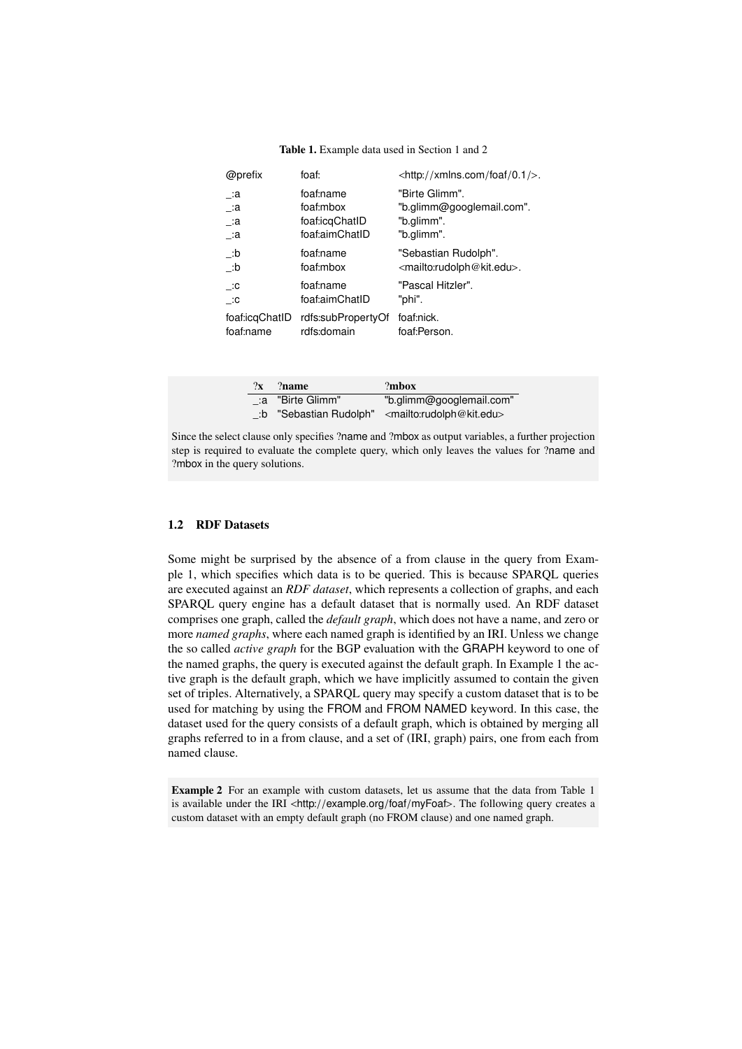@prefix foaf: <http://xmlns.com/foaf/0.1/>. \_:a foaf:name "Birte Glimm". \_:a foaf:mbox "b.glimm@googlemail.com". \_:a foaf:icqChatID "b.glimm". \_:a foaf:aimChatID<br>\_:b foaf:name \_:b foaf:name "Sebastian Rudolph". \_:b foaf:mbox <mailto:rudolph@kit.edu>. \_:c foaf:name "Pascal Hitzler". \_:c foaf:aimChatID "phi". foaf:icqChatID rdfs:subPropertyOf foaf:nick.<br>foaf:name rdfs:domain foaf:Person. rdfs:domain

Table 1. Example data used in Section 1 and 2

| 2x | ?name           | ?mbox                                                                   |
|----|-----------------|-------------------------------------------------------------------------|
|    | a "Birte Glimm" | "b.glimm@googlemail.com"                                                |
|    |                 | b "Sebastian Rudolph" <mailto:rudolph@kit.edu></mailto:rudolph@kit.edu> |

Since the select clause only specifies ?name and ?mbox as output variables, a further projection step is required to evaluate the complete query, which only leaves the values for ?name and ?mbox in the query solutions.

## 1.2 RDF Datasets

Some might be surprised by the absence of a from clause in the query from Example 1, which specifies which data is to be queried. This is because SPARQL queries are executed against an *RDF dataset*, which represents a collection of graphs, and each SPARQL query engine has a default dataset that is normally used. An RDF dataset comprises one graph, called the *default graph*, which does not have a name, and zero or more *named graphs*, where each named graph is identified by an IRI. Unless we change the so called *active graph* for the BGP evaluation with the GRAPH keyword to one of the named graphs, the query is executed against the default graph. In Example 1 the active graph is the default graph, which we have implicitly assumed to contain the given set of triples. Alternatively, a SPARQL query may specify a custom dataset that is to be used for matching by using the FROM and FROM NAMED keyword. In this case, the dataset used for the query consists of a default graph, which is obtained by merging all graphs referred to in a from clause, and a set of (IRI, graph) pairs, one from each from named clause.

Example 2 For an example with custom datasets, let us assume that the data from Table 1 is available under the IRI  $\langle$ http://example.org/foaf/myFoaf>. The following query creates a custom dataset with an empty default graph (no FROM clause) and one named graph.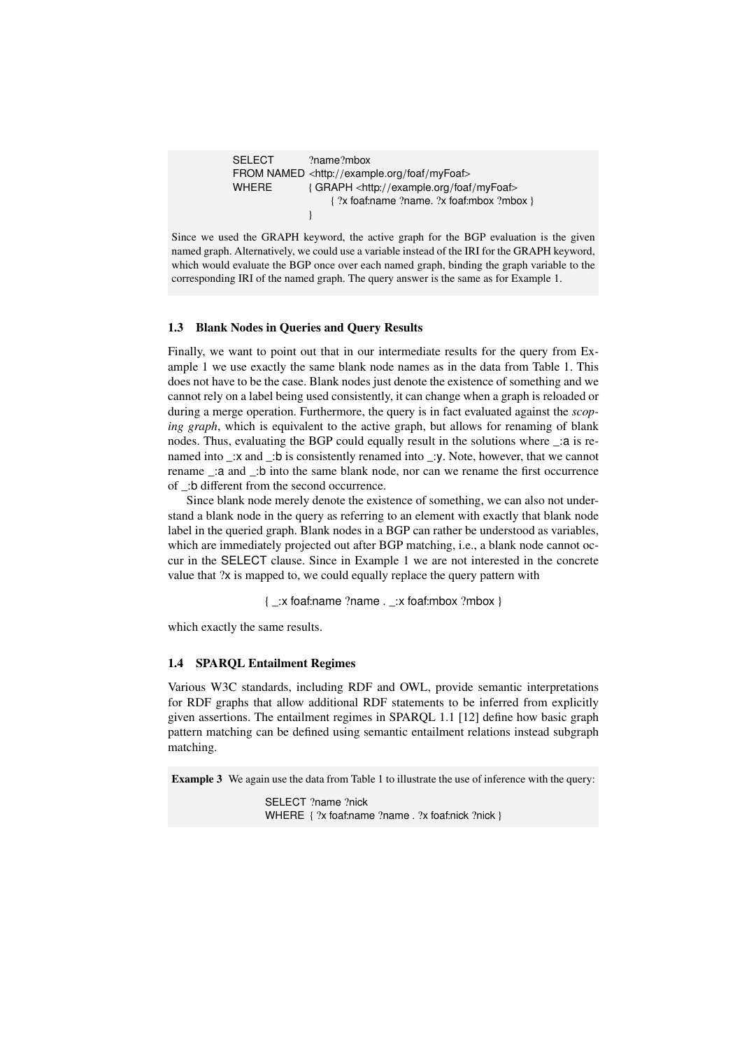```
SELECT ?name?mbox
FROM NAMED <http://example.org/foaf/myFoaf><br>WHERE { GBAPH <http://example.org/foat
                  WHERE { GRAPH <http://example.org/foaf/myFoaf>
                        { ?x foaf:name ?name. ?x foaf:mbox ?mbox }
                  }
```
Since we used the GRAPH keyword, the active graph for the BGP evaluation is the given named graph. Alternatively, we could use a variable instead of the IRI for the GRAPH keyword, which would evaluate the BGP once over each named graph, binding the graph variable to the corresponding IRI of the named graph. The query answer is the same as for Example 1.

#### 1.3 Blank Nodes in Queries and Query Results

Finally, we want to point out that in our intermediate results for the query from Example 1 we use exactly the same blank node names as in the data from Table 1. This does not have to be the case. Blank nodes just denote the existence of something and we cannot rely on a label being used consistently, it can change when a graph is reloaded or during a merge operation. Furthermore, the query is in fact evaluated against the *scoping graph*, which is equivalent to the active graph, but allows for renaming of blank nodes. Thus, evaluating the BGP could equally result in the solutions where \_:a is renamed into \_:x and \_:b is consistently renamed into \_:y. Note, however, that we cannot rename : a and : b into the same blank node, nor can we rename the first occurrence of \_:b different from the second occurrence.

Since blank node merely denote the existence of something, we can also not understand a blank node in the query as referring to an element with exactly that blank node label in the queried graph. Blank nodes in a BGP can rather be understood as variables, which are immediately projected out after BGP matching, *i.e.*, a blank node cannot occur in the SELECT clause. Since in Example 1 we are not interested in the concrete value that ?x is mapped to, we could equally replace the query pattern with

{ \_:x foaf:name ?name . \_:x foaf:mbox ?mbox }

which exactly the same results.

#### 1.4 SPARQL Entailment Regimes

Various W3C standards, including RDF and OWL, provide semantic interpretations for RDF graphs that allow additional RDF statements to be inferred from explicitly given assertions. The entailment regimes in SPARQL 1.1 [12] define how basic graph pattern matching can be defined using semantic entailment relations instead subgraph matching.

Example 3 We again use the data from Table 1 to illustrate the use of inference with the query:

SELECT ?name ?nick WHERE { ?x foaf:name ?name . ?x foaf:nick ?nick }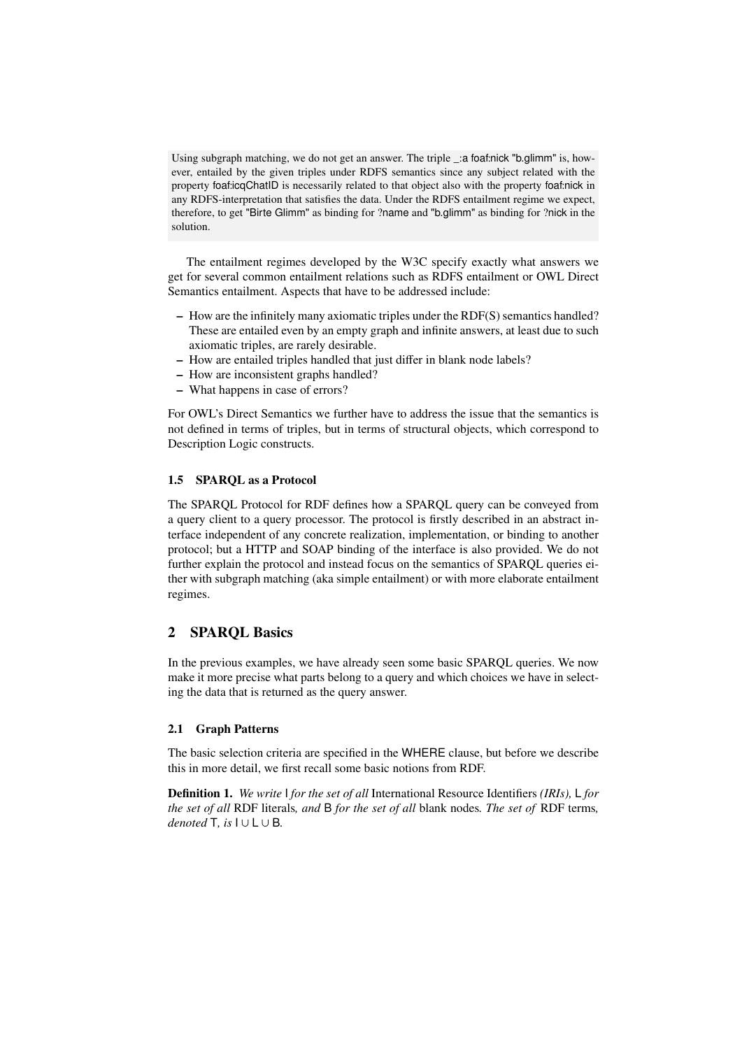Using subgraph matching, we do not get an answer. The triple \_: a foaf:nick "b.glimm" is, however, entailed by the given triples under RDFS semantics since any subject related with the property foaf:icqChatID is necessarily related to that object also with the property foaf:nick in any RDFS-interpretation that satisfies the data. Under the RDFS entailment regime we expect, therefore, to get "Birte Glimm" as binding for ?name and "b.glimm" as binding for ?nick in the solution.

The entailment regimes developed by the W3C specify exactly what answers we get for several common entailment relations such as RDFS entailment or OWL Direct Semantics entailment. Aspects that have to be addressed include:

- How are the infinitely many axiomatic triples under the RDF(S) semantics handled? These are entailed even by an empty graph and infinite answers, at least due to such axiomatic triples, are rarely desirable.
- How are entailed triples handled that just differ in blank node labels?
- How are inconsistent graphs handled?
- What happens in case of errors?

For OWL's Direct Semantics we further have to address the issue that the semantics is not defined in terms of triples, but in terms of structural objects, which correspond to Description Logic constructs.

## 1.5 SPARQL as a Protocol

The SPARQL Protocol for RDF defines how a SPARQL query can be conveyed from a query client to a query processor. The protocol is firstly described in an abstract interface independent of any concrete realization, implementation, or binding to another protocol; but a HTTP and SOAP binding of the interface is also provided. We do not further explain the protocol and instead focus on the semantics of SPARQL queries either with subgraph matching (aka simple entailment) or with more elaborate entailment regimes.

# 2 SPARQL Basics

In the previous examples, we have already seen some basic SPARQL queries. We now make it more precise what parts belong to a query and which choices we have in selecting the data that is returned as the query answer.

# 2.1 Graph Patterns

The basic selection criteria are specified in the WHERE clause, but before we describe this in more detail, we first recall some basic notions from RDF.

Definition 1. *We write* I *for the set of all* International Resource Identifiers *(IRIs),* L *for the set of all* RDF literals*, and* B *for the set of all* blank nodes*. The set of* RDF terms*, denoted* T*, is* I ∪ L ∪ B*.*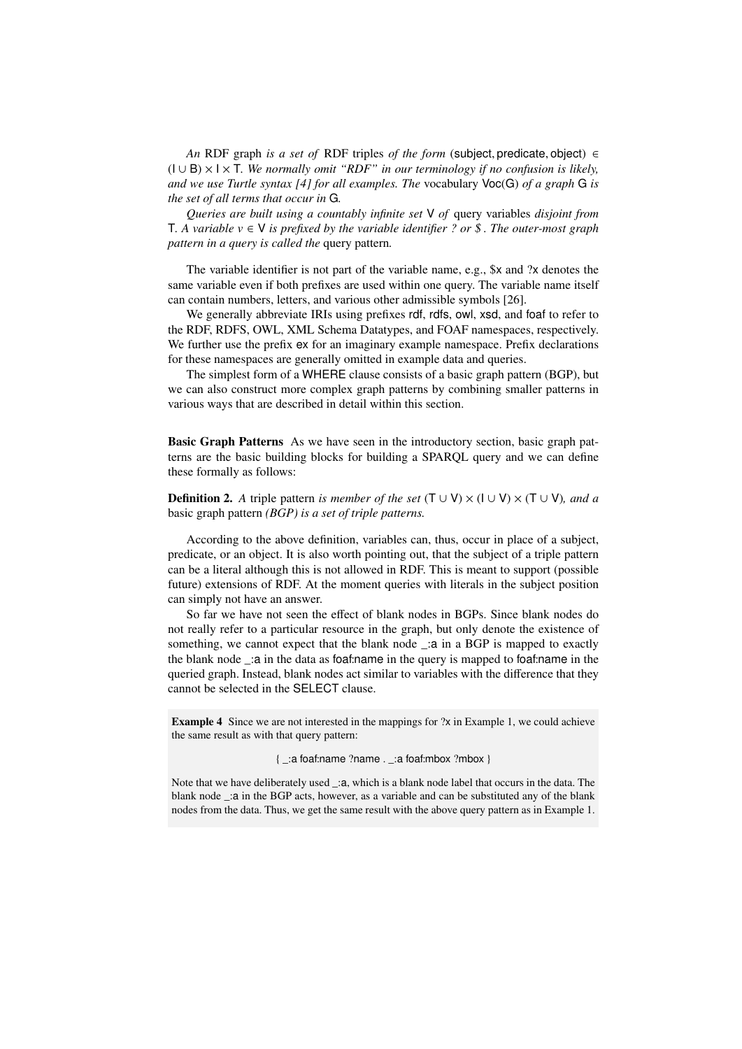*An* RDF graph *is a set of* RDF triples *of the form* (subject, predicate, object) <sup>∈</sup> (I ∪ B) × I × T*. We normally omit "RDF" in our terminology if no confusion is likely, and we use Turtle syntax [4] for all examples. The* vocabulary Voc(G) *of a graph* G *is the set of all terms that occur in* G*.*

*Queries are built using a countably infinite set* V *of* query variables *disjoint from* T*. A variable v* ∈ V *is prefixed by the variable identifier ? or \$ . The outer-most graph pattern in a query is called the* query pattern*.*

The variable identifier is not part of the variable name, e.g., \$x and ?x denotes the same variable even if both prefixes are used within one query. The variable name itself can contain numbers, letters, and various other admissible symbols [26].

We generally abbreviate IRIs using prefixes rdf, rdfs, owl, xsd, and foaf to refer to the RDF, RDFS, OWL, XML Schema Datatypes, and FOAF namespaces, respectively. We further use the prefix ex for an imaginary example namespace. Prefix declarations for these namespaces are generally omitted in example data and queries.

The simplest form of a WHERE clause consists of a basic graph pattern (BGP), but we can also construct more complex graph patterns by combining smaller patterns in various ways that are described in detail within this section.

Basic Graph Patterns As we have seen in the introductory section, basic graph patterns are the basic building blocks for building a SPARQL query and we can define these formally as follows:

**Definition 2.** *A* triple pattern *is member of the set* ( $T \cup V$ )  $\times$  ( $I \cup V$ )  $\times$  ( $T \cup V$ *), and a* basic graph pattern *(BGP) is a set of triple patterns.*

According to the above definition, variables can, thus, occur in place of a subject, predicate, or an object. It is also worth pointing out, that the subject of a triple pattern can be a literal although this is not allowed in RDF. This is meant to support (possible future) extensions of RDF. At the moment queries with literals in the subject position can simply not have an answer.

So far we have not seen the effect of blank nodes in BGPs. Since blank nodes do not really refer to a particular resource in the graph, but only denote the existence of something, we cannot expect that the blank node \_: a in a BGP is mapped to exactly the blank node \_:a in the data as foaf:name in the query is mapped to foaf:name in the queried graph. Instead, blank nodes act similar to variables with the difference that they cannot be selected in the SELECT clause.

Example 4 Since we are not interested in the mappings for ?x in Example 1, we could achieve the same result as with that query pattern:

{ \_:a foaf:name ?name . \_:a foaf:mbox ?mbox }

Note that we have deliberately used \_:a, which is a blank node label that occurs in the data. The blank node \_:a in the BGP acts, however, as a variable and can be substituted any of the blank nodes from the data. Thus, we get the same result with the above query pattern as in Example 1.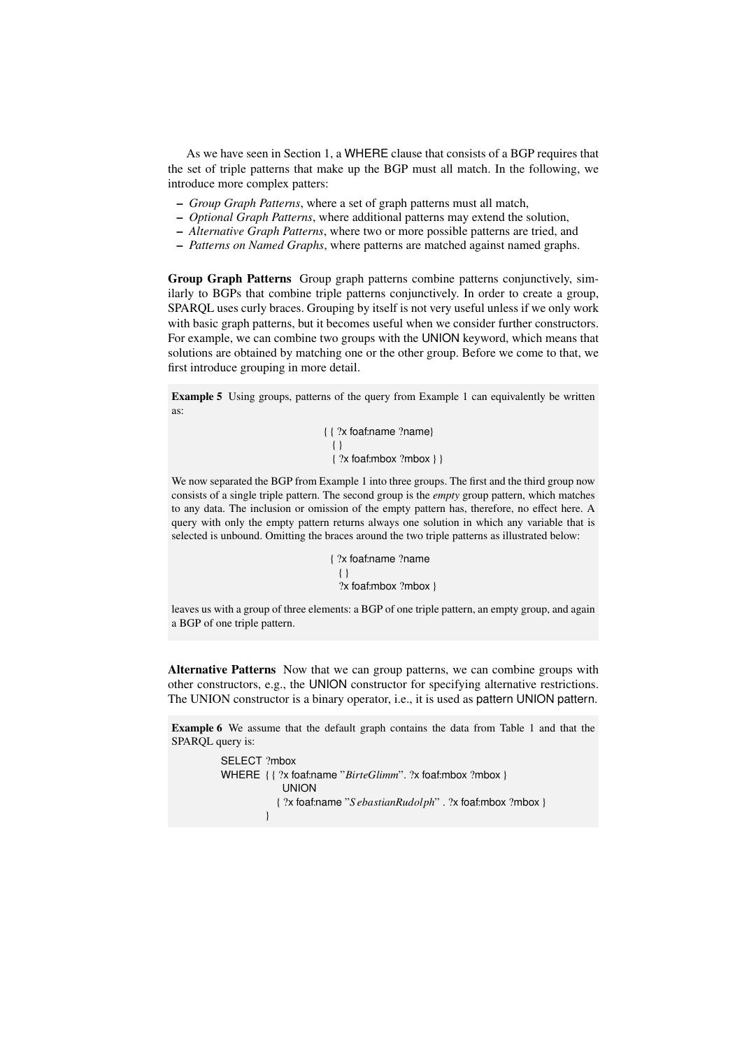As we have seen in Section 1, a WHERE clause that consists of a BGP requires that the set of triple patterns that make up the BGP must all match. In the following, we introduce more complex patters:

- *Group Graph Patterns*, where a set of graph patterns must all match,
- *Optional Graph Patterns*, where additional patterns may extend the solution,
- *Alternative Graph Patterns*, where two or more possible patterns are tried, and
- *Patterns on Named Graphs*, where patterns are matched against named graphs.

Group Graph Patterns Group graph patterns combine patterns conjunctively, similarly to BGPs that combine triple patterns conjunctively. In order to create a group, SPARQL uses curly braces. Grouping by itself is not very useful unless if we only work with basic graph patterns, but it becomes useful when we consider further constructors. For example, we can combine two groups with the UNION keyword, which means that solutions are obtained by matching one or the other group. Before we come to that, we first introduce grouping in more detail.

Example 5 Using groups, patterns of the query from Example 1 can equivalently be written as:

> { { ?x foaf:name ?name} { } { ?x foaf:mbox ?mbox } }

We now separated the BGP from Example 1 into three groups. The first and the third group now consists of a single triple pattern. The second group is the *empty* group pattern, which matches to any data. The inclusion or omission of the empty pattern has, therefore, no effect here. A query with only the empty pattern returns always one solution in which any variable that is selected is unbound. Omitting the braces around the two triple patterns as illustrated below:

> { ?x foaf:name ?name { } ?x foaf:mbox ?mbox }

leaves us with a group of three elements: a BGP of one triple pattern, an empty group, and again a BGP of one triple pattern.

Alternative Patterns Now that we can group patterns, we can combine groups with other constructors, e.g., the UNION constructor for specifying alternative restrictions. The UNION constructor is a binary operator, i.e., it is used as pattern UNION pattern.

Example 6 We assume that the default graph contains the data from Table 1 and that the SPARQL query is:

```
SELECT ?mbox
WHERE { { ?x foaf:name "BirteGlimm". ?x foaf:mbox ?mbox }
            UNION
           { ?x foaf:name "S ebastianRudolph" . ?x foaf:mbox ?mbox }
         }
```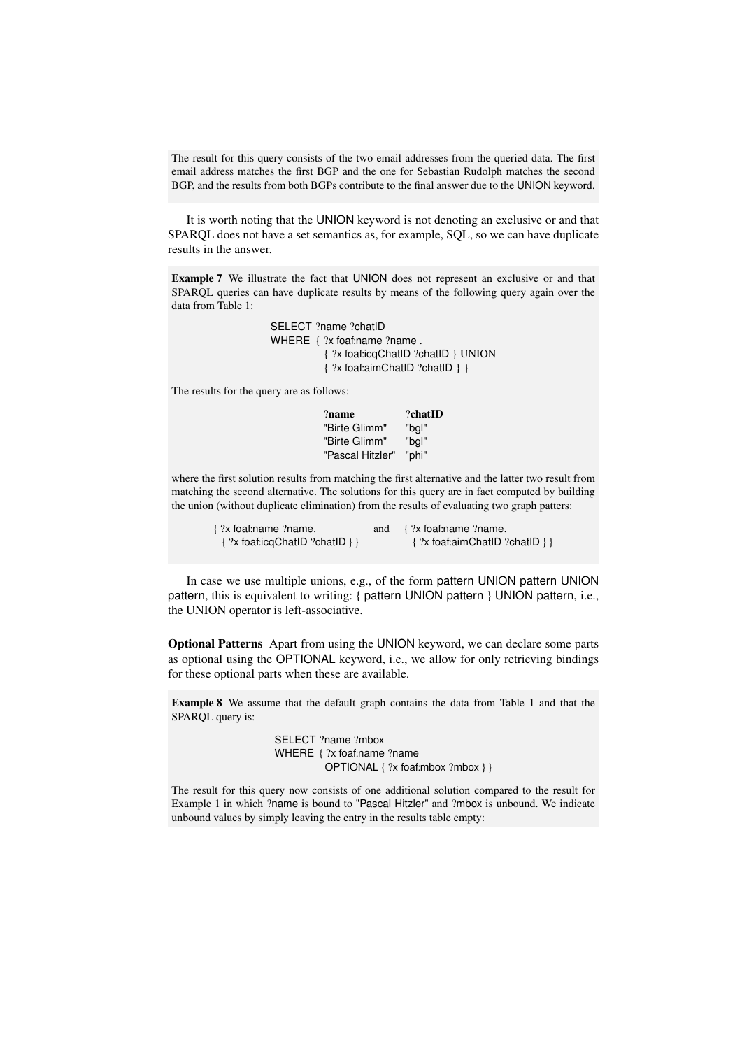The result for this query consists of the two email addresses from the queried data. The first email address matches the first BGP and the one for Sebastian Rudolph matches the second BGP, and the results from both BGPs contribute to the final answer due to the UNION keyword.

It is worth noting that the UNION keyword is not denoting an exclusive or and that SPARQL does not have a set semantics as, for example, SQL, so we can have duplicate results in the answer.

Example 7 We illustrate the fact that UNION does not represent an exclusive or and that SPARQL queries can have duplicate results by means of the following query again over the data from Table 1:

> SELECT ?name ?chatID WHERE { ?x foaf:name ?name . { ?x foaf:icqChatID ?chatID } UNION { ?x foaf:aimChatID ?chatID } }

The results for the query are as follows:

| ?name            | ?chatID |
|------------------|---------|
| "Birte Glimm"    | "bal"   |
| "Birte Glimm"    | "bal"   |
| "Pascal Hitzler" | "phi"   |

where the first solution results from matching the first alternative and the latter two result from matching the second alternative. The solutions for this query are in fact computed by building the union (without duplicate elimination) from the results of evaluating two graph patters:

| { ?x foaf:name ?name.              | and | { ?x foaf:name ?name.                 |
|------------------------------------|-----|---------------------------------------|
| $\{?x$ foaf:icqChatID ?chatID $\}$ |     | $\{$ ?x foaf:aimChatID ?chatID $\}$ } |

In case we use multiple unions, e.g., of the form pattern UNION pattern UNION pattern, this is equivalent to writing: { pattern UNION pattern } UNION pattern, i.e., the UNION operator is left-associative.

Optional Patterns Apart from using the UNION keyword, we can declare some parts as optional using the OPTIONAL keyword, i.e., we allow for only retrieving bindings for these optional parts when these are available.

Example 8 We assume that the default graph contains the data from Table 1 and that the SPARQL query is:

> SELECT ?name ?mbox WHERE { ?x foaf:name ?name OPTIONAL { ?x foaf:mbox ?mbox } }

The result for this query now consists of one additional solution compared to the result for Example 1 in which ?name is bound to "Pascal Hitzler" and ?mbox is unbound. We indicate unbound values by simply leaving the entry in the results table empty: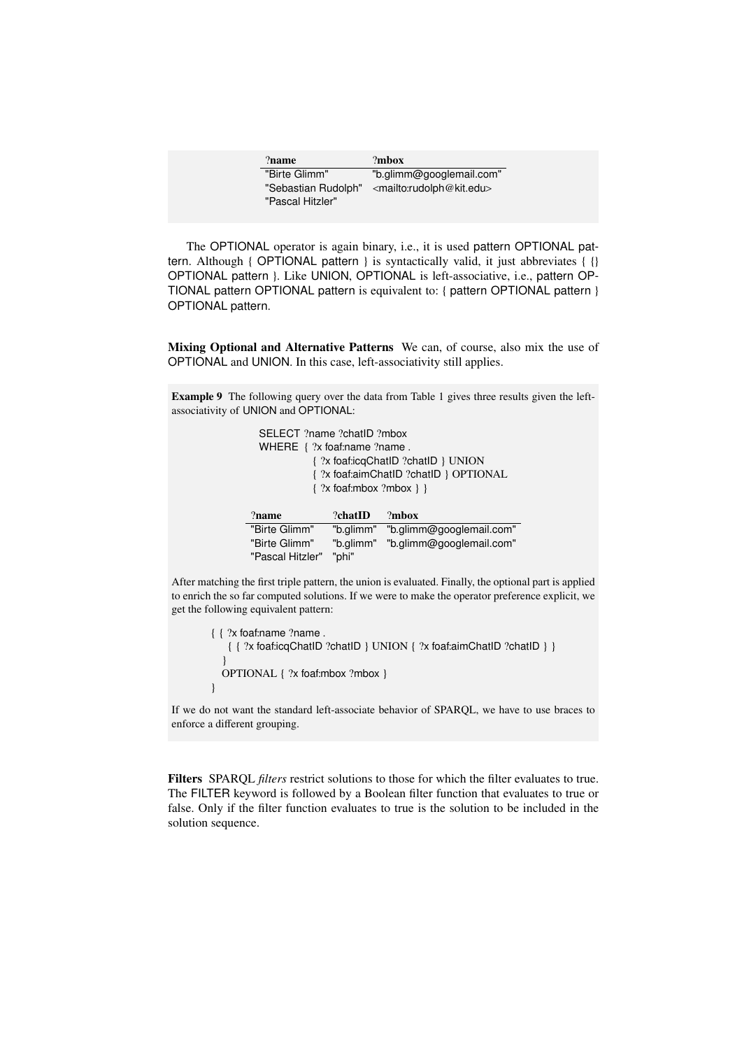| ?name                                   | ?mbox                          |
|-----------------------------------------|--------------------------------|
| "Birte Glimm"                           | "b.glimm@googlemail.com"       |
| "Sebastian Rudolph"<br>"Pascal Hitzler" | $\leq$ mailto:rudolph@kit.edu> |

The OPTIONAL operator is again binary, i.e., it is used pattern OPTIONAL pattern. Although { OPTIONAL pattern } is syntactically valid, it just abbreviates { {} OPTIONAL pattern }. Like UNION, OPTIONAL is left-associative, i.e., pattern OP-TIONAL pattern OPTIONAL pattern is equivalent to: { pattern OPTIONAL pattern } OPTIONAL pattern.

Mixing Optional and Alternative Patterns We can, of course, also mix the use of OPTIONAL and UNION. In this case, left-associativity still applies.

Example 9 The following query over the data from Table 1 gives three results given the leftassociativity of UNION and OPTIONAL:

| SELECT ?name ?chatID ?mbox          |                                        |                          |  |  |  |
|-------------------------------------|----------------------------------------|--------------------------|--|--|--|
| WHERE $\{ ?x \}$ foaf:name ?name.   |                                        |                          |  |  |  |
| { ?x foaf:icqChatID ?chatID } UNION |                                        |                          |  |  |  |
|                                     | { ?x foaf:aimChatID ?chatID } OPTIONAL |                          |  |  |  |
| $\{$ ?x foaf:mbox ?mbox $\}$ }      |                                        |                          |  |  |  |
|                                     |                                        |                          |  |  |  |
|                                     |                                        |                          |  |  |  |
| ?name                               | ?chatID                                | ?mbox                    |  |  |  |
| "Birte Glimm"                       | "b.glimm"                              | "b.glimm@googlemail.com" |  |  |  |
| "Birte Glimm"                       | "b.glimm"                              | "b.glimm@googlemail.com" |  |  |  |

After matching the first triple pattern, the union is evaluated. Finally, the optional part is applied to enrich the so far computed solutions. If we were to make the operator preference explicit, we get the following equivalent pattern:

```
{ { ?x foaf:name ?name .
   { { ?x foaf:icqChatID ?chatID } UNION { ?x foaf:aimChatID ?chatID } }
  }
  OPTIONAL { ?x foaf:mbox ?mbox }
}
```
If we do not want the standard left-associate behavior of SPARQL, we have to use braces to enforce a different grouping.

Filters SPARQL *filters* restrict solutions to those for which the filter evaluates to true. The FILTER keyword is followed by a Boolean filter function that evaluates to true or false. Only if the filter function evaluates to true is the solution to be included in the solution sequence.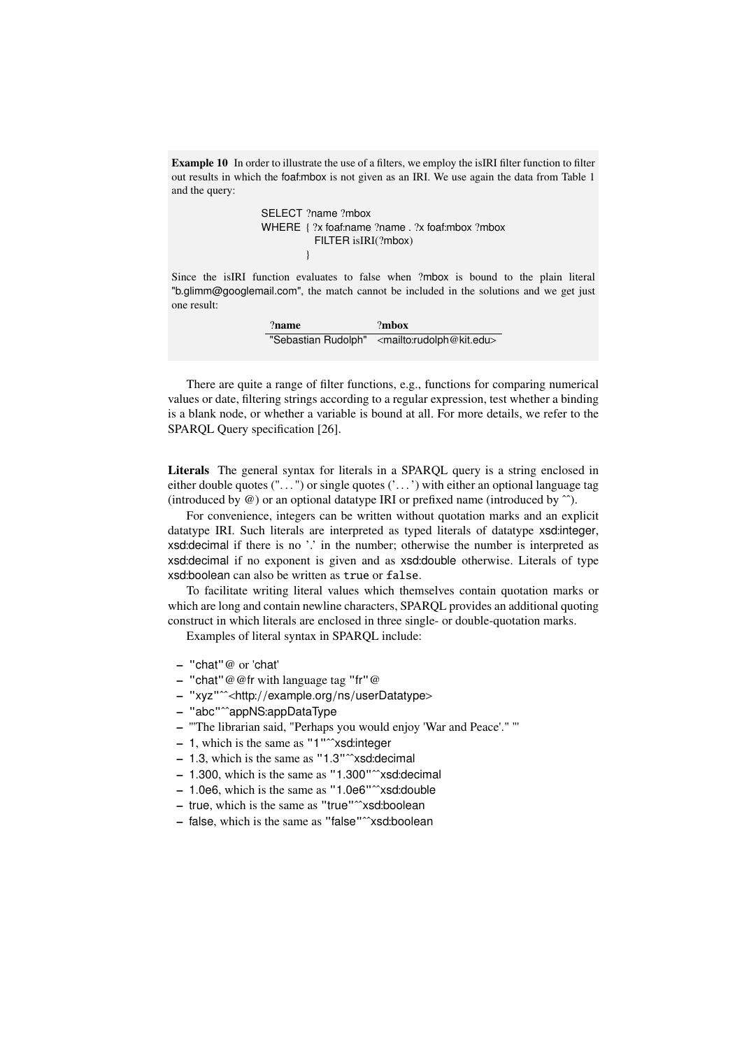Example 10 In order to illustrate the use of a filters, we employ the isIRI filter function to filter out results in which the foaf:mbox is not given as an IRI. We use again the data from Table 1 and the query:

```
SELECT ?name ?mbox
WHERE { ?x foaf:name ?name . ?x foaf:mbox ?mbox
         FILTER isIRI(?mbox)
        }
```
Since the isIRI function evaluates to false when ?mbox is bound to the plain literal "b.glimm@googlemail.com", the match cannot be included in the solutions and we get just one result:

> ?name ?mbox "Sebastian Rudolph" <mailto:rudolph@kit.edu>

There are quite a range of filter functions, e.g., functions for comparing numerical values or date, filtering strings according to a regular expression, test whether a binding is a blank node, or whether a variable is bound at all. For more details, we refer to the SPARQL Query specification [26].

Literals The general syntax for literals in a SPARQL query is a string enclosed in either double quotes  $($ "...") or single quotes  $($ "...") with either an optional language tag (introduced by  $\circledcirc$ ) or an optional datatype IRI or prefixed name (introduced by  $\sim$ ).

For convenience, integers can be written without quotation marks and an explicit datatype IRI. Such literals are interpreted as typed literals of datatype xsd:integer, xsd:decimal if there is no '.' in the number; otherwise the number is interpreted as xsd:decimal if no exponent is given and as xsd:double otherwise. Literals of type xsd:boolean can also be written as true or false.

To facilitate writing literal values which themselves contain quotation marks or which are long and contain newline characters, SPARQL provides an additional quoting construct in which literals are enclosed in three single- or double-quotation marks.

Examples of literal syntax in SPARQL include:

- "chat"@ or 'chat'
- "chat"@@fr with language tag "fr"@
- "xyz"ˆˆ<http://example.org/ns/userDatatype>
- "abc"ˆˆappNS:appDataType
- '''The librarian said, "Perhaps you would enjoy 'War and Peace'." '''
- 1, which is the same as "1"ˆˆxsd:integer
- <sup>1</sup>.3, which is the same as "1.3"ˆˆxsd:decimal
- <sup>1</sup>.300, which is the same as "1.300"ˆˆxsd:decimal
- <sup>1</sup>.0e6, which is the same as "1.0e6"ˆˆxsd:double
- true, which is the same as "true"ˆˆxsd:boolean
- false, which is the same as "false"ˆˆxsd:boolean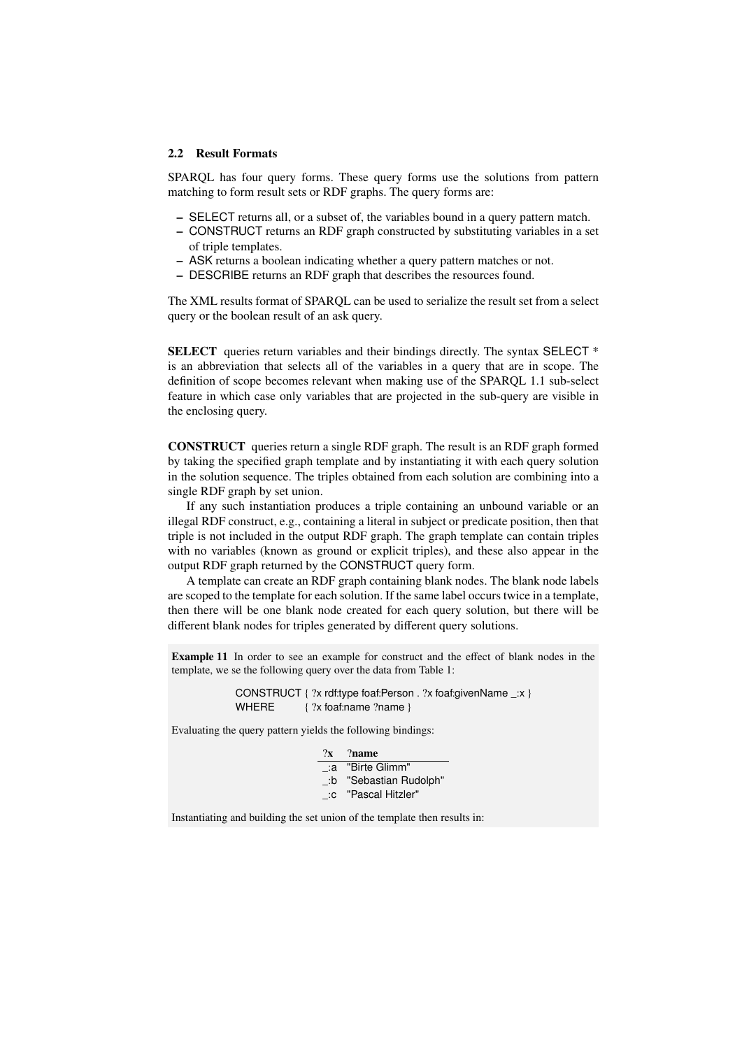#### 2.2 Result Formats

SPARQL has four query forms. These query forms use the solutions from pattern matching to form result sets or RDF graphs. The query forms are:

- SELECT returns all, or a subset of, the variables bound in a query pattern match.
- CONSTRUCT returns an RDF graph constructed by substituting variables in a set of triple templates.
- ASK returns a boolean indicating whether a query pattern matches or not.
- DESCRIBE returns an RDF graph that describes the resources found.

The XML results format of SPARQL can be used to serialize the result set from a select query or the boolean result of an ask query.

SELECT queries return variables and their bindings directly. The syntax SELECT \* is an abbreviation that selects all of the variables in a query that are in scope. The definition of scope becomes relevant when making use of the SPARQL 1.1 sub-select feature in which case only variables that are projected in the sub-query are visible in the enclosing query.

CONSTRUCT queries return a single RDF graph. The result is an RDF graph formed by taking the specified graph template and by instantiating it with each query solution in the solution sequence. The triples obtained from each solution are combining into a single RDF graph by set union.

If any such instantiation produces a triple containing an unbound variable or an illegal RDF construct, e.g., containing a literal in subject or predicate position, then that triple is not included in the output RDF graph. The graph template can contain triples with no variables (known as ground or explicit triples), and these also appear in the output RDF graph returned by the CONSTRUCT query form.

A template can create an RDF graph containing blank nodes. The blank node labels are scoped to the template for each solution. If the same label occurs twice in a template, then there will be one blank node created for each query solution, but there will be different blank nodes for triples generated by different query solutions.

Example 11 In order to see an example for construct and the effect of blank nodes in the template, we se the following query over the data from Table 1:

> CONSTRUCT { ?x rdf:type foaf:Person . ?x foaf:givenName \_:x }<br>WHERE  $\{ ?x$  foaf:name ?name } { ?x foaf:name ?name }

Evaluating the query pattern yields the following bindings:

| 2x  | ?name               |
|-----|---------------------|
| ∷a  | "Birte Glimm"       |
| ∵∷h | "Sebastian Rudolph" |
|     | :c "Pascal Hitzler" |

Instantiating and building the set union of the template then results in: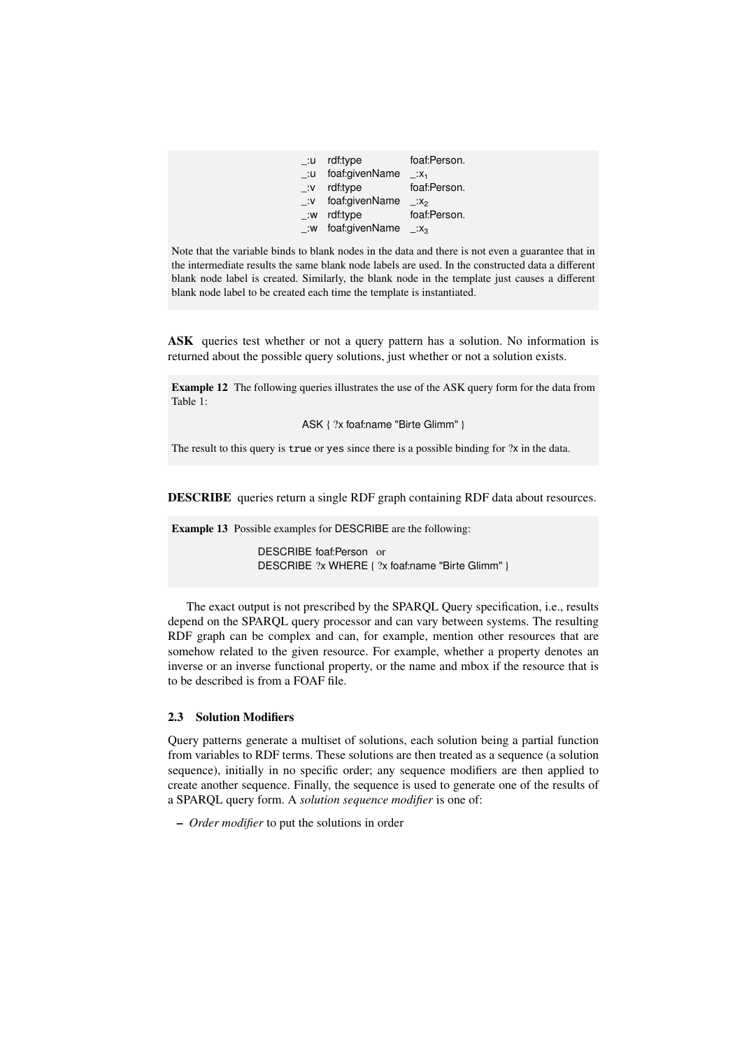| :u  | rdf:type                | foaf:Person.        |
|-----|-------------------------|---------------------|
| ∷u  | foaf:givenName          | $\mathbf{X}_1$      |
| : v | rdf:type                | foaf:Person.        |
|     | _:v foaf:givenName      | $\cdot x_2$         |
|     | $\therefore$ w rdf:type | foaf:Person.        |
|     | _:w foaf:givenName      | $\cdot$ : X $\cdot$ |

Note that the variable binds to blank nodes in the data and there is not even a guarantee that in the intermediate results the same blank node labels are used. In the constructed data a different blank node label is created. Similarly, the blank node in the template just causes a different blank node label to be created each time the template is instantiated.

ASK queries test whether or not a query pattern has a solution. No information is returned about the possible query solutions, just whether or not a solution exists.

Example 12 The following queries illustrates the use of the ASK query form for the data from Table 1:

ASK { ?x foaf:name "Birte Glimm" }

The result to this query is true or yes since there is a possible binding for  $?x$  in the data.

DESCRIBE queries return a single RDF graph containing RDF data about resources.

Example 13 Possible examples for DESCRIBE are the following:

DESCRIBE foaf:Person or DESCRIBE ?x WHERE { ?x foaf:name "Birte Glimm" }

The exact output is not prescribed by the SPARQL Query specification, i.e., results depend on the SPARQL query processor and can vary between systems. The resulting RDF graph can be complex and can, for example, mention other resources that are somehow related to the given resource. For example, whether a property denotes an inverse or an inverse functional property, or the name and mbox if the resource that is to be described is from a FOAF file.

## 2.3 Solution Modifiers

Query patterns generate a multiset of solutions, each solution being a partial function from variables to RDF terms. These solutions are then treated as a sequence (a solution sequence), initially in no specific order; any sequence modifiers are then applied to create another sequence. Finally, the sequence is used to generate one of the results of a SPARQL query form. A *solution sequence modifier* is one of:

– *Order modifier* to put the solutions in order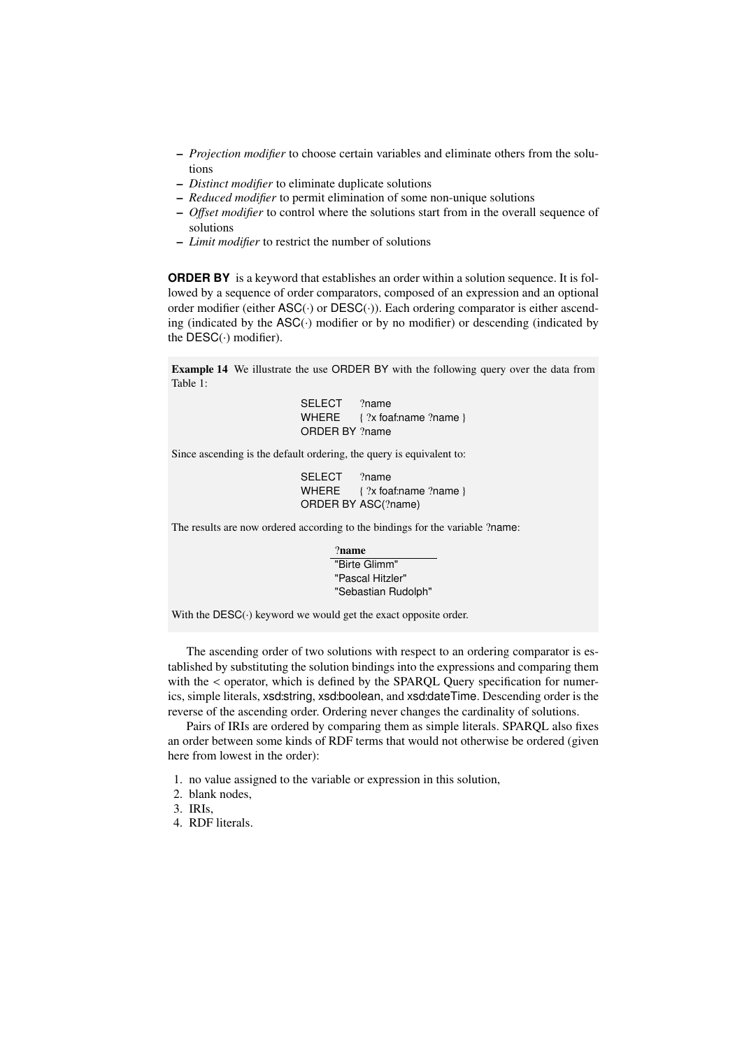- *Projection modifier* to choose certain variables and eliminate others from the solutions
- *Distinct modifier* to eliminate duplicate solutions
- *Reduced modifier* to permit elimination of some non-unique solutions
- *O*ff*set modifier* to control where the solutions start from in the overall sequence of solutions
- *Limit modifier* to restrict the number of solutions

**ORDER BY** is a keyword that establishes an order within a solution sequence. It is followed by a sequence of order comparators, composed of an expression and an optional order modifier (either  $ASC(\cdot)$  or  $DESC(\cdot)$ ). Each ordering comparator is either ascending (indicated by the  $ASC()$  modifier or by no modifier) or descending (indicated by the  $DESC(\cdot)$  modifier).

Example 14 We illustrate the use ORDER BY with the following query over the data from Table 1:

> SELECT ?name WHERE { ?x foaf:name ?name } ORDER BY ?name

Since ascending is the default ordering, the query is equivalent to:

SELECT ?name WHERE { ?x foaf:name ?name } ORDER BY ASC(?name)

The results are now ordered according to the bindings for the variable ?name:

?name "Birte Glimm" "Pascal Hitzler" "Sebastian Rudolph"

With the  $DESC(\cdot)$  keyword we would get the exact opposite order.

The ascending order of two solutions with respect to an ordering comparator is established by substituting the solution bindings into the expressions and comparing them with the  $\le$  operator, which is defined by the SPAROL Query specification for numerics, simple literals, xsd:string, xsd:boolean, and xsd:dateTime. Descending order is the reverse of the ascending order. Ordering never changes the cardinality of solutions.

Pairs of IRIs are ordered by comparing them as simple literals. SPARQL also fixes an order between some kinds of RDF terms that would not otherwise be ordered (given here from lowest in the order):

- 1. no value assigned to the variable or expression in this solution,
- 2. blank nodes,
- 3. IRIs,
- 4. RDF literals.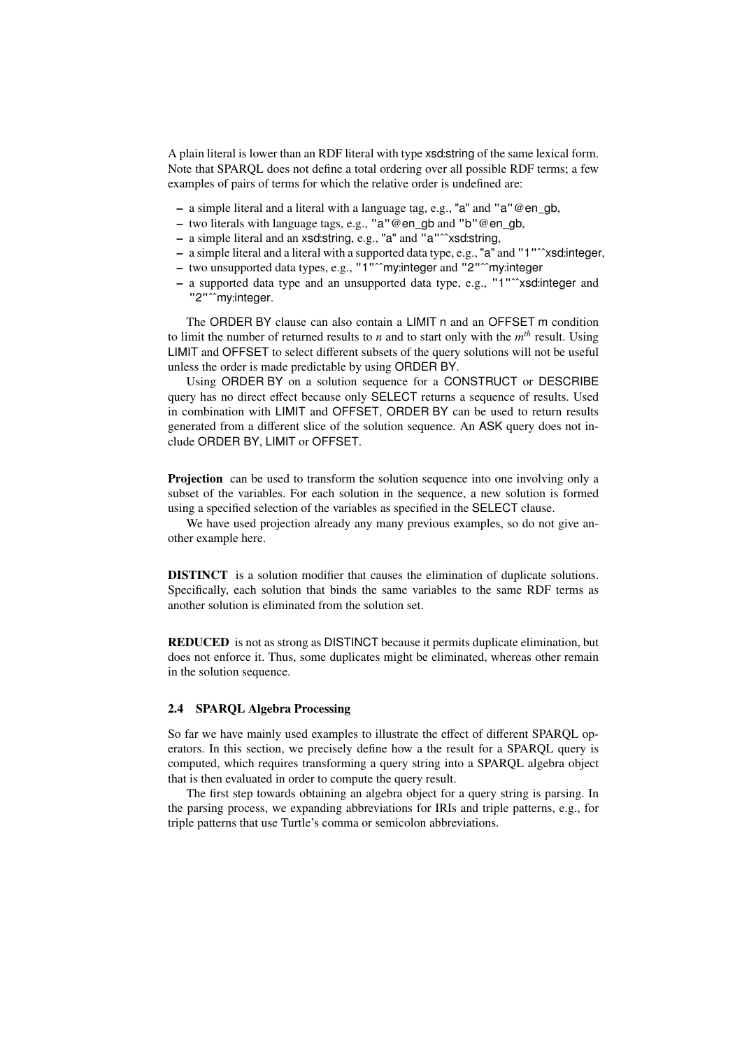A plain literal is lower than an RDF literal with type xsd:string of the same lexical form. Note that SPARQL does not define a total ordering over all possible RDF terms; a few examples of pairs of terms for which the relative order is undefined are:

- a simple literal and a literal with a language tag, e.g., "a" and "a"@en\_gb,
- two literals with language tags, e.g., "a"@en\_gb and "b"@en\_gb,
- a simple literal and an xsd:string, e.g., "a" and "a"ˆˆxsd:string,
- a simple literal and a literal with a supported data type, e.g., "a" and "1"ˆˆxsd:integer,
- two unsupported data types, e.g., "1"ˆˆmy:integer and "2"ˆˆmy:integer
- a supported data type and an unsupported data type, e.g., "1"ˆˆxsd:integer and "2"<sup>omy:integer.</sup>

The ORDER BY clause can also contain a LIMIT n and an OFFSET m condition to limit the number of returned results to *n* and to start only with the *m th* result. Using LIMIT and OFFSET to select different subsets of the query solutions will not be useful unless the order is made predictable by using ORDER BY.

Using ORDER BY on a solution sequence for a CONSTRUCT or DESCRIBE query has no direct effect because only SELECT returns a sequence of results. Used in combination with LIMIT and OFFSET, ORDER BY can be used to return results generated from a different slice of the solution sequence. An ASK query does not include ORDER BY, LIMIT or OFFSET.

Projection can be used to transform the solution sequence into one involving only a subset of the variables. For each solution in the sequence, a new solution is formed using a specified selection of the variables as specified in the SELECT clause.

We have used projection already any many previous examples, so do not give another example here.

DISTINCT is a solution modifier that causes the elimination of duplicate solutions. Specifically, each solution that binds the same variables to the same RDF terms as another solution is eliminated from the solution set.

REDUCED is not as strong as DISTINCT because it permits duplicate elimination, but does not enforce it. Thus, some duplicates might be eliminated, whereas other remain in the solution sequence.

#### 2.4 SPARQL Algebra Processing

So far we have mainly used examples to illustrate the effect of different SPARQL operators. In this section, we precisely define how a the result for a SPARQL query is computed, which requires transforming a query string into a SPARQL algebra object that is then evaluated in order to compute the query result.

The first step towards obtaining an algebra object for a query string is parsing. In the parsing process, we expanding abbreviations for IRIs and triple patterns, e.g., for triple patterns that use Turtle's comma or semicolon abbreviations.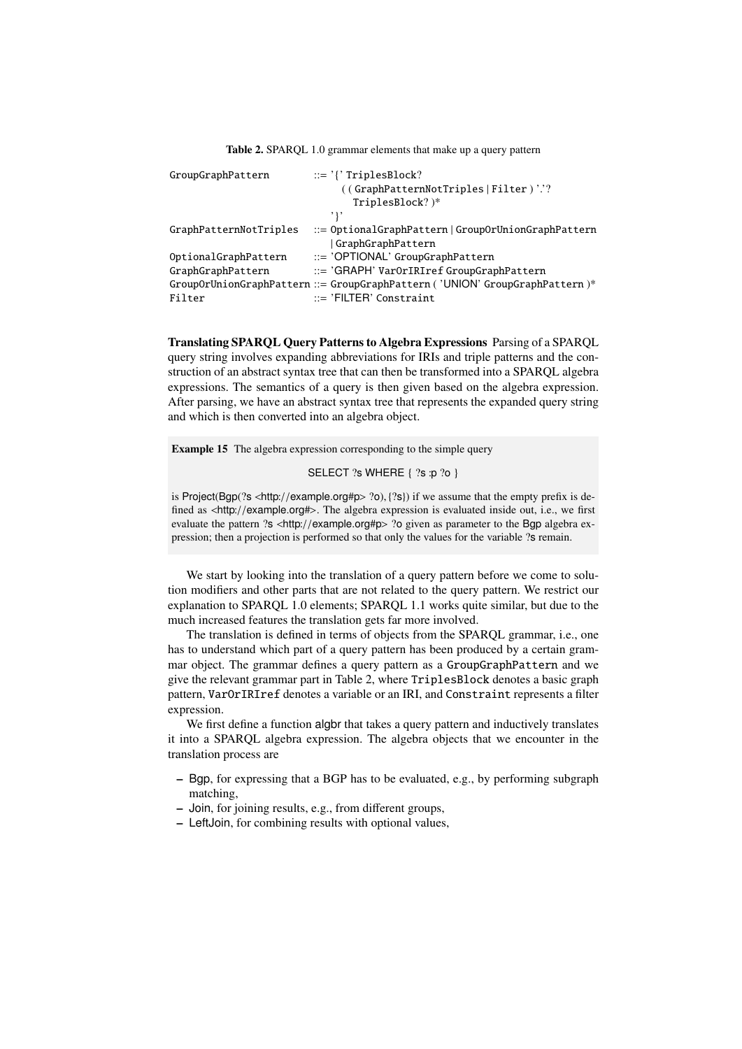| GroupGraphPattern      | $ ::= '\$ riplesBlock?<br>((GraphPatternNotTriples Filter)'.'?<br>TriplesBlock?)* |
|------------------------|-----------------------------------------------------------------------------------|
| GraphPatternNotTriples | '}'<br>$\therefore$ = OptionalGraphPattern   GroupOrUnionGraphPattern             |
|                        | GraphGraphPattern                                                                 |
| OptionalGraphPattern   | $\therefore$ 'OPTIONAL' GroupGraphPattern                                         |
| GraphGraphPattern      | ::= 'GRAPH' VarOrIRIref GroupGraphPattern                                         |
|                        | GroupOrUnionGraphPattern ::= GroupGraphPattern ('UNION' GroupGraphPattern)*       |
| Filter                 | $ ::= 'FILTER' Constant$                                                          |

Table 2. SPARQL 1.0 grammar elements that make up a query pattern

Translating SPARQL Query Patterns to Algebra Expressions Parsing of a SPARQL query string involves expanding abbreviations for IRIs and triple patterns and the construction of an abstract syntax tree that can then be transformed into a SPARQL algebra expressions. The semantics of a query is then given based on the algebra expression. After parsing, we have an abstract syntax tree that represents the expanded query string and which is then converted into an algebra object.

Example 15 The algebra expression corresponding to the simple query

SELECT ?s WHERE { ?s :p ?o }

is Project(Bgp(?s <http://example.org#p> ?o), {?s}) if we assume that the empty prefix is defined as <http://example.org#>. The algebra expression is evaluated inside out, i.e., we first evaluate the pattern ?s <http://example.org#p> ?o given as parameter to the Bgp algebra expression; then a projection is performed so that only the values for the variable ?s remain.

We start by looking into the translation of a query pattern before we come to solution modifiers and other parts that are not related to the query pattern. We restrict our explanation to SPARQL 1.0 elements; SPARQL 1.1 works quite similar, but due to the much increased features the translation gets far more involved.

The translation is defined in terms of objects from the SPARQL grammar, i.e., one has to understand which part of a query pattern has been produced by a certain grammar object. The grammar defines a query pattern as a GroupGraphPattern and we give the relevant grammar part in Table 2, where TriplesBlock denotes a basic graph pattern, VarOrIRIref denotes a variable or an IRI, and Constraint represents a filter expression.

We first define a function algbr that takes a query pattern and inductively translates it into a SPARQL algebra expression. The algebra objects that we encounter in the translation process are

- Bgp, for expressing that a BGP has to be evaluated, e.g., by performing subgraph matching,
- Join, for joining results, e.g., from different groups,
- LeftJoin, for combining results with optional values,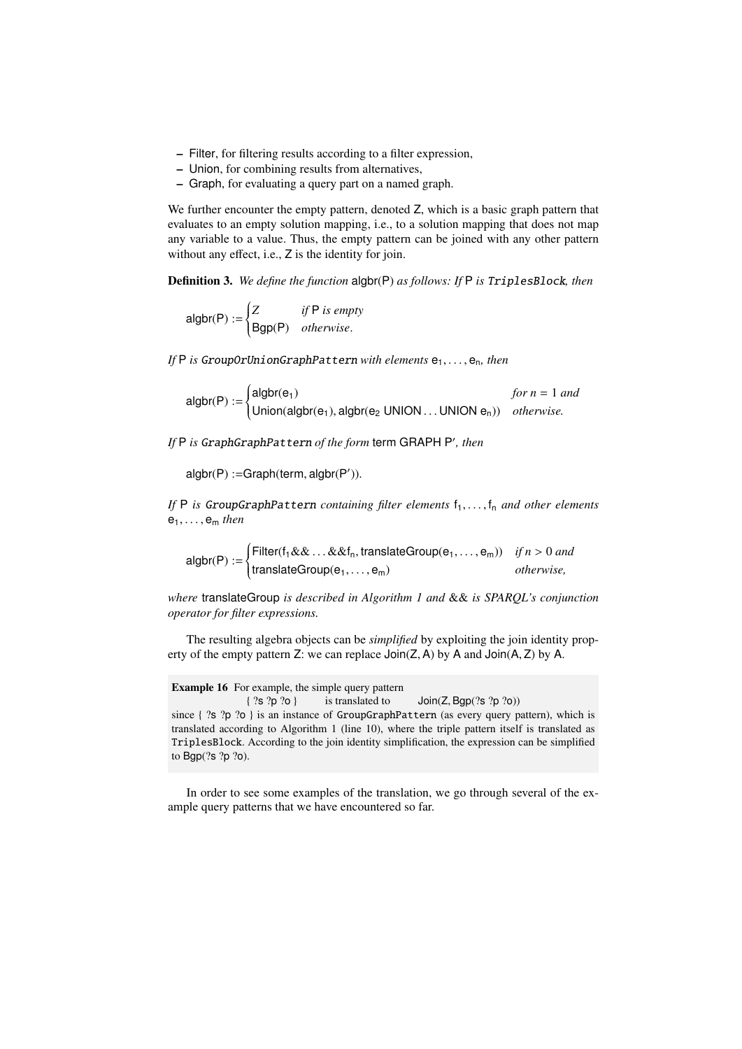- Filter, for filtering results according to a filter expression,
- Union, for combining results from alternatives,
- Graph, for evaluating a query part on a named graph.

We further encounter the empty pattern, denoted Z, which is a basic graph pattern that evaluates to an empty solution mapping, i.e., to a solution mapping that does not map any variable to a value. Thus, the empty pattern can be joined with any other pattern without any effect, i.e., Z is the identity for join.

Definition 3. *We define the function* algbr(P) *as follows: If* P *is* TriplesBlock*, then*

$$
algbr(P) := \begin{cases} Z & \text{if } P \text{ is empty} \\ Bgp(P) & \text{otherwise.} \end{cases}
$$

*If* P *is* GroupOrUnionGraphPattern *with elements*  $e_1, \ldots, e_n$ *, then* 

$$
algbr(P) := \begin{cases} algbr(e_1) & \text{for } n = 1 \text{ and} \\ Union(algbr(e_1), algbr(e_2 UNION \dots UNION e_n)) & otherwise. \end{cases}
$$

If P is GraphGraphPattern of the form term GRAPH P', then

algbr(P) :=Graph(term, algbr(P')).

*If* P *is* GroupGraphPattern *containing filter elements*  $f_1, \ldots, f_n$  *and other elements*  $e_1, \ldots, e_m$  *then* 

$$
algbr(P) := \begin{cases} \text{Filter}(f_1 \& \& \dots \& \& f_n, \text{translateGroup}(e_1, \dots, e_m)) & \text{if } n > 0 \text{ and} \\ \text{translateGroup}(e_1, \dots, e_m) & \text{otherwise,} \end{cases}
$$

*where* translateGroup *is described in Algorithm 1 and* && *is SPARQL's conjunction operator for filter expressions.*

The resulting algebra objects can be *simplified* by exploiting the join identity property of the empty pattern Z: we can replace  $Join(Z, A)$  by A and  $Join(A, Z)$  by A.

Example 16 For example, the simple query pattern

{ ?<sup>s</sup> ?<sup>p</sup> ?<sup>o</sup> } is translated to Join(Z, Bgp(?<sup>s</sup> ?<sup>p</sup> ?o)) since { ?s ?p ?o } is an instance of GroupGraphPattern (as every query pattern), which is translated according to Algorithm 1 (line 10), where the triple pattern itself is translated as TriplesBlock. According to the join identity simplification, the expression can be simplified to Bgp(?s ?p ?o).

In order to see some examples of the translation, we go through several of the example query patterns that we have encountered so far.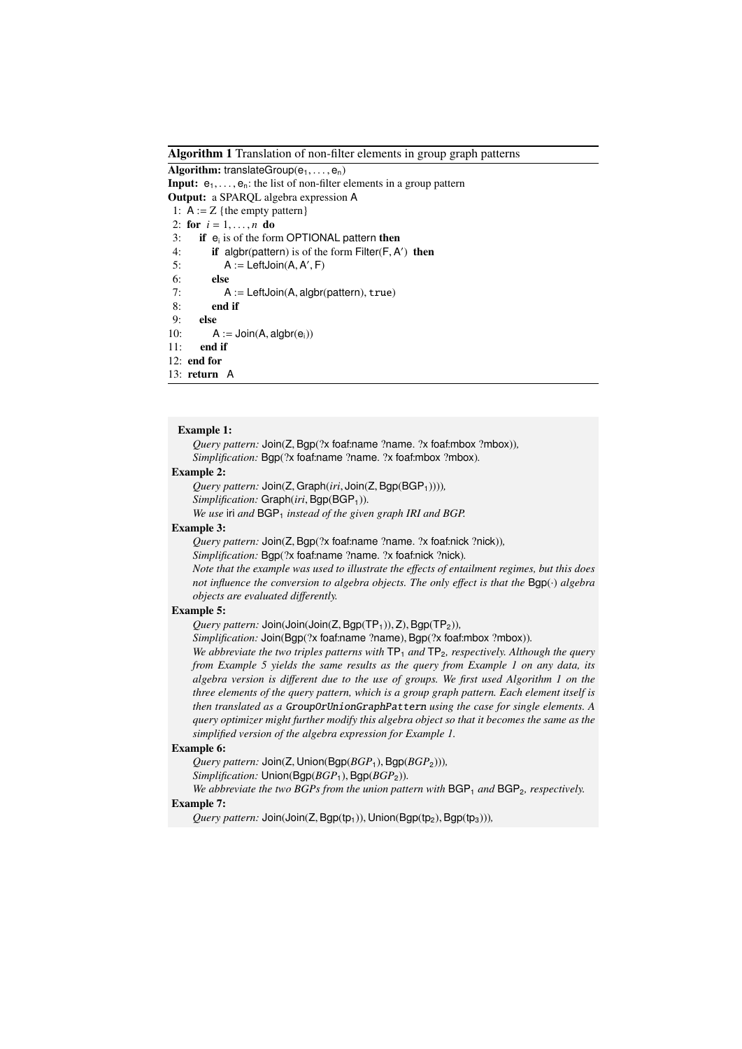#### Algorithm 1 Translation of non-filter elements in group graph patterns

Algorithm: translateGroup $(e_1, \ldots, e_n)$ **Input:**  $e_1, \ldots, e_n$ : the list of non-filter elements in a group pattern Output: a SPARQL algebra expression A 1:  $\overline{A}$  := Z {the empty pattern} 2: **for**  $i = 1, ..., n$  **do**<br>3: **if**  $e_i$  is of the form 3: if  $e_i$  is of the form OPTIONAL pattern then 4: if algbr(pattern) is of the form Filter(F, A') then<br>5.  $A := \left[ \begin{array}{cc} 1 & \text{if } \text{loin}(\mathbf{A} | \mathbf{A}^T) \\ 0 & \text{if } \text{loin}(\mathbf{A} | \mathbf{A}^T) \end{array} \right]$ 5:  $A := \text{LeftJoin}(A, A', F)$ 6: else 7:  $A := \text{LeftJoin}(A, \text{algbr}(\text{pattern}), \text{true})$ <br>8: **end if** end if 9: else 10:  $A := \text{Join}(A, \text{algbr}(e_i))$ <br>11: **end if** end if 12: end for 13: return A

#### Example 1:

*Query pattern:* Join(Z, Bgp(?x foaf:name ?name. ?x foaf:mbox ?mbox))*, Simplification:* Bgp(?x foaf:name ?name. ?x foaf:mbox ?mbox)*.*

#### Example 2:

*Query pattern:* Join(Z, Graph(*iri*, Join(Z, Bgp(BGP1))))*, Simplification:* Graph(*iri*, Bgp(BGP<sub>1</sub>)). *We use* iri *and* BGP<sub>1</sub> *instead of the given graph IRI and BGP.* 

#### Example 3:

*Query pattern:* Join(Z, Bgp(?x foaf:name ?name. ?x foaf:nick ?nick))*,*

*Simplification:* Bgp(?x foaf:name ?name. ?x foaf:nick ?nick)*.*

*Note that the example was used to illustrate the e*ff*ects of entailment regimes, but this does not influence the conversion to algebra objects. The only effect is that the* Bgp( $\cdot$ ) *algebra objects are evaluated di*ff*erently.*

#### Example 5:

*Query pattern:* Join(Join(Join(Z, Bgp(TP1)), <sup>Z</sup>), Bgp(TP2))*,*

*Simplification:* Join(Bgp(?x foaf:name ?name), Bgp(?x foaf:mbox ?mbox))*.*

*We abbreviate the two triples patterns with*  $TP_1$  *and*  $TP_2$ *, respectively. Although the query from Example 5 yields the same results as the query from Example 1 on any data, its algebra version is di*ff*erent due to the use of groups. We first used Algorithm 1 on the three elements of the query pattern, which is a group graph pattern. Each element itself is then translated as a* GroupOrUnionGraphPattern *using the case for single elements. A query optimizer might further modify this algebra object so that it becomes the same as the simplified version of the algebra expression for Example 1.*

#### Example 6:

*Query pattern:* Join(Z, Union(Bgp(*BGP*1), Bgp(*BGP*2)))*,*

*Simplification:* Union(Bgp(*BGP*1), Bgp(*BGP*2))*.*

*We abbreviate the two BGPs from the union pattern with* BGP<sub>1</sub> *and* BGP<sub>2</sub>*, respectively.* Example 7:

*Query pattern:*  $Join(Join(Z, Bgp(tp_1)), Union(Bgp(tp_2), Bgp(tp_3))),$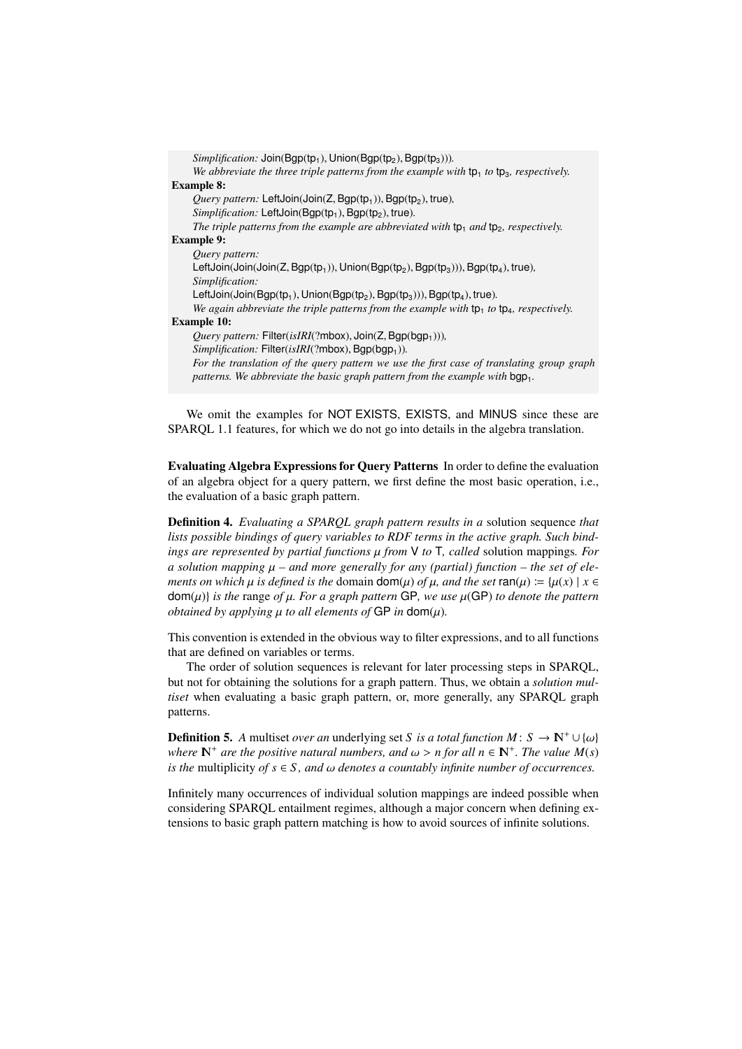| <i>Simplification:</i> Join( $Bqp(tp_1)$ , Union( $Bqp(tp_2)$ , $Bqp(tp_3)$ ).                                                    |
|-----------------------------------------------------------------------------------------------------------------------------------|
| We abbreviate the three triple patterns from the example with $tp_1$ to $tp_3$ , respectively.                                    |
| <b>Example 8:</b>                                                                                                                 |
| <i>Query pattern:</i> LeftJoin(Join(Z, Bgp(tp <sub>1</sub> )), Bgp(tp <sub>2</sub> ), true),                                      |
| $Simplification: \mathsf{LeftJoin}(\mathsf{Bqp(tp_1}), \mathsf{Bqp(tp_2}), \mathsf{true}).$                                       |
| The triple patterns from the example are abbreviated with $tp_1$ and $tp_2$ , respectively.                                       |
| <b>Example 9:</b>                                                                                                                 |
| Query pattern:                                                                                                                    |
| LeftJoin(Join(Join(Z, Bgp(tp <sub>1</sub> )), Union(Bgp(tp <sub>2</sub> ), Bgp(tp <sub>3</sub> ))), Bgp(tp <sub>4</sub> ), true), |
| Simplification:                                                                                                                   |
| LeftJoin(Join(Bgp(tp <sub>1</sub> ), Union(Bgp(tp <sub>2</sub> ), Bgp(tp <sub>3</sub> ))), Bgp(tp <sub>4</sub> ), true).          |
| We again abbreviate the triple patterns from the example with $tp_1$ to $tp_4$ , respectively.                                    |
| <b>Example 10:</b>                                                                                                                |
| <i>Query pattern:</i> Filter( <i>isIRI</i> (?mbox), Join( $Z$ , Bgp(bgp <sub>1</sub> ))),                                         |
| $Simplification: Filter(isIRI(?mbox), Bqp(bqp1)).$                                                                                |
| For the translation of the query pattern we use the first case of translating group graph                                         |
| patterns. We abbreviate the basic graph pattern from the example with $bqp_1$ .                                                   |
|                                                                                                                                   |

We omit the examples for NOT EXISTS, EXISTS, and MINUS since these are SPARQL 1.1 features, for which we do not go into details in the algebra translation.

Evaluating Algebra Expressions for Query Patterns In order to define the evaluation of an algebra object for a query pattern, we first define the most basic operation, i.e., the evaluation of a basic graph pattern.

Definition 4. *Evaluating a SPARQL graph pattern results in a* solution sequence *that lists possible bindings of query variables to RDF terms in the active graph. Such bindings are represented by partial functions* µ *from* <sup>V</sup> *to* <sup>T</sup>*, called* solution mappings*. For a solution mapping*  $\mu$  – and more generally for any (partial) function – the set of ele*ments on which*  $\mu$  *is defined is the domain dom*( $\mu$ ) *of*  $\mu$ *, and the set* ran( $\mu$ )  $\coloneq \{ \mu(x) | x \in$  $dom(\mu)$  *is the* range *of*  $\mu$ *. For a graph pattern* GP*, we use*  $\mu$ (GP) *to denote the pattern obtained by applying*  $\mu$  *to all elements of* GP *in* dom( $\mu$ ).

This convention is extended in the obvious way to filter expressions, and to all functions that are defined on variables or terms.

The order of solution sequences is relevant for later processing steps in SPARQL, but not for obtaining the solutions for a graph pattern. Thus, we obtain a *solution multiset* when evaluating a basic graph pattern, or, more generally, any SPARQL graph patterns.

**Definition 5.** *A* multiset *over an* underlying set *S* is a total function  $M: S \to \mathbb{N}^+ \cup \{\omega\}$ *where*  $\mathbb{N}^+$  *are the positive natural numbers, and*  $\omega > n$  *for all n*  $\in \mathbb{N}^+$ *. The value M(s) is the multiplicity of s*  $\in$  *S*, *and*  $\omega$  *denotes a countably infinite number of occurrences is the* multiplicity *of*  $s \in S$ *, and*  $\omega$  *denotes a countably infinite number of occurrences.* 

Infinitely many occurrences of individual solution mappings are indeed possible when considering SPARQL entailment regimes, although a major concern when defining extensions to basic graph pattern matching is how to avoid sources of infinite solutions.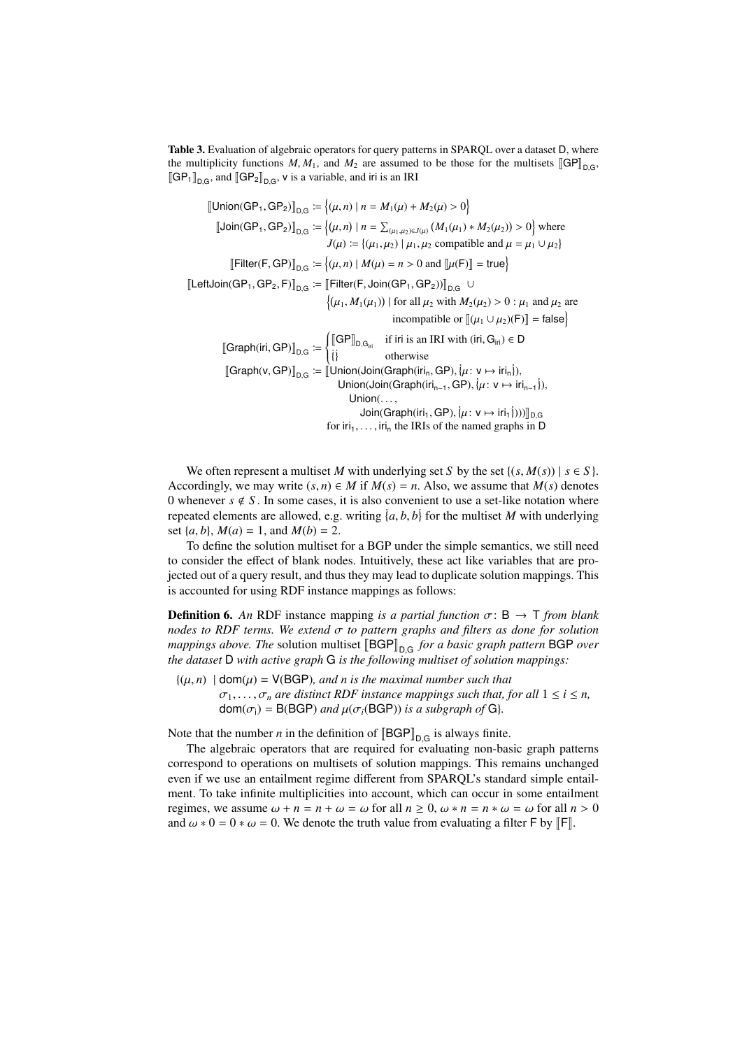Table 3. Evaluation of algebraic operators for query patterns in SPARQL over a dataset D, where the multiplicity functions *M*, *M*<sub>1</sub>, and *M*<sub>2</sub> are assumed to be those for the multisets  $[\mathsf{GP}]_{\mathsf{D},\mathsf{G}}$ ,  $[\mathsf{GP}]_{\mathsf{D},\mathsf{G}}$ ,  $[\mathsf{GP}]_{\mathsf{D},\mathsf{G}}$ ,  $[\![GP_1]\!]_{D,G}$ , and  $[\![GP_2]\!]_{D,G}$ , v is a variable, and iri is an IRI

$$
\begin{aligned}\n\llbracket \text{Union}(GP_1, GP_2) \rrbracket_{D,G} &:= \{(\mu, n) \mid n = M_1(\mu) + M_2(\mu) > 0\} \\
\llbracket \text{Join}(GP_1, GP_2) \rrbracket_{D,G} &:= \{(\mu, n) \mid n = \sum_{(\mu_1, \mu_2) \in J(\mu)} (M_1(\mu_1) * M_2(\mu_2)) > 0\} \text{ where } \\
& J(\mu) := \{(\mu_1, \mu_2) \mid \mu_1, \mu_2 \text{ compatible and } \mu = \mu_1 \cup \mu_2\} \\
\llbracket \text{Filter}(F, GP) \rrbracket_{D,G} &:= \{(\mu, n) \mid M(\mu) = n > 0 \text{ and } [\mu(F)] = \text{true}\} \\
\llbracket \text{LeftJoin}(GP_1, GP_2, F) \rrbracket_{D,G} &:= \llbracket \text{Filter}(F, \text{Join}(GP_1, GP_2)) \rrbracket_{D,G} \cup \\
& \{(\mu_1, M_1(\mu_1)) \mid \text{for all } \mu_2 \text{ with } M_2(\mu_2) > 0 : \mu_1 \text{ and } \mu_2 \text{ are incomplete or } [\mu_1 \cup \mu_2)(F) \rrbracket = \text{false}\} \\
\llbracket \text{Graph}(ir, GP) \rrbracket_{D,G} &:= \llbracket \text{[GPP} \rrbracket_{D,G_{\text{int}}}\n\quad \text{if it is an IRI with (iri, G_{\text{int}}) \in D \\
\llbracket \text{Graph}(v, GP) \rrbracket_{D,G} &:= \llbracket \text{Union}(\text{Join}(Graph(ir_{n-1}, GP), \{\mu: v \mapsto ir_{n-1}\}), \\
& \text{Union}(\text{Join}(C,Exp)(ir_{n-1}, GP), \{\mu: v \mapsto ir_{n-1}\}), \\
& \text{Join}(C, \text{graph}(ir_{n-1}, GP), \{\mu: v \mapsto ir_{n-1}\})\n\end{aligned}
$$
\nfor  $ir_{1}, \ldots, ir_{n}$  the IRIs of the named graphs in D

We often represent a multiset *M* with underlying set *S* by the set  $\{(s, M(s)) | s \in S\}$ . Accordingly, we may write  $(s, n) \in M$  if  $M(s) = n$ . Also, we assume that  $M(s)$  denotes 0 whenever  $s \notin S$ . In some cases, it is also convenient to use a set-like notation where repeated elements are allowed, e.g. writing  $\{a, b, b\}$  for the multiset *M* with underlying set  $\{a, b\}$ ,  $M(a) = 1$ , and  $M(b) = 2$ .

To define the solution multiset for a BGP under the simple semantics, we still need to consider the effect of blank nodes. Intuitively, these act like variables that are projected out of a query result, and thus they may lead to duplicate solution mappings. This is accounted for using RDF instance mappings as follows:

**Definition 6.** An RDF instance mapping *is a partial function*  $\sigma: B \rightarrow T$  *from blank nodes to RDF terms. We extend* σ *to pattern graphs and filters as done for solution* mappings above. The solution multiset  $\left[\mathsf{BGP}\right]_{\mathsf{D},\mathsf{G}}$  for a basic graph pattern BGP over<br>the dataset D with active graph G is the following multiset of solution mappings: *the dataset* D *with active graph* G *is the following multiset of solution mappings:*

 ${(\mu, n) \mid \text{dom}(\mu) = \text{V}(BGP)}$ , and *n* is the maximal number such that  $\sigma_1, \ldots, \sigma_n$  are distinct RDF instance mappings such that, for all  $1 \leq i \leq n$ ,  $dom(\sigma_i) = B(BGP)$  *and*  $\mu(\sigma_i(BGP))$  *is a subgraph of* G*.* 

Note that the number *n* in the definition of  $[\mathsf{BGP}]_{\mathsf{D},\mathsf{G}}$  is always finite.<br>The algebraic operators that are required for evaluating non-has

The algebraic operators that are required for evaluating non-basic graph patterns correspond to operations on multisets of solution mappings. This remains unchanged even if we use an entailment regime different from SPARQL's standard simple entailment. To take infinite multiplicities into account, which can occur in some entailment regimes, we assume  $\omega + n = n + \omega = \omega$  for all  $n \ge 0$ ,  $\omega * n = n * \omega = \omega$  for all  $n > 0$ and  $\omega * 0 = 0 * \omega = 0$ . We denote the truth value from evaluating a filter F by [F].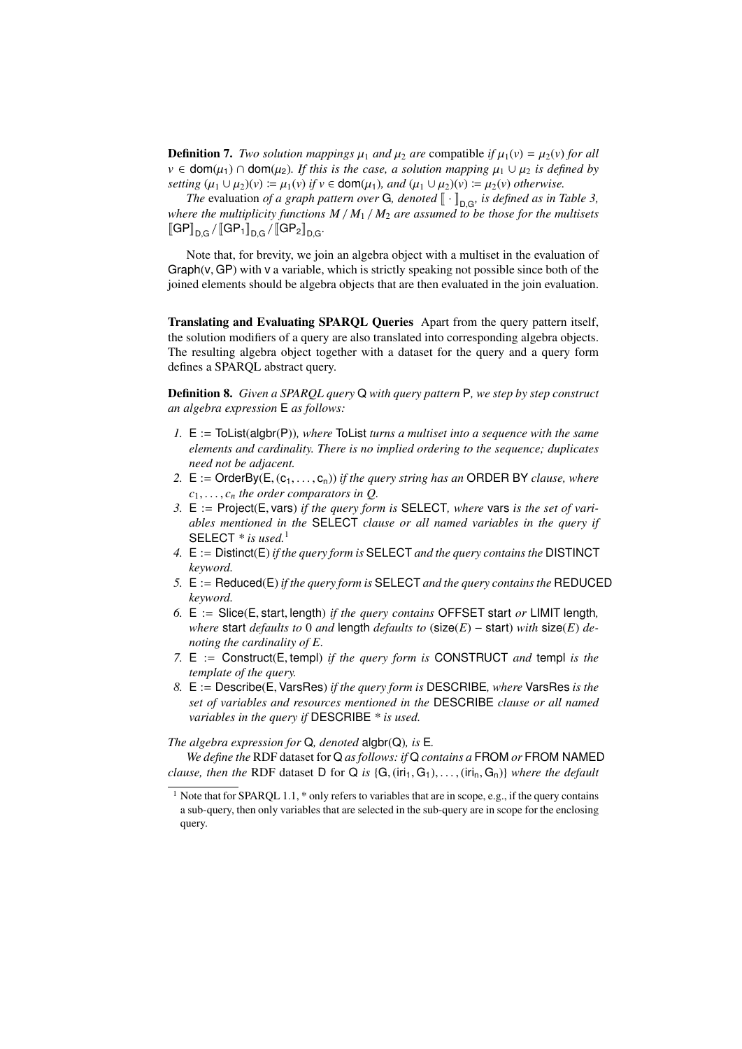**Definition 7.** *Two solution mappings*  $\mu_1$  *and*  $\mu_2$  *are* compatible *if*  $\mu_1(v) = \mu_2(v)$  *for all v* ∈ dom( $\mu_1$ ) ∩ dom( $\mu_2$ )*. If this is the case, a solution mapping*  $\mu_1 \cup \mu_2$  *is defined by setting*  $(\mu_1 \cup \mu_2)(v) := \mu_1(v)$  *if*  $v \in \text{dom}(\mu_1)$ *, and*  $(\mu_1 \cup \mu_2)(v) := \mu_2(v)$  *otherwise.* 

*The* evaluation *of a graph pattern over* **G**, *denoted*  $\lbrack \lbrack \cdot \rbrack_{D,G}$ , is defined as in Table 3,<br>re the multiplicity functions M / M, / M<sub>2</sub> are assumed to be those for the multisets *where the multiplicity functions M* / *M*<sup>1</sup> / *M*<sup>2</sup> *are assumed to be those for the multisets*  $\llbracket \mathsf{GP} \rrbracket_{\mathsf{D},\mathsf{G}} / \llbracket \mathsf{GP}_1 \rrbracket_{\mathsf{D},\mathsf{G}} / \llbracket \mathsf{GP}_2 \rrbracket_{\mathsf{D},\mathsf{G}}.$ 

Note that, for brevity, we join an algebra object with a multiset in the evaluation of Graph(v,  $GP$ ) with v a variable, which is strictly speaking not possible since both of the joined elements should be algebra objects that are then evaluated in the join evaluation.

Translating and Evaluating SPARQL Queries Apart from the query pattern itself, the solution modifiers of a query are also translated into corresponding algebra objects. The resulting algebra object together with a dataset for the query and a query form defines a SPARQL abstract query.

Definition 8. *Given a SPARQL query* Q *with query pattern* P*, we step by step construct an algebra expression* E *as follows:*

- *1.* E := ToList(algbr(P))*, where* ToList *turns a multiset into a sequence with the same elements and cardinality. There is no implied ordering to the sequence; duplicates need not be adjacent.*
- *2.*  $E := \text{OrderBy}(E, (c_1, \ldots, c_n))$  *if the query string has an* ORDER BY *clause, where*  $c_1, \ldots, c_n$  the order comparators in Q.
- *3.* <sup>E</sup> :<sup>=</sup> Project(E, vars) *if the query form is* SELECT*, where* vars *is the set of variables mentioned in the* SELECT *clause or all named variables in the query if* SELECT *\* is used.*<sup>1</sup>
- *4.* E := Distinct(E) *if the query form is* SELECT *and the query contains the* DISTINCT *keyword.*
- *5.* E := Reduced(E) *if the query form is* SELECT *and the query contains the* REDUCED *keyword.*
- *6.* <sup>E</sup> :<sup>=</sup> Slice(E, start, length) *if the query contains* OFFSET start *or* LIMIT length*, where* start *defaults to* 0 *and* length *defaults to* (size( $E$ ) – start) *with* size( $E$ ) *denoting the cardinality of E.*
- *7.* <sup>E</sup> :<sup>=</sup> Construct(E, templ) *if the query form is* CONSTRUCT *and* templ *is the template of the query.*
- *8.* <sup>E</sup> :<sup>=</sup> Describe(E, VarsRes) *if the query form is* DESCRIBE*, where* VarsRes *is the set of variables and resources mentioned in the* DESCRIBE *clause or all named variables in the query if* DESCRIBE *\* is used.*

### *The algebra expression for* Q*, denoted* algbr(Q)*, is* E*.*

*We define the* RDF dataset for Q *as follows: if* Q *contains a* FROM *or* FROM NAMED *clause, then the* RDF dataset D for Q *is*  $\{G, (iri_1, G_1), \ldots, (iri_n, G_n)\}\$  *where the default* 

<sup>&</sup>lt;sup>1</sup> Note that for SPARQL 1.1, \* only refers to variables that are in scope, e.g., if the query contains a sub-query, then only variables that are selected in the sub-query are in scope for the enclosing query.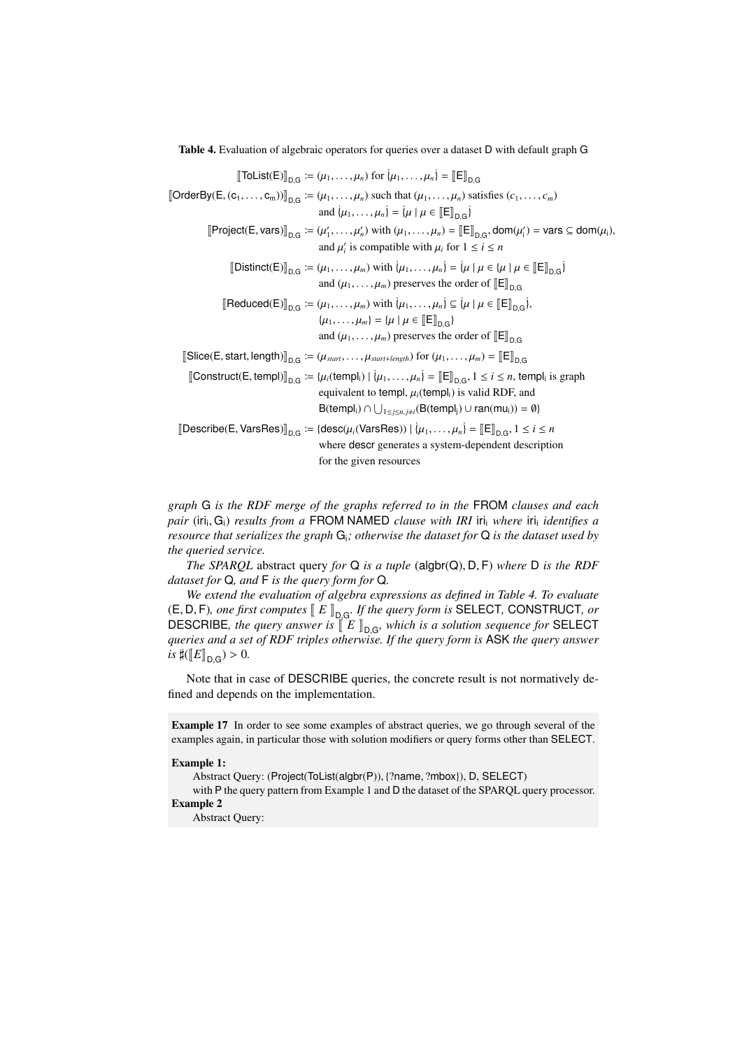Table 4. Evaluation of algebraic operators for queries over a dataset D with default graph G

 $\llbracket \text{ToList}(E) \rrbracket_{D,G} := (\mu_1, \dots, \mu_n) \text{ for } \{ \mu_1, \dots, \mu_n \} = \llbracket E \rrbracket_{D,G}$  $\llbracket \text{OrderBy}(E, (c_1, \ldots, c_m)) \rrbracket_{\text{D},G} \coloneqq (\mu_1, \ldots, \mu_n) \text{ such that } (\mu_1, \ldots, \mu_n) \text{ satisfies } (c_1, \ldots, c_m)$ and  $\{\mu_1, \ldots, \mu_n\} = {\{\mu \mid \mu \in \llbracket \mathsf{E} \rrbracket}_{\mathsf{D},\mathsf{G}}\}$  $\llbracket \mathsf{Project}(E, vars) \rrbracket_{D,G} := (\mu'_1, \dots, \mu'_n) \text{ with } (\mu_1, \dots, \mu_n) = \llbracket E \rrbracket_{D,G}, \mathsf{dom}(\mu'_1) = \mathsf{vars} \subseteq \mathsf{dom}(\mu_i),$ and  $\mu'_i$  is compatible with  $\mu_i$  for  $1 \le i \le n$  $\llbracket \mathsf{Distinct}(E) \rrbracket_{D,G} := (\mu_1, \ldots, \mu_m) \text{ with } \{ \mu_1, \ldots, \mu_n \} = \{ \mu \mid \mu \in \{\mu \mid \mu \in \llbracket E \rrbracket_{D,G} \}$ and  $(\mu_1, \ldots, \mu_m)$  preserves the order of  $\mathbb{E}_{\mathbb{R}^n}$  $\llbracket \mathsf{Reduced}(E) \rrbracket_{D,G} \coloneqq (\mu_1, \ldots, \mu_m) \text{ with } \{ \mu_1, \ldots, \mu_n \} \subseteq \{ \mu \mid \mu \in \llbracket E \rrbracket_{D,G} \},$  $\{\mu_1, \ldots, \mu_m\} = \{\mu \mid \mu \in \llbracket \mathsf{E} \rrbracket_{\mathsf{D},\mathsf{G}}\}$ and  $(\mu_1, \ldots, \mu_m)$  preserves the order of  $\mathbb{E}$ <sub>n</sub>  $\llbracket$ Slice(E, start, length) $\rrbracket_{\text{D,G}} := (\mu_{start}, \ldots, \mu_{start+length})$  for  $(\mu_1, \ldots, \mu_m) = \llbracket \mathbb{E} \rrbracket_{\text{D,G}}$  $\llbracket \text{Construct}(\mathsf{E}, \text{tempI}) \rrbracket_{\mathsf{D},\mathsf{G}} \coloneqq \{ \mu_i(\text{tempI}_i) \mid \{ \mu_1, \dots, \mu_n \} = \llbracket \mathsf{E} \rrbracket_{\mathsf{D},\mathsf{G}}, 1 \leq i \leq n, \text{ tempI}_i \text{ is graph}$ equivalent to templ,  $\mu_i$ (templ<sub>i</sub>) is valid RDF, and  $B$ (templ<sub>i</sub>) ∩  $\bigcup_{1 \leq j \leq n, j \neq i} (B$ (templ<sub>j</sub>) ∪ ran(mu<sub>i</sub>)) = 0}  $\llbracket \mathsf{Describe}(E,\mathsf{VarsRes}) \rrbracket_{D,G} \coloneqq \{\mathsf{desc}(\mu_i(\mathsf{VarsRes})) \mid \{\mu_1,\ldots,\mu_n\} = \llbracket E \rrbracket_{D,G}, 1 \leq i \leq n$ where descr generates a system-dependent description for the given resources

*graph* G *is the RDF merge of the graphs referred to in the* FROM *clauses and each* pair (iri<sub>i</sub>, G<sub>i</sub>) *results from a* FROM NAMED *clause with IRI* iri<sub>i</sub> where iri<sub>i</sub> identifies a<br>resource that serializes the aranh G:: otherwise the dataset for Q is the dataset used by *resource that serializes the graph* Gi*; otherwise the dataset for* Q *is the dataset used by the queried service.*

*The SPARQL* abstract query *for* <sup>Q</sup> *is a tuple* (algbr(Q), <sup>D</sup>, <sup>F</sup>) *where* <sup>D</sup> *is the RDF dataset for* Q*, and* F *is the query form for* Q*.*

*We extend the evaluation of algebra expressions as defined in Table 4. To evaluate* (E, D, F)*, one first computes*  $\llbracket E \rrbracket_{\text{D,G}}$ *. If the query form is* SELECT, CONSTRUCT*, or*<br>DESCRIBE *the query answer is*  $\llbracket F \rrbracket$  which is a solution sequence for SELECT **DESCRIBE**, the query answer is  $\llbracket E \rrbracket_{D,G}$ , which is a solution sequence for **SELECT** aneries and a set of RDF triples otherwise. If the query form is ASK the query answer *queries and a set of RDF triples otherwise. If the query form is* ASK *the query answer*  $i s \, \sharp (\llbracket E \rrbracket_{\mathsf{D},\mathsf{G}}) > 0.$ 

Note that in case of DESCRIBE queries, the concrete result is not normatively defined and depends on the implementation.

Example 17 In order to see some examples of abstract queries, we go through several of the examples again, in particular those with solution modifiers or query forms other than SELECT.

#### Example 1:

Abstract Query: (Project(ToList(algbr(P)), {?name, ?mbox}), <sup>D</sup>, SELECT)

with P the query pattern from Example 1 and D the dataset of the SPARQL query processor. Example 2

Abstract Query: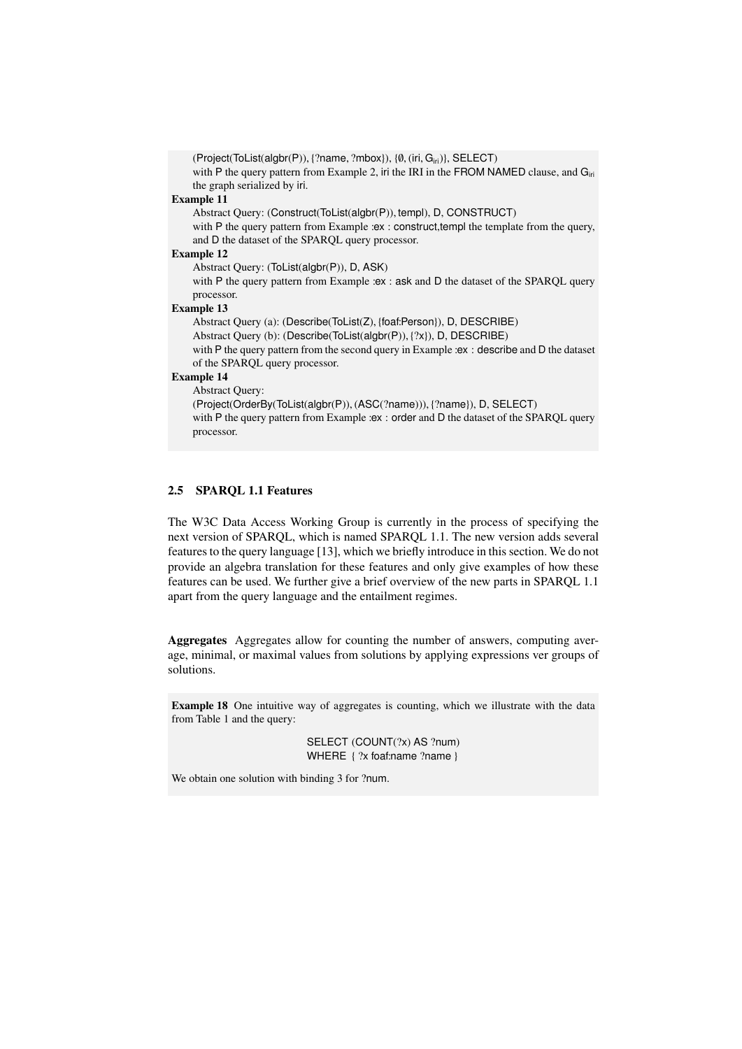(Project(ToList(algbr(P)), {?name, ?mbox}), {∅, (iri, <sup>G</sup>iri)}, SELECT) with P the query pattern from Example 2, iri the IRI in the FROM NAMED clause, and  $G_{\text{int}}$ the graph serialized by iri.

#### Example 11

Abstract Query: (Construct(ToList(algbr(P)), templ), <sup>D</sup>, CONSTRUCT)

with P the query pattern from Example :ex : construct, temple the template from the query, and D the dataset of the SPARQL query processor.

#### Example 12

Abstract Query: (ToList(algbr(P)), D, ASK)

with P the query pattern from Example :ex : ask and D the dataset of the SPARQL query processor.

#### Example 13

Abstract Query (a): (Describe(ToList(Z), {foaf:Person}), <sup>D</sup>, DESCRIBE)

Abstract Query (b): (Describe(ToList(algbr(P)), {?x}), <sup>D</sup>, DESCRIBE)

with P the query pattern from the second query in Example :ex : describe and D the dataset of the SPARQL query processor.

## Example 14

Abstract Query:

(Project(OrderBy(ToList(algbr(P)), (ASC(?name))), {?name}), <sup>D</sup>, SELECT) with P the query pattern from Example :ex : order and D the dataset of the SPARQL query processor.

#### 2.5 SPARQL 1.1 Features

The W3C Data Access Working Group is currently in the process of specifying the next version of SPARQL, which is named SPARQL 1.1. The new version adds several features to the query language [13], which we briefly introduce in this section. We do not provide an algebra translation for these features and only give examples of how these features can be used. We further give a brief overview of the new parts in SPARQL 1.1 apart from the query language and the entailment regimes.

Aggregates Aggregates allow for counting the number of answers, computing average, minimal, or maximal values from solutions by applying expressions ver groups of solutions.

Example 18 One intuitive way of aggregates is counting, which we illustrate with the data from Table 1 and the query:

> SELECT (COUNT(?x) AS ?num) WHERE { ?x foaf:name ?name }

We obtain one solution with binding 3 for ?num.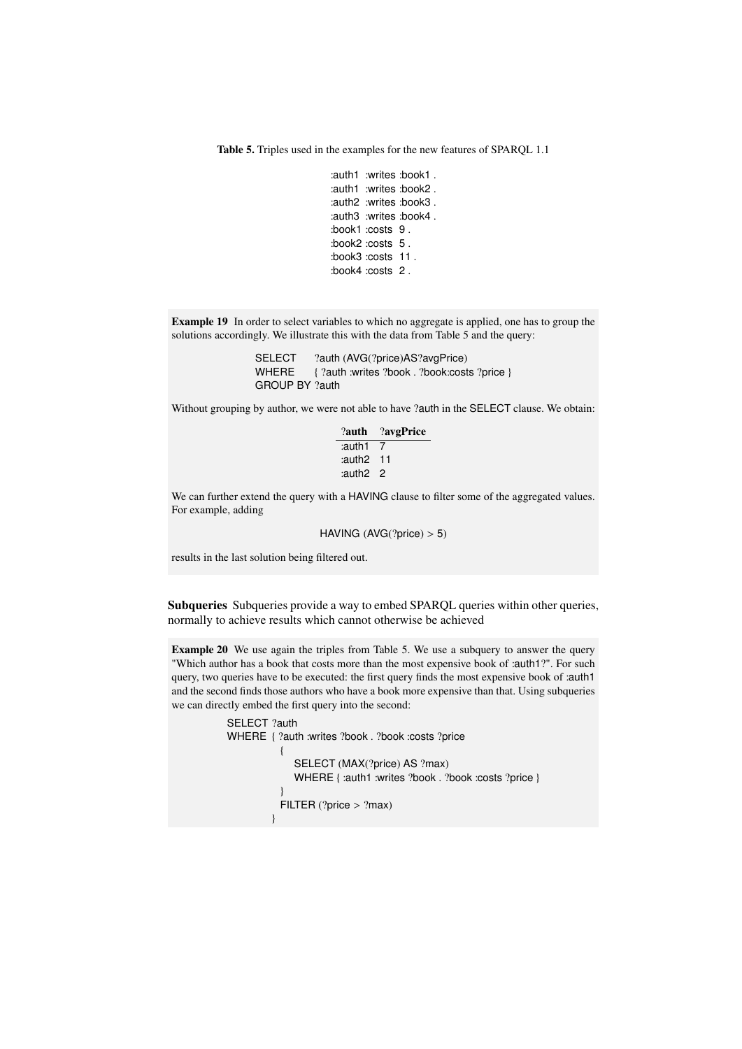Table 5. Triples used in the examples for the new features of SPARQL 1.1

:auth1 :writes :book1 . :auth1 :writes :book2 . :auth2 :writes :book3 . :auth3 :writes :book4 . :book1 :costs 9 . :book2 :costs 5 . :book3 :costs 11 . :book4 :costs 2 .

Example 19 In order to select variables to which no aggregate is applied, one has to group the solutions accordingly. We illustrate this with the data from Table 5 and the query:

> SELECT ?auth (AVG(?price)AS?avgPrice) WHERE { ?auth :writes ?book . ?book:costs ?price } GROUP BY ?auth

Without grouping by author, we were not able to have ?auth in the SELECT clause. We obtain:

| ?avgPrice           |
|---------------------|
| $\prime$            |
| :auth2 11           |
| auth <sub>2</sub> 2 |
|                     |

We can further extend the query with a HAVING clause to filter some of the aggregated values. For example, adding

HAVING (AVG(?price) > <sup>5</sup>)

results in the last solution being filtered out.

Subqueries Subqueries provide a way to embed SPARQL queries within other queries, normally to achieve results which cannot otherwise be achieved

Example 20 We use again the triples from Table 5. We use a subquery to answer the query "Which author has a book that costs more than the most expensive book of :auth1?". For such query, two queries have to be executed: the first query finds the most expensive book of :auth1 and the second finds those authors who have a book more expensive than that. Using subqueries we can directly embed the first query into the second:

```
SELECT ?auth
WHERE { ?auth :writes ?book . ?book :costs ?price
          {
             SELECT (MAX(?price) AS ?max)
             WHERE { :auth1 :writes ?book . ?book :costs ?price }
           }
          FILTER (?price > ?max)
         }
```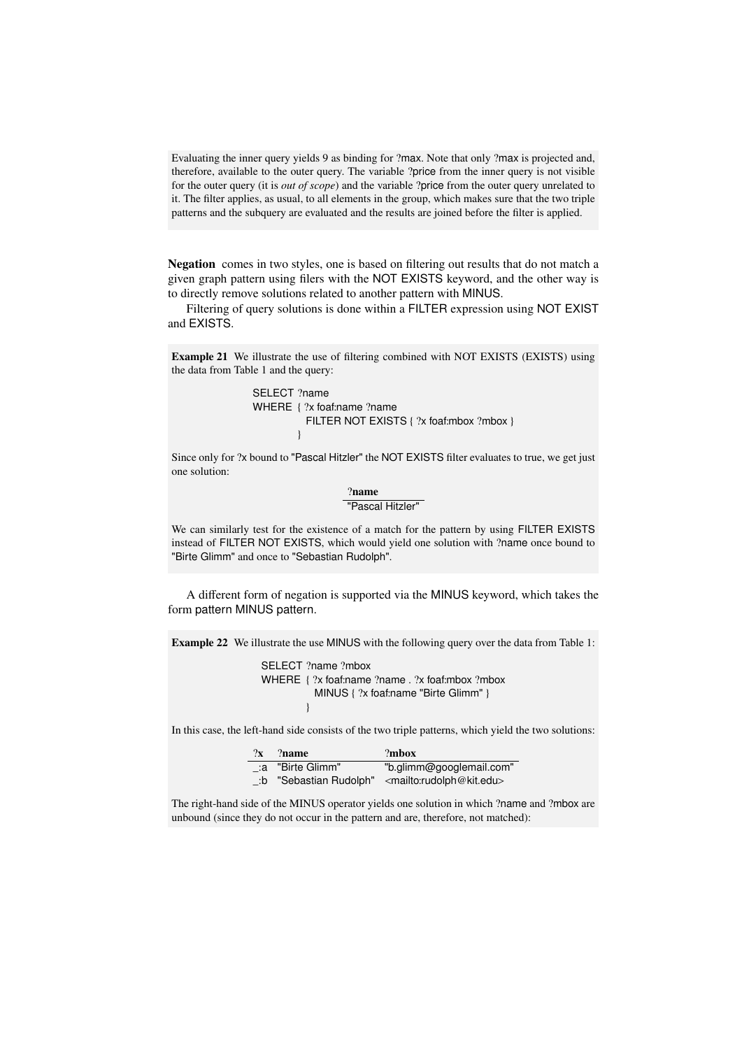Evaluating the inner query yields 9 as binding for ?max. Note that only ?max is projected and, therefore, available to the outer query. The variable ?price from the inner query is not visible for the outer query (it is *out of scope*) and the variable ?price from the outer query unrelated to it. The filter applies, as usual, to all elements in the group, which makes sure that the two triple patterns and the subquery are evaluated and the results are joined before the filter is applied.

Negation comes in two styles, one is based on filtering out results that do not match a given graph pattern using filers with the NOT EXISTS keyword, and the other way is to directly remove solutions related to another pattern with MINUS.

Filtering of query solutions is done within a FILTER expression using NOT EXIST and EXISTS.

Example 21 We illustrate the use of filtering combined with NOT EXISTS (EXISTS) using the data from Table 1 and the query:

> SELECT ?name WHERE { ?x foaf:name ?name FILTER NOT EXISTS { ?x foaf:mbox ?mbox } }

Since only for ?x bound to "Pascal Hitzler" the NOT EXISTS filter evaluates to true, we get just one solution:

> ?name "Pascal Hitzler"

We can similarly test for the existence of a match for the pattern by using FILTER EXISTS instead of FILTER NOT EXISTS, which would yield one solution with ?name once bound to "Birte Glimm" and once to "Sebastian Rudolph".

A different form of negation is supported via the MINUS keyword, which takes the form pattern MINUS pattern.

Example 22 We illustrate the use MINUS with the following query over the data from Table 1:

SELECT ?name ?mbox WHERE { ?x foaf:name ?name . ?x foaf:mbox ?mbox MINUS { ?x foaf:name "Birte Glimm" } }

In this case, the left-hand side consists of the two triple patterns, which yield the two solutions:

| 2x | ?name            | ? <b>mbox</b>                                                         |
|----|------------------|-----------------------------------------------------------------------|
|    | :a "Birte Glimm" | "b.glimm@googlemail.com"                                              |
|    |                  | "Sebastian Rudolph" <mailto:rudolph@kit.edu></mailto:rudolph@kit.edu> |
|    |                  |                                                                       |

The right-hand side of the MINUS operator yields one solution in which ?name and ?mbox are unbound (since they do not occur in the pattern and are, therefore, not matched):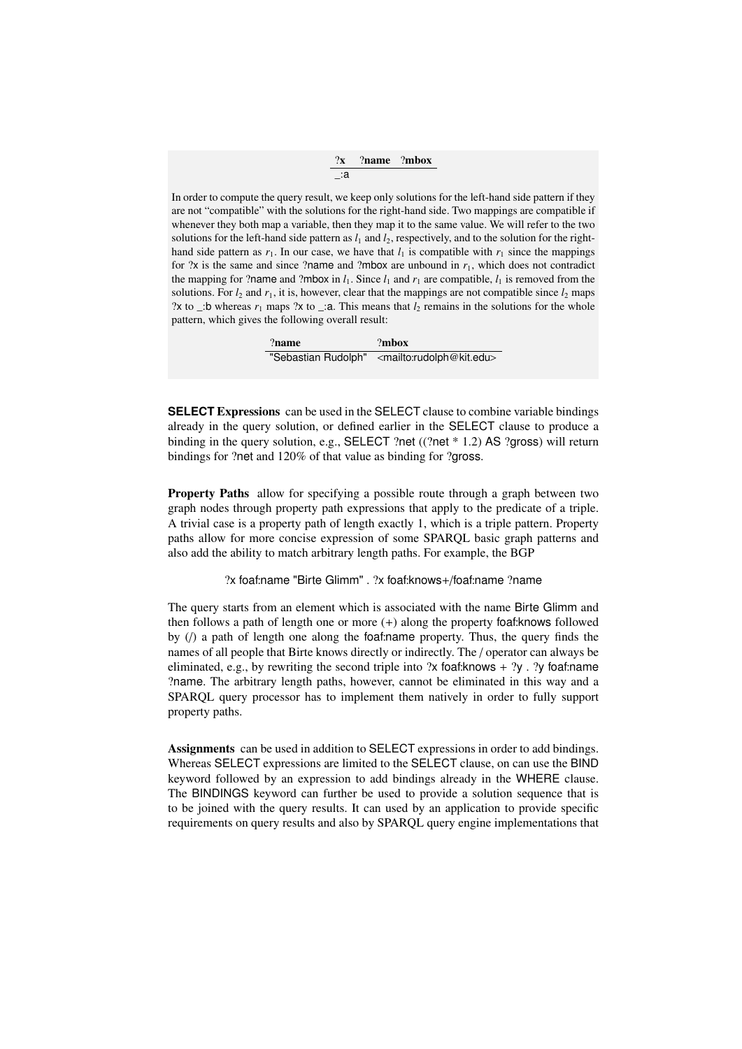| $\gamma_{\mathbf{X}}$ | - ?name ?mbox |  |
|-----------------------|---------------|--|
| ÷а                    |               |  |

In order to compute the query result, we keep only solutions for the left-hand side pattern if they are not "compatible" with the solutions for the right-hand side. Two mappings are compatible if whenever they both map a variable, then they map it to the same value. We will refer to the two solutions for the left-hand side pattern as  $l_1$  and  $l_2$ , respectively, and to the solution for the righthand side pattern as  $r_1$ . In our case, we have that  $l_1$  is compatible with  $r_1$  since the mappings for ?x is the same and since ?name and ?mbox are unbound in  $r_1$ , which does not contradict the mapping for ?name and ?mbox in  $l_1$ . Since  $l_1$  and  $r_1$  are compatible,  $l_1$  is removed from the solutions. For  $l_2$  and  $r_1$ , it is, however, clear that the mappings are not compatible since  $l_2$  maps ?x to \_:b whereas  $r_1$  maps ?x to \_:a. This means that  $l_2$  remains in the solutions for the whole pattern, which gives the following overall result:

> ?name ?mbox "Sebastian Rudolph" <mailto:rudolph@kit.edu>

**SELECT** Expressions can be used in the SELECT clause to combine variable bindings already in the query solution, or defined earlier in the SELECT clause to produce a binding in the query solution, e.g., SELECT ?net ((?net \* 1.2) AS ?gross) will return bindings for ?net and 120% of that value as binding for ?gross.

**Property Paths** allow for specifying a possible route through a graph between two graph nodes through property path expressions that apply to the predicate of a triple. A trivial case is a property path of length exactly 1, which is a triple pattern. Property paths allow for more concise expression of some SPARQL basic graph patterns and also add the ability to match arbitrary length paths. For example, the BGP

?x foaf:name "Birte Glimm" . ?x foaf:knows+/foaf:name ?name

The query starts from an element which is associated with the name Birte Glimm and then follows a path of length one or more (+) along the property foaf:knows followed by  $\ell$  a path of length one along the foat:name property. Thus, the query finds the names of all people that Birte knows directly or indirectly. The / operator can always be eliminated, e.g., by rewriting the second triple into  $x$  foaf: knows  $+ 2y$ .  $y$  foaf: name ?name. The arbitrary length paths, however, cannot be eliminated in this way and a SPARQL query processor has to implement them natively in order to fully support property paths.

Assignments can be used in addition to SELECT expressions in order to add bindings. Whereas SELECT expressions are limited to the SELECT clause, on can use the BIND keyword followed by an expression to add bindings already in the WHERE clause. The BINDINGS keyword can further be used to provide a solution sequence that is to be joined with the query results. It can used by an application to provide specific requirements on query results and also by SPARQL query engine implementations that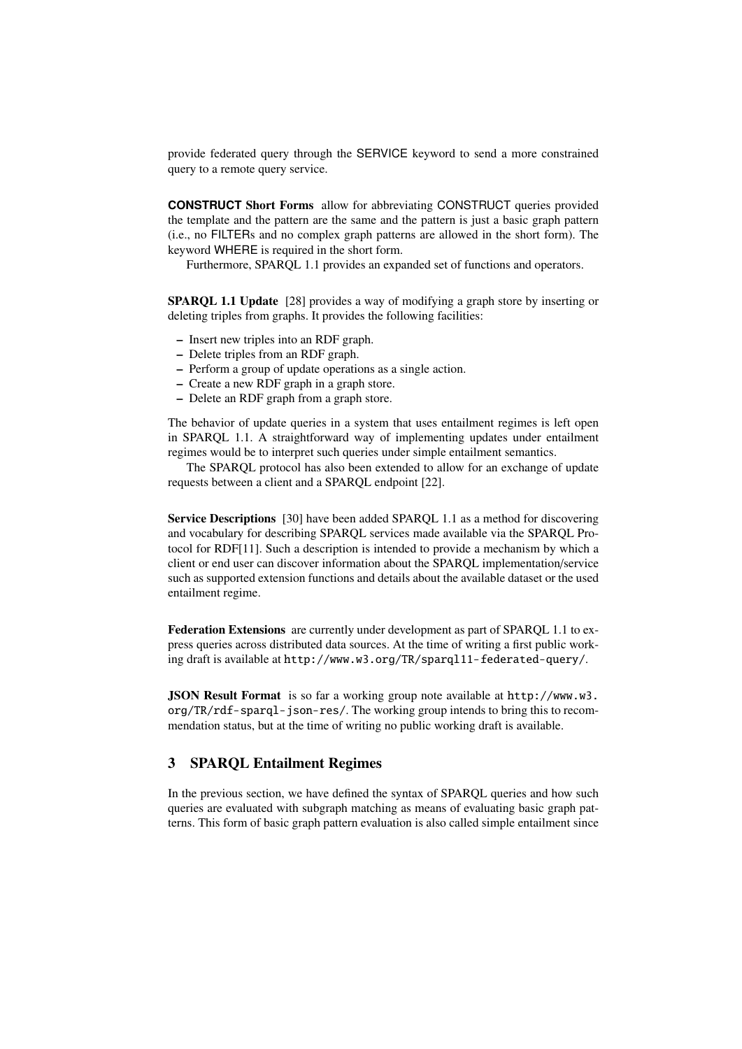provide federated query through the SERVICE keyword to send a more constrained query to a remote query service.

**CONSTRUCT** Short Forms allow for abbreviating CONSTRUCT queries provided the template and the pattern are the same and the pattern is just a basic graph pattern (i.e., no FILTERs and no complex graph patterns are allowed in the short form). The keyword WHERE is required in the short form.

Furthermore, SPARQL 1.1 provides an expanded set of functions and operators.

SPARQL 1.1 Update [28] provides a way of modifying a graph store by inserting or deleting triples from graphs. It provides the following facilities:

- Insert new triples into an RDF graph.
- Delete triples from an RDF graph.
- Perform a group of update operations as a single action.
- Create a new RDF graph in a graph store.
- Delete an RDF graph from a graph store.

The behavior of update queries in a system that uses entailment regimes is left open in SPARQL 1.1. A straightforward way of implementing updates under entailment regimes would be to interpret such queries under simple entailment semantics.

The SPARQL protocol has also been extended to allow for an exchange of update requests between a client and a SPARQL endpoint [22].

Service Descriptions [30] have been added SPARQL 1.1 as a method for discovering and vocabulary for describing SPARQL services made available via the SPARQL Protocol for RDF[11]. Such a description is intended to provide a mechanism by which a client or end user can discover information about the SPARQL implementation/service such as supported extension functions and details about the available dataset or the used entailment regime.

Federation Extensions are currently under development as part of SPARQL 1.1 to express queries across distributed data sources. At the time of writing a first public working draft is available at http://www.w3.org/TR/sparql11-federated-query/.

JSON Result Format is so far a working group note available at http://www.w3. org/TR/rdf-sparql-json-res/. The working group intends to bring this to recommendation status, but at the time of writing no public working draft is available.

# 3 SPARQL Entailment Regimes

In the previous section, we have defined the syntax of SPARQL queries and how such queries are evaluated with subgraph matching as means of evaluating basic graph patterns. This form of basic graph pattern evaluation is also called simple entailment since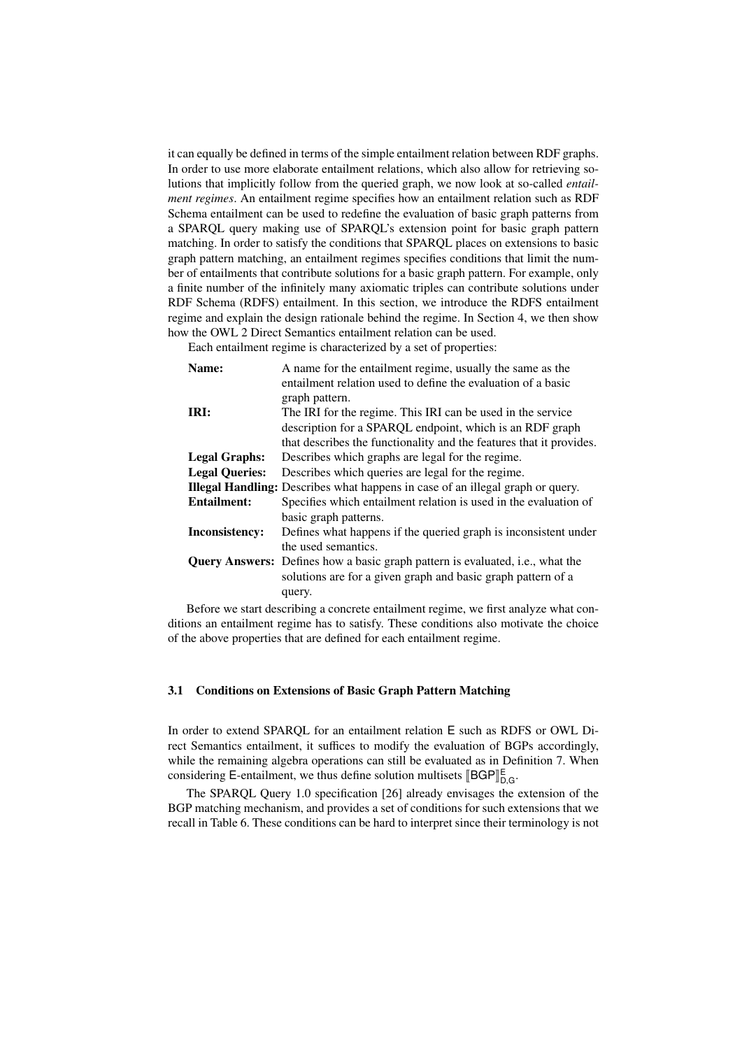it can equally be defined in terms of the simple entailment relation between RDF graphs. In order to use more elaborate entailment relations, which also allow for retrieving solutions that implicitly follow from the queried graph, we now look at so-called *entailment regimes*. An entailment regime specifies how an entailment relation such as RDF Schema entailment can be used to redefine the evaluation of basic graph patterns from a SPARQL query making use of SPARQL's extension point for basic graph pattern matching. In order to satisfy the conditions that SPARQL places on extensions to basic graph pattern matching, an entailment regimes specifies conditions that limit the number of entailments that contribute solutions for a basic graph pattern. For example, only a finite number of the infinitely many axiomatic triples can contribute solutions under RDF Schema (RDFS) entailment. In this section, we introduce the RDFS entailment regime and explain the design rationale behind the regime. In Section 4, we then show how the OWL 2 Direct Semantics entailment relation can be used.

Each entailment regime is characterized by a set of properties:

| Name:                 | A name for the entailment regime, usually the same as the                             |
|-----------------------|---------------------------------------------------------------------------------------|
|                       | entailment relation used to define the evaluation of a basic                          |
|                       | graph pattern.                                                                        |
| IRI:                  | The IRI for the regime. This IRI can be used in the service                           |
|                       | description for a SPARQL endpoint, which is an RDF graph                              |
|                       | that describes the functionality and the features that it provides.                   |
| <b>Legal Graphs:</b>  | Describes which graphs are legal for the regime.                                      |
| <b>Legal Queries:</b> | Describes which queries are legal for the regime.                                     |
|                       | <b>Illegal Handling:</b> Describes what happens in case of an illegal graph or query. |
| <b>Entailment:</b>    | Specifies which entailment relation is used in the evaluation of                      |
|                       | basic graph patterns.                                                                 |
| Inconsistency:        | Defines what happens if the queried graph is inconsistent under                       |
|                       | the used semantics.                                                                   |
|                       | <b>Query Answers:</b> Defines how a basic graph pattern is evaluated, i.e., what the  |
|                       | solutions are for a given graph and basic graph pattern of a                          |
|                       | query.                                                                                |
|                       |                                                                                       |

Before we start describing a concrete entailment regime, we first analyze what conditions an entailment regime has to satisfy. These conditions also motivate the choice of the above properties that are defined for each entailment regime.

#### 3.1 Conditions on Extensions of Basic Graph Pattern Matching

In order to extend SPARQL for an entailment relation E such as RDFS or OWL Direct Semantics entailment, it suffices to modify the evaluation of BGPs accordingly, while the remaining algebra operations can still be evaluated as in Definition 7. When considering E-entailment, we thus define solution multisets  $\left[\text{BGP}\right]_{\text{D,G}}^E$ 

The SPARQL Query 1.0 specification [26] already envisages the extension of the BGP matching mechanism, and provides a set of conditions for such extensions that we recall in Table 6. These conditions can be hard to interpret since their terminology is not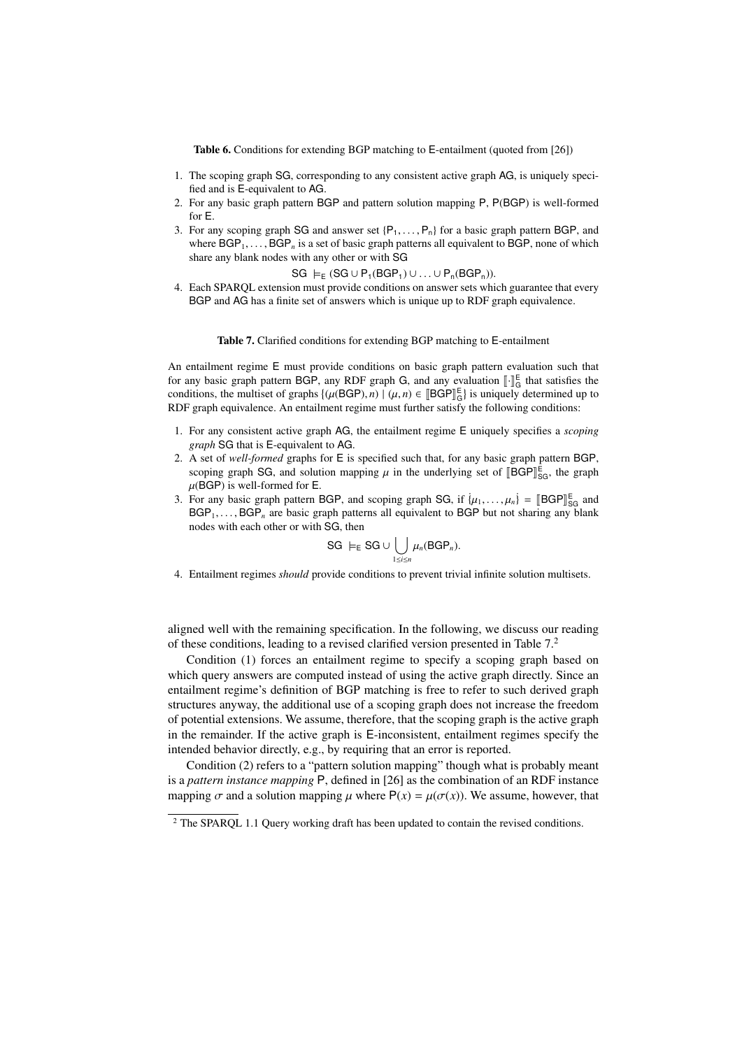Table 6. Conditions for extending BGP matching to E-entailment (quoted from [26])

- 1. The scoping graph SG, corresponding to any consistent active graph AG, is uniquely specified and is E-equivalent to AG.
- 2. For any basic graph pattern BGP and pattern solution mapping P, P(BGP) is well-formed for E.
- 3. For any scoping graph SG and answer set  $\{P_1, \ldots, P_n\}$  for a basic graph pattern BGP, and where  $BGP_1, \ldots, BGP_n$  is a set of basic graph patterns all equivalent to BGP, none of which share any blank nodes with any other or with SG

 $SG \models_E (SG \cup P_1(BGP_1) \cup ... \cup P_n(BGP_n)).$ 

4. Each SPARQL extension must provide conditions on answer sets which guarantee that every BGP and AG has a finite set of answers which is unique up to RDF graph equivalence.

Table 7. Clarified conditions for extending BGP matching to E-entailment

An entailment regime E must provide conditions on basic graph pattern evaluation such that for any basic graph pattern BGP, any RDF graph G, and any evaluation  $\llbracket \cdot \rrbracket^{\mathsf{E}}$  that satisfies the pulticat of graphs  $\lbrack (\mu(\mathsf{BGP}), \mu) \rbrack (\mu, \mu) \in \lbrack \mathsf{BGP} \rbrack^{\mathsf{E}}$  is uniquely determined up to conditions, the multiset of graphs  $\{(\mu(BGP), n) | (\mu, n) \in [BGP][\frac{1}{G}]\}$  is uniquely determined up to<br>
RDE graph equivalence. An entailment regime must further satisfy the following conditions: RDF graph equivalence. An entailment regime must further satisfy the following conditions:

- 1. For any consistent active graph AG, the entailment regime E uniquely specifies a *scoping graph* SG that is E-equivalent to AG.
- 2. A set of *well-formed* graphs for E is specified such that, for any basic graph pattern BGP, scoping graph SG, and solution mapping  $\mu$  in the underlying set of  $\left[\text{BGP}\right]_{SG}^{\mathbb{E}}$ , the graph  $\mu(\text{BGP})$  is well-formed for  $\mathsf{F}$  $\mu$ (BGP) is well-formed for E.
- 3. For any basic graph pattern BGP, and scoping graph SG, if  $\{\mu_1, \dots, \mu_n\} = [\![BGP]\!]_{\text{SG}}^{\text{E}}$  and  $\text{RGP}$ . RGP, are basic graph patterns all equivalent to RGP but not sharing any blank  $BGP_1, \ldots, BGP_n$  are basic graph patterns all equivalent to BGP but not sharing any blank nodes with each other or with SG, then

SG 
$$
\vDash
$$
 $\varepsilon$  SG  $\cup \bigcup_{1 \leq i \leq n} \mu_n(BGP_n)$ .

4. Entailment regimes *should* provide conditions to prevent trivial infinite solution multisets.

aligned well with the remaining specification. In the following, we discuss our reading of these conditions, leading to a revised clarified version presented in Table  $7<sup>2</sup>$ 

Condition (1) forces an entailment regime to specify a scoping graph based on which query answers are computed instead of using the active graph directly. Since an entailment regime's definition of BGP matching is free to refer to such derived graph structures anyway, the additional use of a scoping graph does not increase the freedom of potential extensions. We assume, therefore, that the scoping graph is the active graph in the remainder. If the active graph is E-inconsistent, entailment regimes specify the intended behavior directly, e.g., by requiring that an error is reported.

Condition (2) refers to a "pattern solution mapping" though what is probably meant is a *pattern instance mapping* P, defined in [26] as the combination of an RDF instance mapping  $\sigma$  and a solution mapping  $\mu$  where  $P(x) = \mu(\sigma(x))$ . We assume, however, that

<sup>&</sup>lt;sup>2</sup> The SPARQL 1.1 Query working draft has been updated to contain the revised conditions.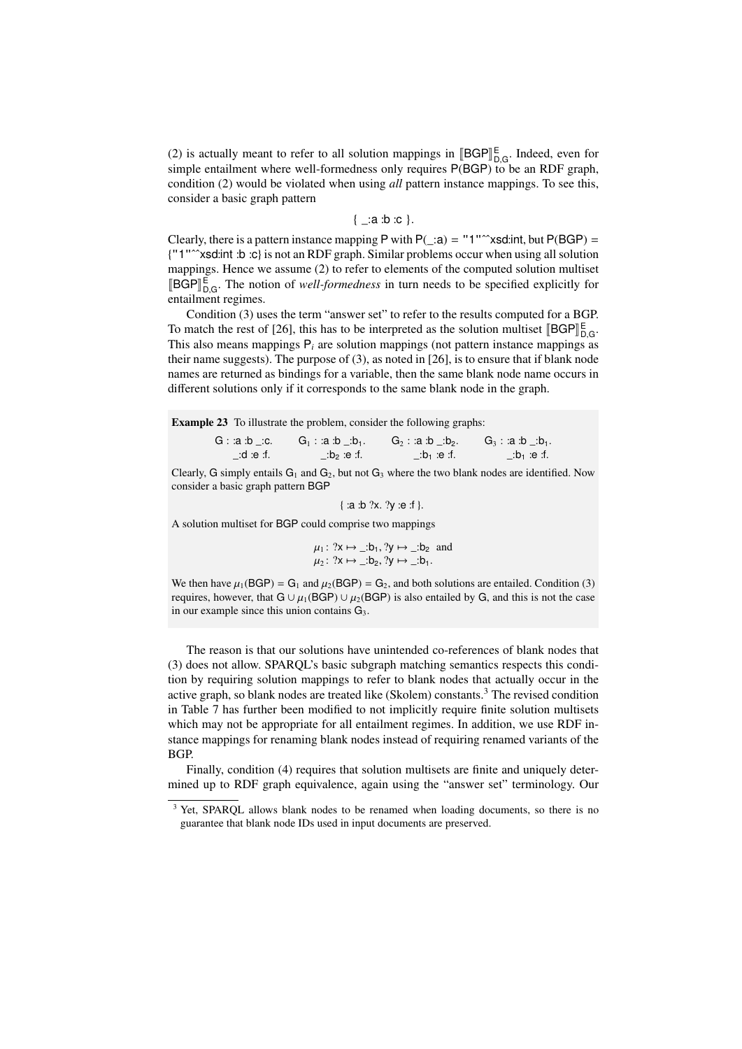(2) is actually meant to refer to all solution mappings in  $[\![BGP]\!]_{D,Q}^E$ . Indeed, even for simple anteilment where well formedness only requires  $P(BCP)$  to be an PDE graph  $\Sigma$ , is detailing meant to ferer to an solution imappings in [[DCI ] [D,G. mated, over for simple entailment where well-formedness only requires P(BGP) to be an RDF graph, condition (2) would be violated when using *all* pattern instance mappings. To see this, consider a basic graph pattern

 $\{$  \_:a :b :c  $\}.$ 

Clearly, there is a pattern instance mapping P with  $P(\_a:a) = "1"^\frown xsd$ : int, but  $P(BGP) =$ {"1"ˆˆxsd:int :b :c} is not an RDF graph. Similar problems occur when using all solution mappings. Hence we assume (2) to refer to elements of the computed solution multiset  $[\mathbb{B}GP]_{\text{D},G}^{\text{E}}$ . The notion of *well-formedness* in turn needs to be specified explicitly for entailment regimes.  $\mu$ <sup>DC</sup> $\mu$ <sub>D,G</sub> $\cdot$  The not entailment regimes.

Condition (3) uses the term "answer set" to refer to the results computed for a BGP. To match the rest of [26], this has to be interpreted as the solution multiset  $[\mathsf{BGP}]_{\mathsf{D},\mathsf{G}}^{\mathsf{E}}$ . This also means mappings  $P_i$  are solution mappings (not pattern instance mappings as their name suggests). The purpose of (3), as noted in [26], is to ensure that if blank node names are returned as bindings for a variable, then the same blank node name occurs in different solutions only if it corresponds to the same blank node in the graph.

Example 23 To illustrate the problem, consider the following graphs:

G : :a :b \_:c. G<sub>1</sub> : :a :b \_:b<sub>1</sub>. G<sub>2</sub> : :a :b \_:b<sub>2</sub>. G<sub>3</sub> : :a :b \_:b<sub>1</sub>. e :f. <br>
\_\_:b<sub>2</sub> :e :f. \_\_\_\_:b<sub>1</sub> :e :f. \_\_\_\_:b<sub>1</sub> :e :f.  $\_$ :d :e :f.  $\_$ :b<sub>2</sub> :e :f.  $\_$ :b<sub>1</sub> :e :f.  $\_$ :b<sub>1</sub> :e :f.

Clearly, G simply entails  $G_1$  and  $G_2$ , but not  $G_3$  where the two blank nodes are identified. Now consider a basic graph pattern BGP

$$
\{ :a :b ?x. ?y :e :f \}.
$$

A solution multiset for BGP could comprise two mappings

$$
\mu_1: ?x \mapsto \_:b_1, ?y \mapsto \_:b_2
$$
 and  

$$
\mu_2: ?x \mapsto \_:b_2, ?y \mapsto \_:b_1.
$$

We then have  $\mu_1(BGP) = G_1$  and  $\mu_2(BGP) = G_2$ , and both solutions are entailed. Condition (3) requires, however, that G ∪  $\mu_1(BGP)$  ∪  $\mu_2(BGP)$  is also entailed by G, and this is not the case in our example since this union contains  $G_3$ .

The reason is that our solutions have unintended co-references of blank nodes that (3) does not allow. SPARQL's basic subgraph matching semantics respects this condition by requiring solution mappings to refer to blank nodes that actually occur in the active graph, so blank nodes are treated like (Skolem) constants.<sup>3</sup> The revised condition in Table 7 has further been modified to not implicitly require finite solution multisets which may not be appropriate for all entailment regimes. In addition, we use RDF instance mappings for renaming blank nodes instead of requiring renamed variants of the BGP.

Finally, condition (4) requires that solution multisets are finite and uniquely determined up to RDF graph equivalence, again using the "answer set" terminology. Our

<sup>&</sup>lt;sup>3</sup> Yet, SPARQL allows blank nodes to be renamed when loading documents, so there is no guarantee that blank node IDs used in input documents are preserved.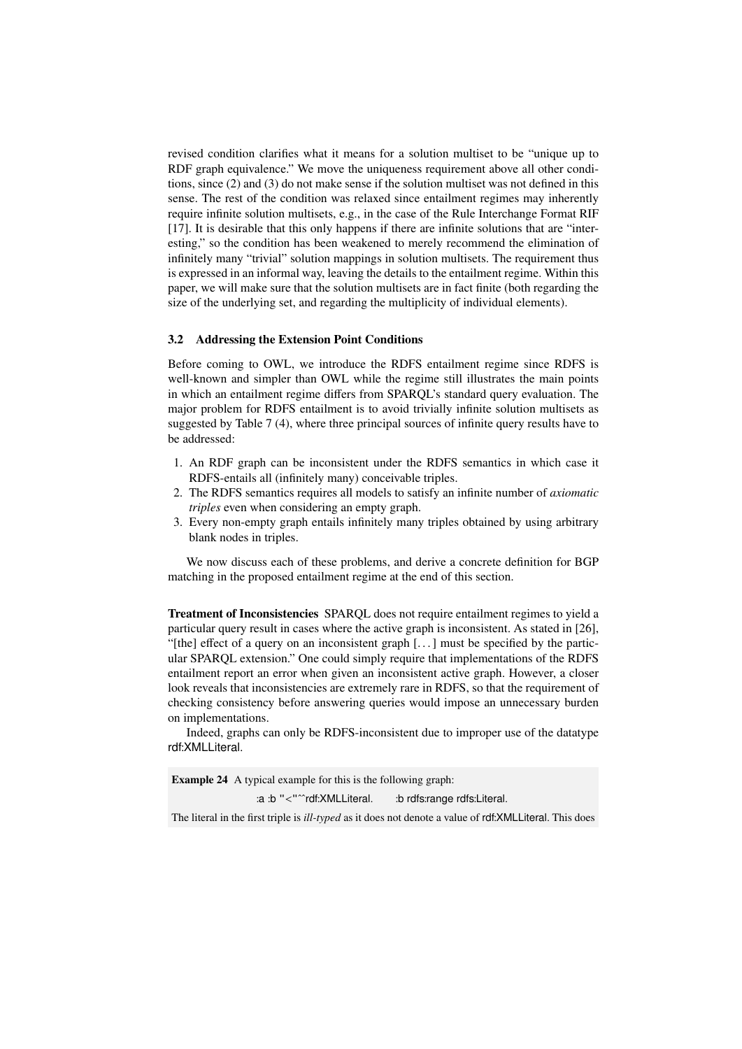revised condition clarifies what it means for a solution multiset to be "unique up to RDF graph equivalence." We move the uniqueness requirement above all other conditions, since (2) and (3) do not make sense if the solution multiset was not defined in this sense. The rest of the condition was relaxed since entailment regimes may inherently require infinite solution multisets, e.g., in the case of the Rule Interchange Format RIF [17]. It is desirable that this only happens if there are infinite solutions that are "interesting," so the condition has been weakened to merely recommend the elimination of infinitely many "trivial" solution mappings in solution multisets. The requirement thus is expressed in an informal way, leaving the details to the entailment regime. Within this paper, we will make sure that the solution multisets are in fact finite (both regarding the size of the underlying set, and regarding the multiplicity of individual elements).

#### 3.2 Addressing the Extension Point Conditions

Before coming to OWL, we introduce the RDFS entailment regime since RDFS is well-known and simpler than OWL while the regime still illustrates the main points in which an entailment regime differs from SPARQL's standard query evaluation. The major problem for RDFS entailment is to avoid trivially infinite solution multisets as suggested by Table 7 (4), where three principal sources of infinite query results have to be addressed:

- 1. An RDF graph can be inconsistent under the RDFS semantics in which case it RDFS-entails all (infinitely many) conceivable triples.
- 2. The RDFS semantics requires all models to satisfy an infinite number of *axiomatic triples* even when considering an empty graph.
- 3. Every non-empty graph entails infinitely many triples obtained by using arbitrary blank nodes in triples.

We now discuss each of these problems, and derive a concrete definition for BGP matching in the proposed entailment regime at the end of this section.

Treatment of Inconsistencies SPARQL does not require entailment regimes to yield a particular query result in cases where the active graph is inconsistent. As stated in [26], "[the] effect of a query on an inconsistent graph  $[\dots]$  must be specified by the particular SPARQL extension." One could simply require that implementations of the RDFS entailment report an error when given an inconsistent active graph. However, a closer look reveals that inconsistencies are extremely rare in RDFS, so that the requirement of checking consistency before answering queries would impose an unnecessary burden on implementations.

Indeed, graphs can only be RDFS-inconsistent due to improper use of the datatype rdf:XMLLiteral.

Example 24 A typical example for this is the following graph:

:a :b "<"^rdf:XMLLiteral. :b rdfs:range rdfs:Literal.

The literal in the first triple is *ill-typed* as it does not denote a value of rdf:XMLLiteral. This does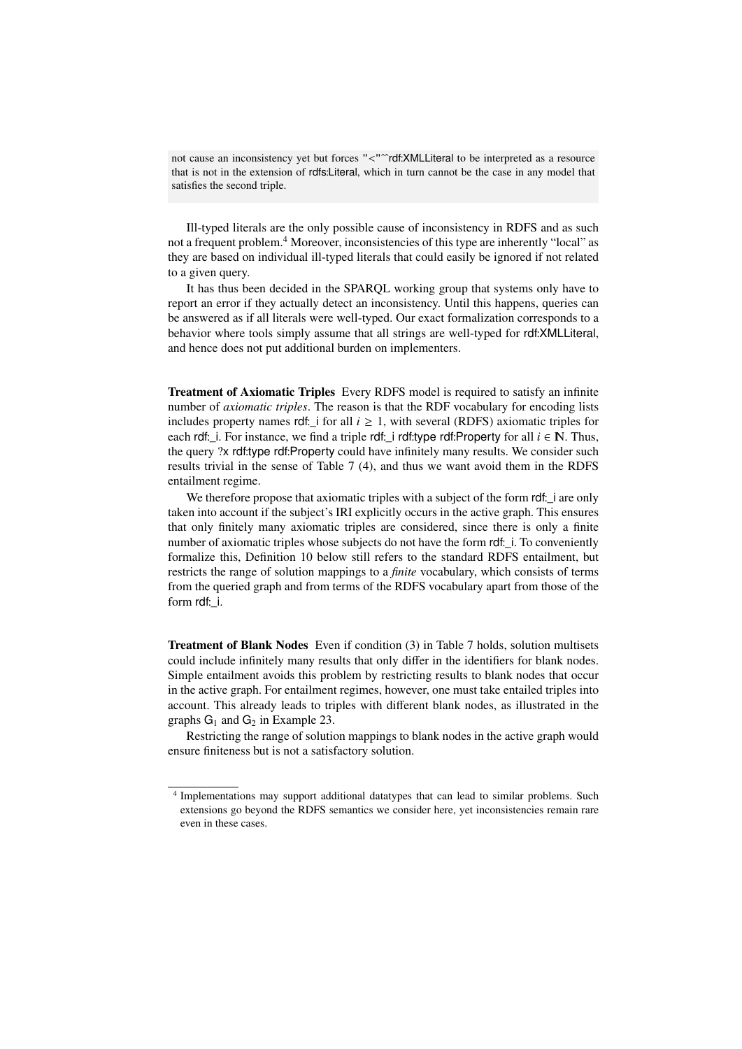not cause an inconsistency yet but forces "<"^rdf:XMLLiteral to be interpreted as a resource that is not in the extension of rdfs:Literal, which in turn cannot be the case in any model that satisfies the second triple.

Ill-typed literals are the only possible cause of inconsistency in RDFS and as such not a frequent problem.<sup>4</sup> Moreover, inconsistencies of this type are inherently "local" as they are based on individual ill-typed literals that could easily be ignored if not related to a given query.

It has thus been decided in the SPARQL working group that systems only have to report an error if they actually detect an inconsistency. Until this happens, queries can be answered as if all literals were well-typed. Our exact formalization corresponds to a behavior where tools simply assume that all strings are well-typed for rdf:XMLLiteral, and hence does not put additional burden on implementers.

Treatment of Axiomatic Triples Every RDFS model is required to satisfy an infinite number of *axiomatic triples*. The reason is that the RDF vocabulary for encoding lists includes property names rdf: i for all  $i \geq 1$ , with several (RDFS) axiomatic triples for each rdf: i. For instance, we find a triple rdf: i rdf:type rdf:Property for all  $i \in \mathbb{N}$ . Thus, the query ?x rdf:type rdf:Property could have infinitely many results. We consider such results trivial in the sense of Table 7 (4), and thus we want avoid them in the RDFS entailment regime.

We therefore propose that axiomatic triples with a subject of the form rdf: i are only taken into account if the subject's IRI explicitly occurs in the active graph. This ensures that only finitely many axiomatic triples are considered, since there is only a finite number of axiomatic triples whose subjects do not have the form rdf: i. To conveniently formalize this, Definition 10 below still refers to the standard RDFS entailment, but restricts the range of solution mappings to a *finite* vocabulary, which consists of terms from the queried graph and from terms of the RDFS vocabulary apart from those of the form rdf:\_i.

Treatment of Blank Nodes Even if condition (3) in Table 7 holds, solution multisets could include infinitely many results that only differ in the identifiers for blank nodes. Simple entailment avoids this problem by restricting results to blank nodes that occur in the active graph. For entailment regimes, however, one must take entailed triples into account. This already leads to triples with different blank nodes, as illustrated in the graphs  $G_1$  and  $G_2$  in Example 23.

Restricting the range of solution mappings to blank nodes in the active graph would ensure finiteness but is not a satisfactory solution.

<sup>&</sup>lt;sup>4</sup> Implementations may support additional datatypes that can lead to similar problems. Such extensions go beyond the RDFS semantics we consider here, yet inconsistencies remain rare even in these cases.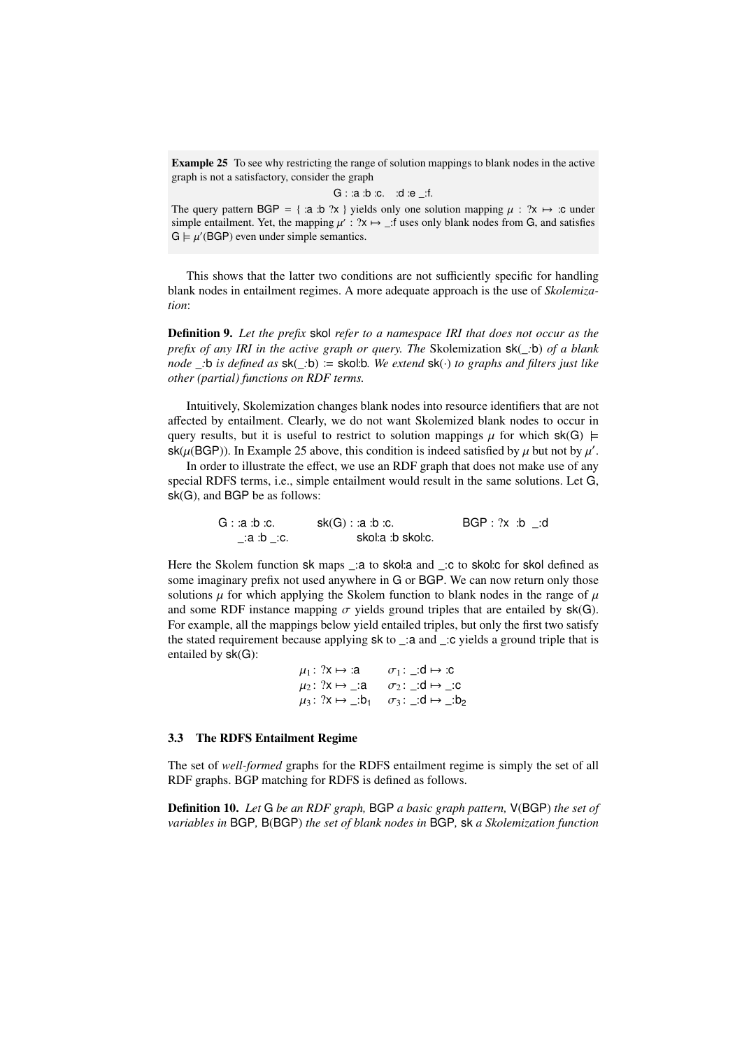Example 25 To see why restricting the range of solution mappings to blank nodes in the active graph is not a satisfactory, consider the graph

 $G : a : b : c.$   $:d : e \_ :f.$ 

The query pattern BGP = { :a :b ?x } yields only one solution mapping  $\mu : ?x \mapsto :c$  under simple entailment. Yet, the mapping  $\mu'$ :  $2x \mapsto$  \_:f uses only blank nodes from G, and satisfies  $G \models \mu'(\text{BGP})$  even under simple semantics.

This shows that the latter two conditions are not sufficiently specific for handling blank nodes in entailment regimes. A more adequate approach is the use of *Skolemization*:

Definition 9. *Let the prefix* skol *refer to a namespace IRI that does not occur as the prefix of any IRI in the active graph or query. The* Skolemization sk(*\_:*b) *of a blank node* :b *is defined as*  $sk($  :b)  $=$  skol:b. We extend  $sk(·)$  to graphs and filters just like *other (partial) functions on RDF terms.*

Intuitively, Skolemization changes blank nodes into resource identifiers that are not affected by entailment. Clearly, we do not want Skolemized blank nodes to occur in query results, but it is useful to restrict to solution mappings  $\mu$  for which  $sk(G) \models$  $sk(\mu(BGP))$ . In Example 25 above, this condition is indeed satisfied by  $\mu$  but not by  $\mu'$ .<br>In order to illustrate the effect, we use an RDE graph that does not make use of any

In order to illustrate the effect, we use an RDF graph that does not make use of any special RDFS terms, i.e., simple entailment would result in the same solutions. Let G, sk(G), and BGP be as follows:

> G : :a :b :c. sk(G) : :a :b :c. BGP : ?x :b \_:d  $\_:a :b \_c$ . skol:a :b skol:c.

Here the Skolem function sk maps \_: a to skol: a and \_: c to skol: c for skol defined as some imaginary prefix not used anywhere in G or BGP. We can now return only those solutions  $\mu$  for which applying the Skolem function to blank nodes in the range of  $\mu$ and some RDF instance mapping  $\sigma$  yields ground triples that are entailed by sk(G). For example, all the mappings below yield entailed triples, but only the first two satisfy the stated requirement because applying  $sk$  to  $\therefore$  and  $\therefore$  c yields a ground triple that is entailed by sk(G):

```
\mu_1: ?x \mapsto :a \qquad \sigma_1: \_ :d \mapsto :c<br>\mu_2: ?x \mapsto :a \qquad \sigma_2: d \mapsto :c\mu_2: ?x \mapsto _:a \sigma_2: _:d \mapsto _:c
\mu_3: ?x \mapsto _:b<sub>1</sub> \sigma_3: _:d \mapsto _:b<sub>2</sub>
```
#### 3.3 The RDFS Entailment Regime

The set of *well-formed* graphs for the RDFS entailment regime is simply the set of all RDF graphs. BGP matching for RDFS is defined as follows.

Definition 10. *Let* G *be an RDF graph,* BGP *a basic graph pattern,* V(BGP) *the set of variables in* BGP*,* B(BGP) *the set of blank nodes in* BGP*,* sk *a Skolemization function*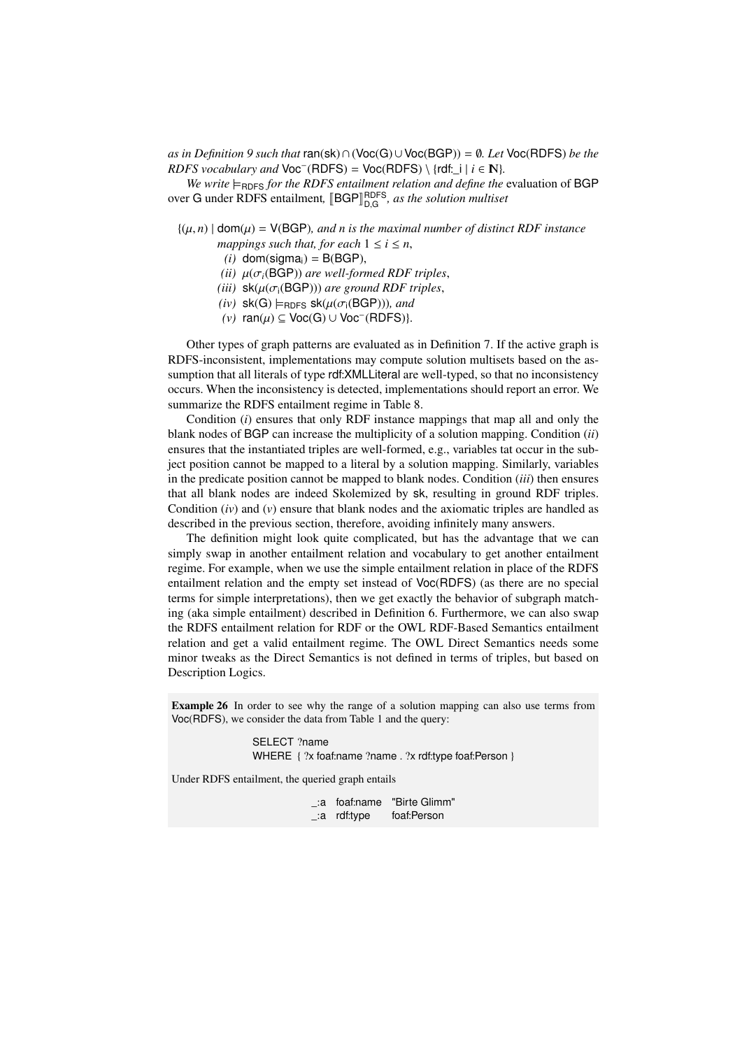*as in Definition 9 such that* ran(sk)∩(Voc(G)∪Voc(BGP)) = ∅*. Let* Voc(RDFS) *be the*  $RDFS\ vocabulary\ and\ Voc^-(RDFS) = \text{Voc}(RDFS) \setminus \{rdf: i \mid i \in \mathbb{N}\}.$ 

*We write*  $\models$ <sub>RDFS</sub> *for the RDFS entailment relation and define the* evaluation of BGP over G under RDFS entailment, [BGP]<sup>RDFS</sup>, as the solution multiset

 ${(\mu, n) \mid \text{dom}(\mu) = \text{V(BGP)}},$  and n is the maximal number of distinct RDF instance

*mappings such that, for each*  $1 \le i \le n$ ,

 $(i)$  dom(sigma<sub>i</sub>) = B(BGP),

*(ii)*  $\mu(\sigma_i(\text{BGP}))$  *are well-formed RDF triples,* 

*(iii)*  $sk(\mu(\sigma_i(BGP)))$  *are ground RDF triples,* 

 $(iv)$  sk(G)  $\models$ <sub>RDFS</sub> sk( $\mu(\sigma_i(BGP))$ )*, and* 

 $(v)$  ran $(\mu)$  ⊆ Voc(G) ∪ Voc<sup>-</sup>(RDFS)}.

Other types of graph patterns are evaluated as in Definition 7. If the active graph is RDFS-inconsistent, implementations may compute solution multisets based on the assumption that all literals of type rdf:XMLLiteral are well-typed, so that no inconsistency occurs. When the inconsistency is detected, implementations should report an error. We summarize the RDFS entailment regime in Table 8.

Condition (*i*) ensures that only RDF instance mappings that map all and only the blank nodes of BGP can increase the multiplicity of a solution mapping. Condition (*ii*) ensures that the instantiated triples are well-formed, e.g., variables tat occur in the subject position cannot be mapped to a literal by a solution mapping. Similarly, variables in the predicate position cannot be mapped to blank nodes. Condition (*iii*) then ensures that all blank nodes are indeed Skolemized by sk, resulting in ground RDF triples. Condition (*iv*) and (*v*) ensure that blank nodes and the axiomatic triples are handled as described in the previous section, therefore, avoiding infinitely many answers.

The definition might look quite complicated, but has the advantage that we can simply swap in another entailment relation and vocabulary to get another entailment regime. For example, when we use the simple entailment relation in place of the RDFS entailment relation and the empty set instead of Voc(RDFS) (as there are no special terms for simple interpretations), then we get exactly the behavior of subgraph matching (aka simple entailment) described in Definition 6. Furthermore, we can also swap the RDFS entailment relation for RDF or the OWL RDF-Based Semantics entailment relation and get a valid entailment regime. The OWL Direct Semantics needs some minor tweaks as the Direct Semantics is not defined in terms of triples, but based on Description Logics.

Example 26 In order to see why the range of a solution mapping can also use terms from Voc(RDFS), we consider the data from Table 1 and the query:

> SELECT ?name WHERE { ?x foaf:name ?name . ?x rdf:type foaf:Person }

Under RDFS entailment, the queried graph entails

\_:a foaf:name "Birte Glimm" \_:a rdf:type foaf:Person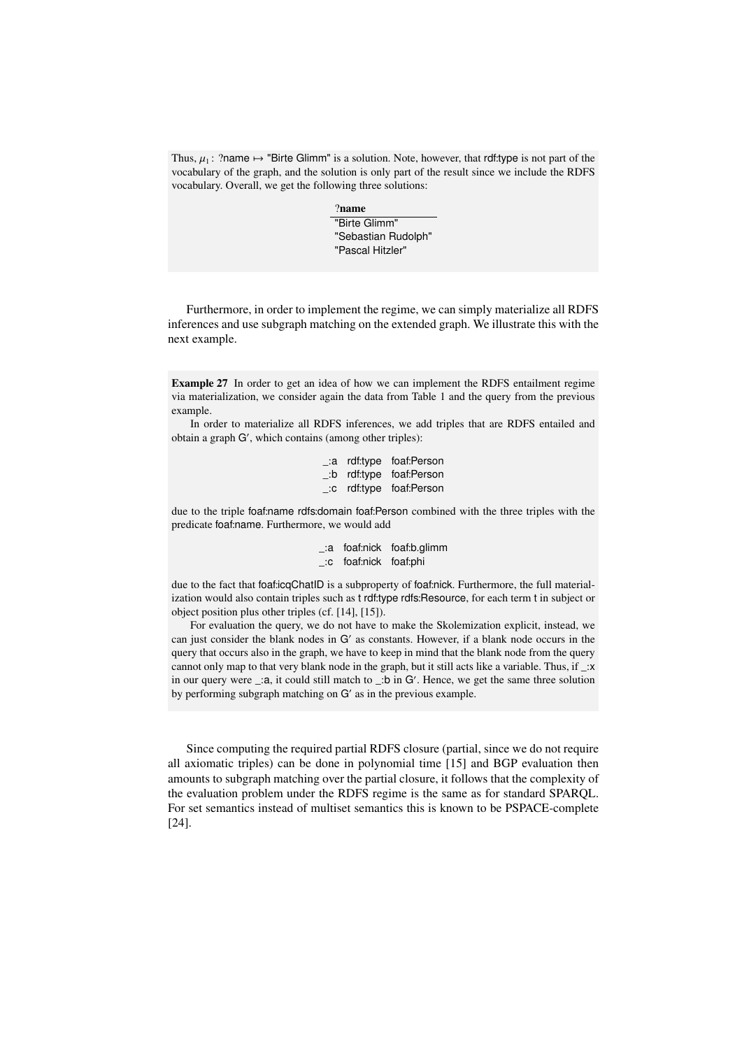Thus,  $\mu_1$ : ?name  $\mapsto$  "Birte Glimm" is a solution. Note, however, that rdf:type is not part of the vocabulary of the graph, and the solution is only part of the result since we include the RDFS vocabulary. Overall, we get the following three solutions:

> ?name "Birte Glimm" "Sebastian Rudolph" "Pascal Hitzler"

Furthermore, in order to implement the regime, we can simply materialize all RDFS inferences and use subgraph matching on the extended graph. We illustrate this with the next example.

Example 27 In order to get an idea of how we can implement the RDFS entailment regime via materialization, we consider again the data from Table 1 and the query from the previous example.

In order to materialize all RDFS inferences, we add triples that are RDFS entailed and obtain a graph G', which contains (among other triples):

> \_:a rdf:type foaf:Person \_:b rdf:type foaf:Person \_:c rdf:type foaf:Person

due to the triple foaf:name rdfs:domain foaf:Person combined with the three triples with the predicate foaf:name. Furthermore, we would add

> \_:a foaf:nick foaf:b.glimm \_:c foaf:nick foaf:phi

due to the fact that foaf:icqChatID is a subproperty of foaf:nick. Furthermore, the full materialization would also contain triples such as t rdf:type rdfs:Resource, for each term t in subject or object position plus other triples (cf. [14], [15]).

For evaluation the query, we do not have to make the Skolemization explicit, instead, we can just consider the blank nodes in G' as constants. However, if a blank node occurs in the query that occurs also in the graph, we have to keep in mind that the blank node from the query cannot only map to that very blank node in the graph, but it still acts like a variable. Thus, if \_:x in our query were \_: a, it could still match to \_: b in G'. Hence, we get the same three solution by performing subgraph matching on G' as in the previous example.

Since computing the required partial RDFS closure (partial, since we do not require all axiomatic triples) can be done in polynomial time [15] and BGP evaluation then amounts to subgraph matching over the partial closure, it follows that the complexity of the evaluation problem under the RDFS regime is the same as for standard SPARQL. For set semantics instead of multiset semantics this is known to be PSPACE-complete [24].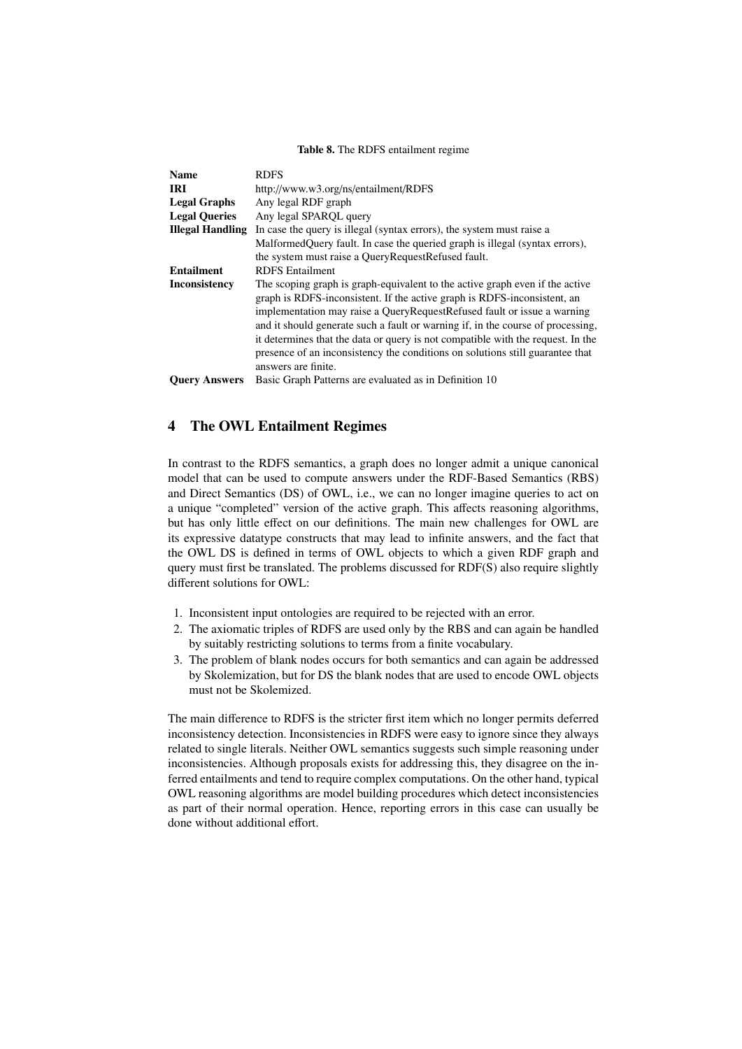#### Table 8. The RDFS entailment regime

| <b>Name</b>             | <b>RDFS</b>                                                                                                                                                                                                                                                                                                                                                                                                                                                                                                       |  |  |
|-------------------------|-------------------------------------------------------------------------------------------------------------------------------------------------------------------------------------------------------------------------------------------------------------------------------------------------------------------------------------------------------------------------------------------------------------------------------------------------------------------------------------------------------------------|--|--|
| <b>IRI</b>              | http://www.w3.org/ns/entailment/RDFS                                                                                                                                                                                                                                                                                                                                                                                                                                                                              |  |  |
| <b>Legal Graphs</b>     | Any legal RDF graph                                                                                                                                                                                                                                                                                                                                                                                                                                                                                               |  |  |
| <b>Legal Queries</b>    | Any legal SPAROL query                                                                                                                                                                                                                                                                                                                                                                                                                                                                                            |  |  |
| <b>Illegal Handling</b> | In case the query is illegal (syntax errors), the system must raise a                                                                                                                                                                                                                                                                                                                                                                                                                                             |  |  |
|                         | MalformedQuery fault. In case the queried graph is illegal (syntax errors),                                                                                                                                                                                                                                                                                                                                                                                                                                       |  |  |
|                         | the system must raise a QueryRequestRefused fault.                                                                                                                                                                                                                                                                                                                                                                                                                                                                |  |  |
| <b>Entailment</b>       | <b>RDFS</b> Entailment                                                                                                                                                                                                                                                                                                                                                                                                                                                                                            |  |  |
| <b>Inconsistency</b>    | The scoping graph is graph-equivalent to the active graph even if the active<br>graph is RDFS-inconsistent. If the active graph is RDFS-inconsistent, an<br>implementation may raise a QueryRequestRefused fault or issue a warning<br>and it should generate such a fault or warning if, in the course of processing,<br>it determines that the data or query is not compatible with the request. In the<br>presence of an inconsistency the conditions on solutions still guarantee that<br>answers are finite. |  |  |
| <b>Ouery Answers</b>    | Basic Graph Patterns are evaluated as in Definition 10                                                                                                                                                                                                                                                                                                                                                                                                                                                            |  |  |

# 4 The OWL Entailment Regimes

In contrast to the RDFS semantics, a graph does no longer admit a unique canonical model that can be used to compute answers under the RDF-Based Semantics (RBS) and Direct Semantics (DS) of OWL, i.e., we can no longer imagine queries to act on a unique "completed" version of the active graph. This affects reasoning algorithms, but has only little effect on our definitions. The main new challenges for OWL are its expressive datatype constructs that may lead to infinite answers, and the fact that the OWL DS is defined in terms of OWL objects to which a given RDF graph and query must first be translated. The problems discussed for RDF(S) also require slightly different solutions for OWL:

- 1. Inconsistent input ontologies are required to be rejected with an error.
- 2. The axiomatic triples of RDFS are used only by the RBS and can again be handled by suitably restricting solutions to terms from a finite vocabulary.
- 3. The problem of blank nodes occurs for both semantics and can again be addressed by Skolemization, but for DS the blank nodes that are used to encode OWL objects must not be Skolemized.

The main difference to RDFS is the stricter first item which no longer permits deferred inconsistency detection. Inconsistencies in RDFS were easy to ignore since they always related to single literals. Neither OWL semantics suggests such simple reasoning under inconsistencies. Although proposals exists for addressing this, they disagree on the inferred entailments and tend to require complex computations. On the other hand, typical OWL reasoning algorithms are model building procedures which detect inconsistencies as part of their normal operation. Hence, reporting errors in this case can usually be done without additional effort.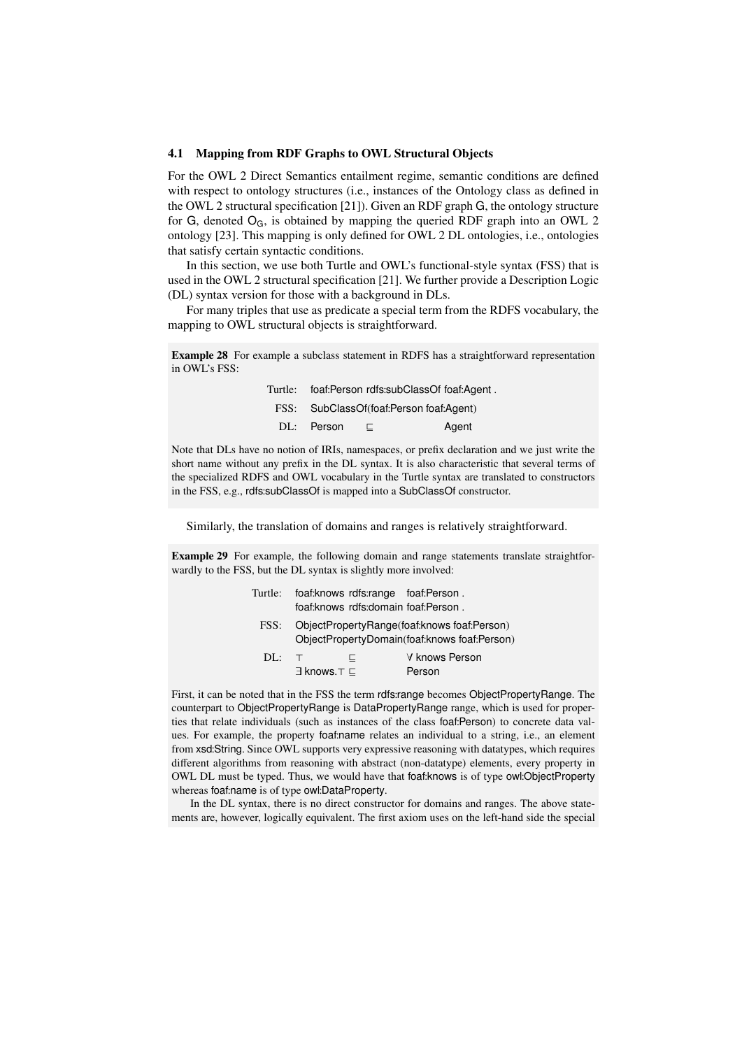#### 4.1 Mapping from RDF Graphs to OWL Structural Objects

For the OWL 2 Direct Semantics entailment regime, semantic conditions are defined with respect to ontology structures (i.e., instances of the Ontology class as defined in the OWL 2 structural specification [21]). Given an RDF graph G, the ontology structure for G, denoted  $O_G$ , is obtained by mapping the queried RDF graph into an OWL 2 ontology [23]. This mapping is only defined for OWL 2 DL ontologies, i.e., ontologies that satisfy certain syntactic conditions.

In this section, we use both Turtle and OWL's functional-style syntax (FSS) that is used in the OWL 2 structural specification [21]. We further provide a Description Logic (DL) syntax version for those with a background in DLs.

For many triples that use as predicate a special term from the RDFS vocabulary, the mapping to OWL structural objects is straightforward.

Example 28 For example a subclass statement in RDFS has a straightforward representation in OWL's FSS:

|            |          | Turtle: foaf:Person rdfs:subClassOf foaf:Agent. |
|------------|----------|-------------------------------------------------|
|            |          | FSS: SubClassOf(foaf:Person foaf:Agent)         |
| DL: Person | <b>L</b> | Agent                                           |

Note that DLs have no notion of IRIs, namespaces, or prefix declaration and we just write the short name without any prefix in the DL syntax. It is also characteristic that several terms of the specialized RDFS and OWL vocabulary in the Turtle syntax are translated to constructors in the FSS, e.g., rdfs:subClassOf is mapped into a SubClassOf constructor.

Similarly, the translation of domains and ranges is relatively straightforward.

Example 29 For example, the following domain and range statements translate straightforwardly to the FSS, but the DL syntax is slightly more involved:

| Turtle:       | foaf: knows rdfs: range foaf: Person.<br>foaf:knows rdfs:domain foaf:Person. |                                                                                             |
|---------------|------------------------------------------------------------------------------|---------------------------------------------------------------------------------------------|
| FSS:          |                                                                              | ObjectPropertyRange(foaf:knows foaf:Person)<br>ObjectPropertyDomain(foaf:knows foaf:Person) |
| $\mathbf{DL}$ | $\top$<br>┕                                                                  | ∀ knows Person                                                                              |
|               | $\exists$ knows. $\top \sqsubseteq$                                          | Person                                                                                      |

First, it can be noted that in the FSS the term rdfs:range becomes ObjectPropertyRange. The counterpart to ObjectPropertyRange is DataPropertyRange range, which is used for properties that relate individuals (such as instances of the class foaf:Person) to concrete data values. For example, the property foaf:name relates an individual to a string, i.e., an element from xsd:String. Since OWL supports very expressive reasoning with datatypes, which requires different algorithms from reasoning with abstract (non-datatype) elements, every property in OWL DL must be typed. Thus, we would have that foaf:knows is of type owl:ObjectProperty whereas foaf:name is of type owl:DataProperty.

In the DL syntax, there is no direct constructor for domains and ranges. The above statements are, however, logically equivalent. The first axiom uses on the left-hand side the special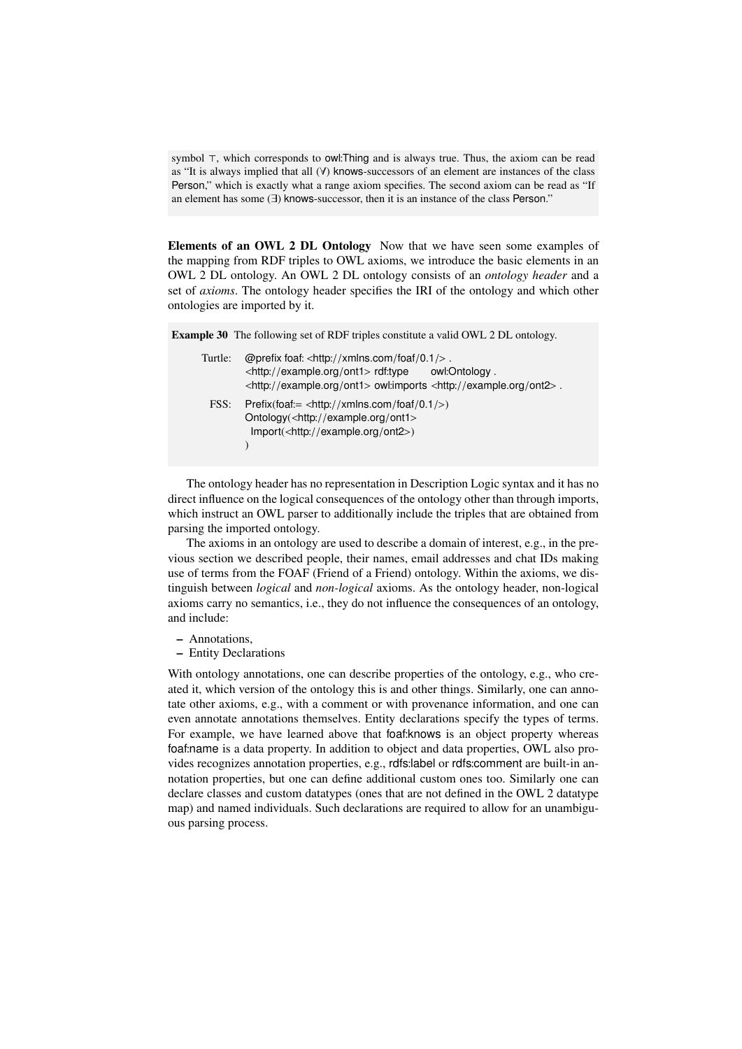symbol  $\top$ , which corresponds to owl: Thing and is always true. Thus, the axiom can be read as "It is always implied that all (∀) knows-successors of an element are instances of the class Person," which is exactly what a range axiom specifies. The second axiom can be read as "If an element has some (∃) knows-successor, then it is an instance of the class Person."

Elements of an OWL 2 DL Ontology Now that we have seen some examples of the mapping from RDF triples to OWL axioms, we introduce the basic elements in an OWL 2 DL ontology. An OWL 2 DL ontology consists of an *ontology header* and a set of *axioms*. The ontology header specifies the IRI of the ontology and which other ontologies are imported by it.

Example 30 The following set of RDF triples constitute a valid OWL 2 DL ontology.

| Turtle: | @prefix foaf: <http: 0.1="" foaf="" xmlns.com=""></http:> .<br>http://example.org/ont1> rdf:type<br>owl:Ontology.<br>$\lt$ http://example.org/ont1> owl:imports $\lt$ http://example.org/ont2>. |
|---------|-------------------------------------------------------------------------------------------------------------------------------------------------------------------------------------------------|
| FSS:    | $Prefix(foa:= )$<br>Ontology( <http: example.org="" ont1=""><br/>Import(<http: example.org="" ont2="">)</http:></http:>                                                                         |

The ontology header has no representation in Description Logic syntax and it has no direct influence on the logical consequences of the ontology other than through imports, which instruct an OWL parser to additionally include the triples that are obtained from parsing the imported ontology.

The axioms in an ontology are used to describe a domain of interest, e.g., in the previous section we described people, their names, email addresses and chat IDs making use of terms from the FOAF (Friend of a Friend) ontology. Within the axioms, we distinguish between *logical* and *non-logical* axioms. As the ontology header, non-logical axioms carry no semantics, i.e., they do not influence the consequences of an ontology, and include:

- Annotations,
- Entity Declarations

With ontology annotations, one can describe properties of the ontology, e.g., who created it, which version of the ontology this is and other things. Similarly, one can annotate other axioms, e.g., with a comment or with provenance information, and one can even annotate annotations themselves. Entity declarations specify the types of terms. For example, we have learned above that foaf:knows is an object property whereas foaf:name is a data property. In addition to object and data properties, OWL also provides recognizes annotation properties, e.g., rdfs:label or rdfs:comment are built-in annotation properties, but one can define additional custom ones too. Similarly one can declare classes and custom datatypes (ones that are not defined in the OWL 2 datatype map) and named individuals. Such declarations are required to allow for an unambiguous parsing process.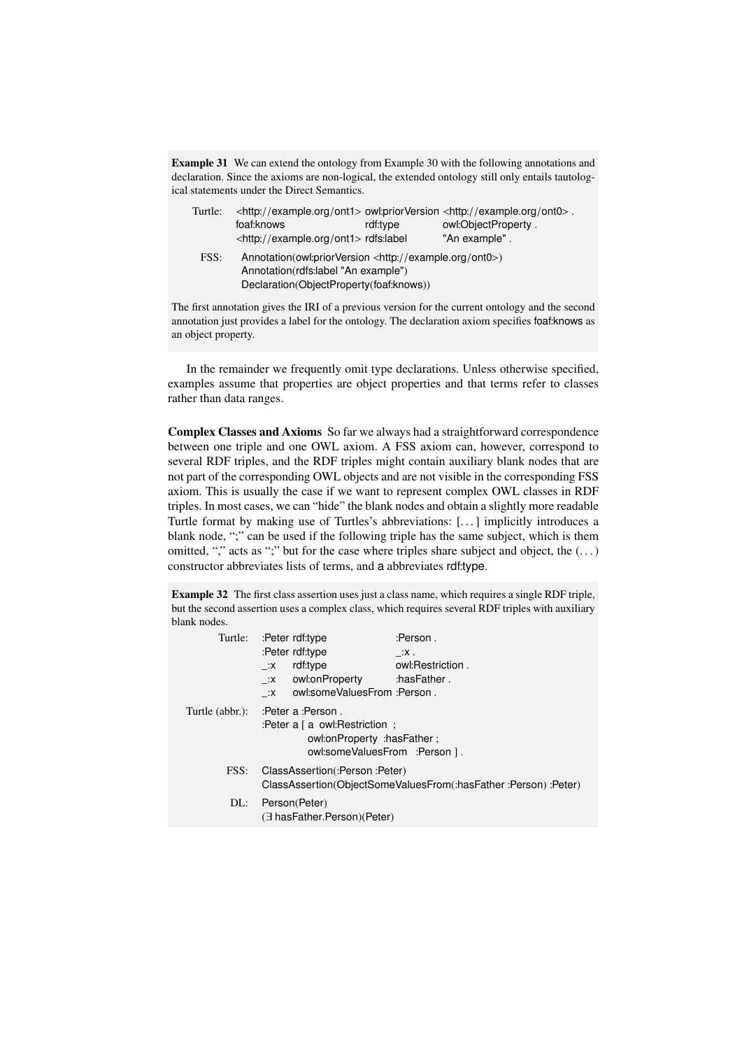Example 31 We can extend the ontology from Example 30 with the following annotations and declaration. Since the axioms are non-logical, the extended ontology still only entails tautological statements under the Direct Semantics.

| Turtle: |                                                                                                             |          | <http: example.org="" ont1=""> owl:priorVersion <http: example.org="" ont0="">.</http:></http:> |
|---------|-------------------------------------------------------------------------------------------------------------|----------|-------------------------------------------------------------------------------------------------|
|         | foaf:knows                                                                                                  | rdf:type | owl:ObjectProperty.                                                                             |
|         | <http: example.org="" ont1=""> rdfs:label</http:>                                                           |          | "An example".                                                                                   |
| FSS:    | Annotation(owl:priorVersion <http: example.org="" ont0="">)<br/>Annotation(rdfs:label "An example")</http:> |          |                                                                                                 |
|         | Declaration(ObjectProperty(foaf:knows))                                                                     |          |                                                                                                 |

The first annotation gives the IRI of a previous version for the current ontology and the second annotation just provides a label for the ontology. The declaration axiom specifies foaf:knows as an object property.

In the remainder we frequently omit type declarations. Unless otherwise specified, examples assume that properties are object properties and that terms refer to classes rather than data ranges.

Complex Classes and Axioms So far we always had a straightforward correspondence between one triple and one OWL axiom. A FSS axiom can, however, correspond to several RDF triples, and the RDF triples might contain auxiliary blank nodes that are not part of the corresponding OWL objects and are not visible in the corresponding FSS axiom. This is usually the case if we want to represent complex OWL classes in RDF triples. In most cases, we can "hide" the blank nodes and obtain a slightly more readable Turtle format by making use of Turtles's abbreviations: [. . . ] implicitly introduces a blank node, ";" can be used if the following triple has the same subject, which is them omitted, "," acts as ";" but for the case where triples share subject and object, the  $(...)$ constructor abbreviates lists of terms, and a abbreviates rdf:type.

Example 32 The first class assertion uses just a class name, which requires a single RDF triple, but the second assertion uses a complex class, which requires several RDF triples with auxiliary blank nodes.

| Turtle: | :Peter rdf:type<br>:Peter rdf:type<br>rdf:type<br>$\cdot$ : X<br>:x owl:onProperty :hasFather:<br>owl:someValuesFrom :Person.<br>$\mathsf{X}$        | :Person.<br>X .:<br>owl:Restriction.                            |
|---------|------------------------------------------------------------------------------------------------------------------------------------------------------|-----------------------------------------------------------------|
|         | Turtle (abbr.): :Peter a :Person.<br>: Peter $a \upharpoonright a$ owl: Restriction:<br>owl:onProperty :hasFather :<br>owl:someValuesFrom :Person 1. |                                                                 |
| FSS:    | ClassAssertion(:Person :Peter)                                                                                                                       | ClassAssertion(ObjectSomeValuesFrom(:hasFather :Person) :Peter) |
| DL:     | Person(Peter)<br>(Express has Father. Person) (Peter)                                                                                                |                                                                 |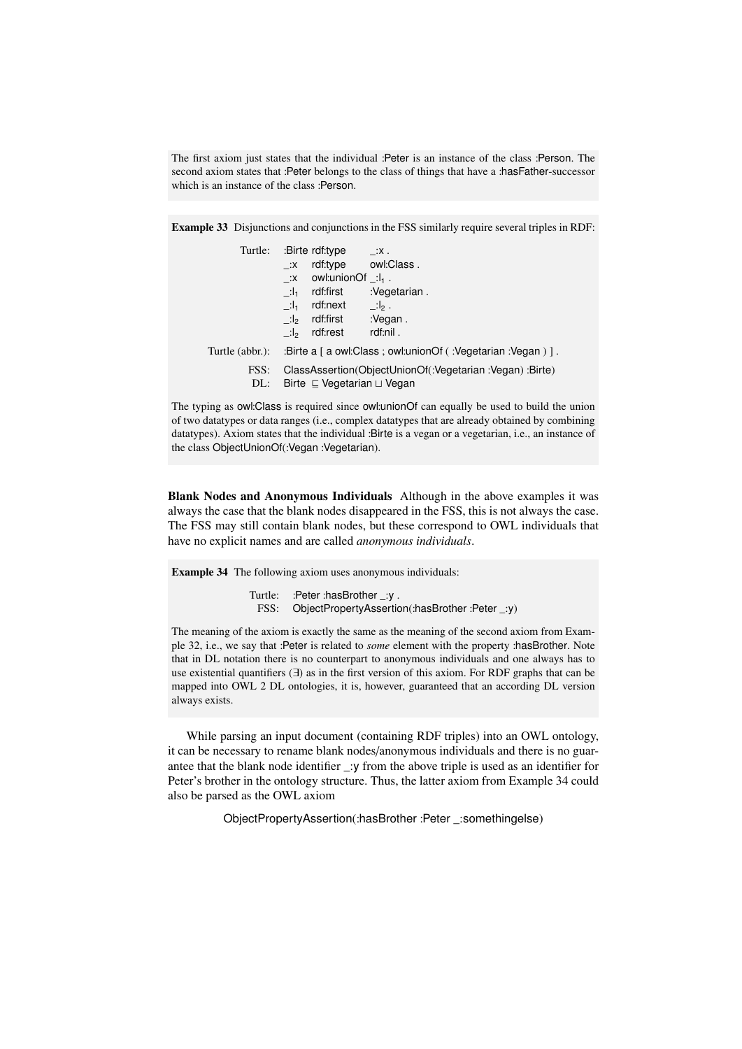The first axiom just states that the individual :Peter is an instance of the class :Person. The second axiom states that :Peter belongs to the class of things that have a :hasFather-successor which is an instance of the class :Person.

Example 33 Disjunctions and conjunctions in the FSS similarly require several triples in RDF:

| Turtle:         | :Birte rdf:type<br>:X.                                        |
|-----------------|---------------------------------------------------------------|
|                 | rdf:type<br>owl:Class.<br>$\cdot$ : X                         |
|                 | owl:unionOf $_i: I_1$ .<br>$\cdot$ : X                        |
|                 | :Vegetarian.<br>rdf:first<br>$\Box$                           |
|                 | rdf:next<br>$\mathbf{d}_1$<br>$: \mathsf{I}_2$ .              |
|                 | :Vegan.<br>rdf:first<br>$: I_{2}$                             |
|                 | rdf:nil.<br>rdf:rest<br>$\Box$                                |
| Turtle (abbr.): | :Birte a [ a owl:Class ; owl:unionOf (:Vegetarian :Vegan ) ]. |
| FSS:            | ClassAssertion(ObjectUnionOf(:Vegetarian :Vegan) :Birte)      |
| DL:             | Birte ⊑ Vegetarian ⊔ Vegan                                    |
|                 |                                                               |

The typing as owl:Class is required since owl:unionOf can equally be used to build the union of two datatypes or data ranges (i.e., complex datatypes that are already obtained by combining datatypes). Axiom states that the individual :Birte is a vegan or a vegetarian, i.e., an instance of the class ObjectUnionOf(:Vegan :Vegetarian).

Blank Nodes and Anonymous Individuals Although in the above examples it was always the case that the blank nodes disappeared in the FSS, this is not always the case. The FSS may still contain blank nodes, but these correspond to OWL individuals that have no explicit names and are called *anonymous individuals*.

Example 34 The following axiom uses anonymous individuals:

- Turtle: :Peter :hasBrother :v.
- FSS: ObjectPropertyAssertion(:hasBrother :Peter \_:y)

The meaning of the axiom is exactly the same as the meaning of the second axiom from Example 32, i.e., we say that :Peter is related to *some* element with the property :hasBrother. Note that in DL notation there is no counterpart to anonymous individuals and one always has to use existential quantifiers (∃) as in the first version of this axiom. For RDF graphs that can be mapped into OWL 2 DL ontologies, it is, however, guaranteed that an according DL version always exists.

While parsing an input document (containing RDF triples) into an OWL ontology, it can be necessary to rename blank nodes/anonymous individuals and there is no guarantee that the blank node identifier \_:y from the above triple is used as an identifier for Peter's brother in the ontology structure. Thus, the latter axiom from Example 34 could also be parsed as the OWL axiom

ObjectPropertyAssertion(:hasBrother :Peter \_:somethingelse)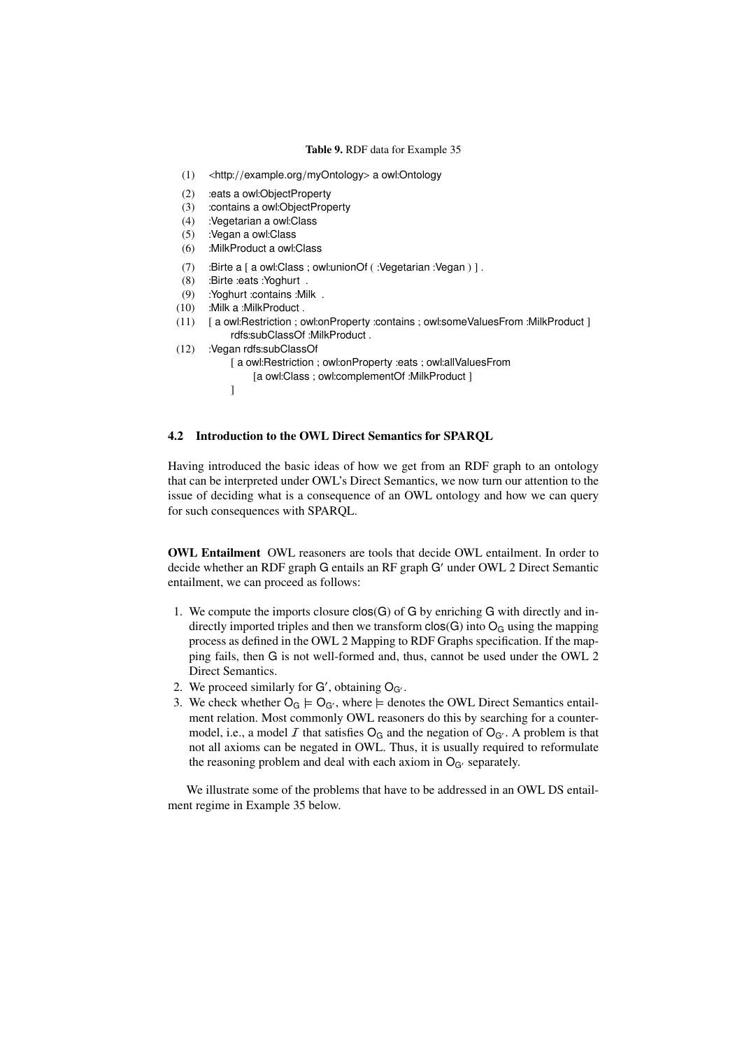#### Table 9. RDF data for Example 35

- (1) <http://example.org/myOntology> a owl:Ontology<br>
(2) :eats a owl:ObiectProperty
- :eats a owl:ObjectProperty
- (3) :contains a owl:ObjectProperty
- (4) :Vegetarian a owl:Class
- (5) :Vegan a owl:Class
- (6) :MilkProduct a owl:Class
- (7) :Birte a [ a owl:Class ; owl:unionOf ( :Vegetarian :Vegan ) ] .
- (8) :Birte :eats :Yoghurt .
- (9) :Yoghurt :contains :Milk .
- (10) :Milk a :MilkProduct .
- (11) [ a owl:Restriction ; owl:onProperty :contains ; owl:someValuesFrom :MilkProduct ] rdfs:subClassOf :MilkProduct .
- (12) :Vegan rdfs:subClassOf
	- [ a owl:Restriction ; owl:onProperty :eats ; owl:allValuesFrom
		- [a owl:Class ; owl:complementOf :MilkProduct ]
	- ]

#### 4.2 Introduction to the OWL Direct Semantics for SPARQL

Having introduced the basic ideas of how we get from an RDF graph to an ontology that can be interpreted under OWL's Direct Semantics, we now turn our attention to the issue of deciding what is a consequence of an OWL ontology and how we can query for such consequences with SPARQL.

OWL Entailment OWL reasoners are tools that decide OWL entailment. In order to decide whether an RDF graph G entails an RF graph G' under OWL 2 Direct Semantic entailment, we can proceed as follows:

- 1. We compute the imports closure clos(G) of G by enriching G with directly and indirectly imported triples and then we transform  $\text{clos}(G)$  into  $O_G$  using the mapping process as defined in the OWL 2 Mapping to RDF Graphs specification. If the mapping fails, then G is not well-formed and, thus, cannot be used under the OWL 2 Direct Semantics.
- 2. We proceed similarly for  $G'$ , obtaining  $O_{G'}$ .
- 3. We check whether  $O_G \models O_{G'}$ , where  $\models$  denotes the OWL Direct Semantics entailment relation. Most commonly OWL reasoners do this by searching for a countermodel, i.e., a model I that satisfies  $O_G$  and the negation of  $O_{G'}$ . A problem is that not all axioms can be negated in OWL. Thus, it is usually required to reformulate the reasoning problem and deal with each axiom in  $O_{G'}$  separately.

We illustrate some of the problems that have to be addressed in an OWL DS entailment regime in Example 35 below.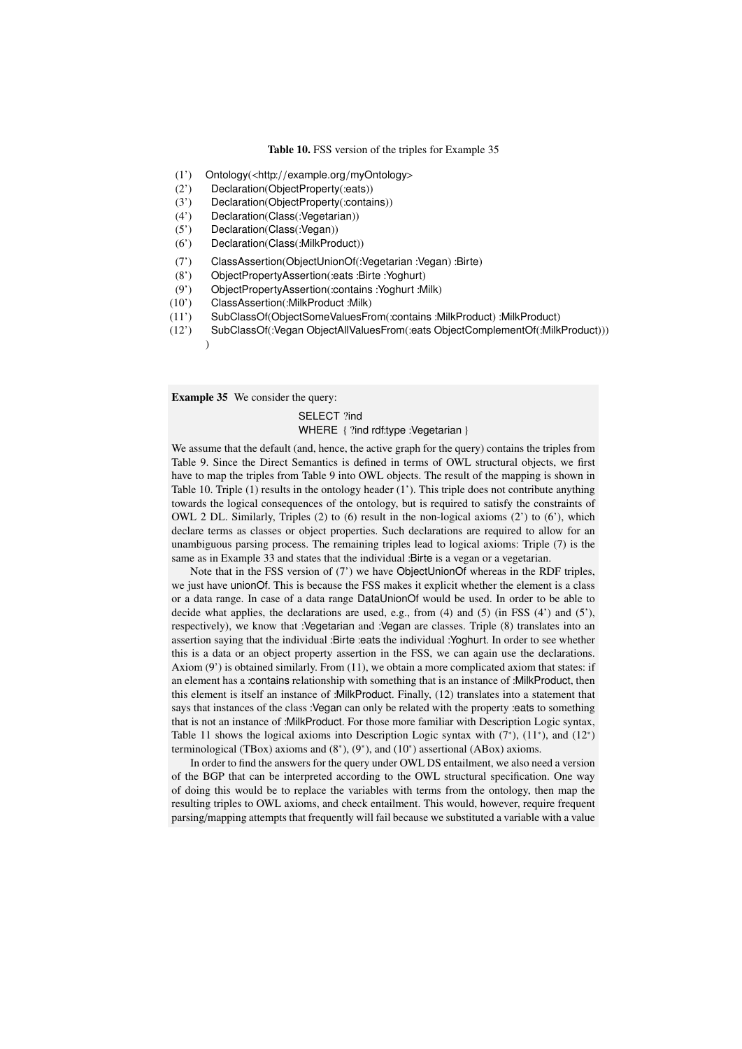Table 10. FSS version of the triples for Example 35

- (1') Ontology(<http://example.org/myOntology><br>
(2') Declaration(ObjectProperty(:eats))
- Declaration(ObjectProperty(:eats))
- (3') Declaration(ObjectProperty(:contains))
- (4') Declaration(Class(:Vegetarian))
- (5') Declaration(Class(:Vegan))
- (6') Declaration(Class(:MilkProduct))
- (7') ClassAssertion(ObjectUnionOf(:Vegetarian :Vegan) :Birte)
- (8') ObjectPropertyAssertion(:eats :Birte :Yoghurt)
- (9') ObjectPropertyAssertion(:contains :Yoghurt :Milk)
- (10') ClassAssertion(:MilkProduct :Milk)
- (11') SubClassOf(ObjectSomeValuesFrom(:contains :MilkProduct) :MilkProduct)
- (12') SubClassOf(:Vegan ObjectAllValuesFrom(:eats ObjectComplementOf(:MilkProduct)))
	- )

Example 35 We consider the query:

SELECT ?ind WHERE { ?ind rdf:type :Vegetarian }

We assume that the default (and, hence, the active graph for the query) contains the triples from Table 9. Since the Direct Semantics is defined in terms of OWL structural objects, we first have to map the triples from Table 9 into OWL objects. The result of the mapping is shown in Table 10. Triple (1) results in the ontology header (1'). This triple does not contribute anything towards the logical consequences of the ontology, but is required to satisfy the constraints of OWL 2 DL. Similarly, Triples (2) to (6) result in the non-logical axioms (2') to (6'), which declare terms as classes or object properties. Such declarations are required to allow for an unambiguous parsing process. The remaining triples lead to logical axioms: Triple (7) is the same as in Example 33 and states that the individual :Birte is a vegan or a vegetarian.

Note that in the FSS version of (7') we have ObjectUnionOf whereas in the RDF triples, we just have unionOf. This is because the FSS makes it explicit whether the element is a class or a data range. In case of a data range DataUnionOf would be used. In order to be able to decide what applies, the declarations are used, e.g., from  $(4)$  and  $(5)$  (in FSS  $(4')$ ) and  $(5')$ , respectively), we know that :Vegetarian and :Vegan are classes. Triple (8) translates into an assertion saying that the individual :Birte :eats the individual :Yoghurt. In order to see whether this is a data or an object property assertion in the FSS, we can again use the declarations. Axiom (9') is obtained similarly. From (11), we obtain a more complicated axiom that states: if an element has a :contains relationship with something that is an instance of :MilkProduct, then this element is itself an instance of :MilkProduct. Finally, (12) translates into a statement that says that instances of the class :Vegan can only be related with the property :eats to something that is not an instance of :MilkProduct. For those more familiar with Description Logic syntax, Table 11 shows the logical axioms into Description Logic syntax with  $(7^*)$ ,  $(11^*)$ , and  $(12^*)$ terminological (TBox) axioms and (8<sup>\*</sup>), (9<sup>\*</sup>), and (10<sup>\*</sup>) assertional (ABox) axioms.

In order to find the answers for the query under OWL DS entailment, we also need a version of the BGP that can be interpreted according to the OWL structural specification. One way of doing this would be to replace the variables with terms from the ontology, then map the resulting triples to OWL axioms, and check entailment. This would, however, require frequent parsing/mapping attempts that frequently will fail because we substituted a variable with a value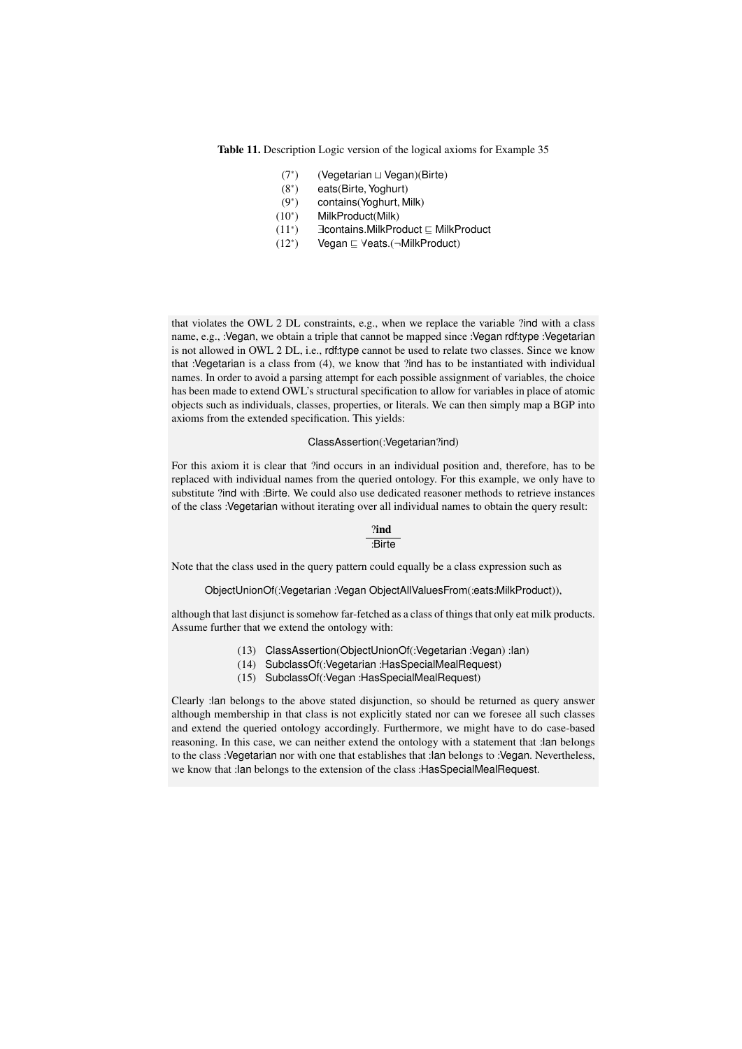Table 11. Description Logic version of the logical axioms for Example 35

- (7∗  $(Ve^{i\theta}$ aetarian  $\Box$  Vegan)(Birte)
- (8∗ eats(Birte, Yoghurt)
- (9∗ ) contains(Yoghurt, Milk)
- $(10<sup>*</sup>)$ ) MilkProduct(Milk)
- $(11<sup>*</sup>)$ ∃contains.MilkProduct ⊑ MilkProduct
- $(12<sup>*</sup>)$ Vegan ⊑ Veats.(¬MilkProduct)

that violates the OWL 2 DL constraints, e.g., when we replace the variable ?ind with a class name, e.g., :Vegan, we obtain a triple that cannot be mapped since :Vegan rdf:type :Vegetarian is not allowed in OWL 2 DL, i.e., rdf:type cannot be used to relate two classes. Since we know that :Vegetarian is a class from (4), we know that ?ind has to be instantiated with individual names. In order to avoid a parsing attempt for each possible assignment of variables, the choice has been made to extend OWL's structural specification to allow for variables in place of atomic objects such as individuals, classes, properties, or literals. We can then simply map a BGP into axioms from the extended specification. This yields:

### ClassAssertion(:Vegetarian?ind)

For this axiom it is clear that ?ind occurs in an individual position and, therefore, has to be replaced with individual names from the queried ontology. For this example, we only have to substitute ?ind with :Birte. We could also use dedicated reasoner methods to retrieve instances of the class :Vegetarian without iterating over all individual names to obtain the query result:

#### ?ind :Birte

Note that the class used in the query pattern could equally be a class expression such as

ObjectUnionOf(:Vegetarian :Vegan ObjectAllValuesFrom(:eats:MilkProduct)),

although that last disjunct is somehow far-fetched as a class of things that only eat milk products. Assume further that we extend the ontology with:

- (13) ClassAssertion(ObjectUnionOf(:Vegetarian :Vegan) :Ian)
- (14) SubclassOf(:Vegetarian :HasSpecialMealRequest)
- (15) SubclassOf(:Vegan :HasSpecialMealRequest)

Clearly :Ian belongs to the above stated disjunction, so should be returned as query answer although membership in that class is not explicitly stated nor can we foresee all such classes and extend the queried ontology accordingly. Furthermore, we might have to do case-based reasoning. In this case, we can neither extend the ontology with a statement that :Ian belongs to the class :Vegetarian nor with one that establishes that :Ian belongs to :Vegan. Nevertheless, we know that :Ian belongs to the extension of the class :HasSpecialMealRequest.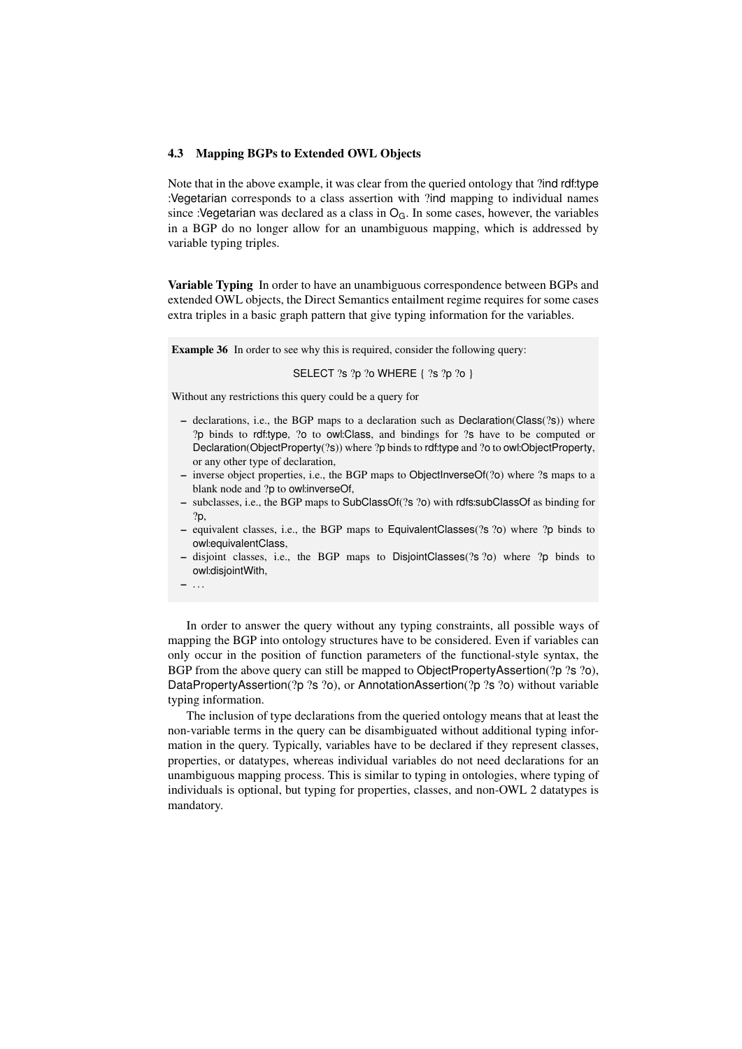#### 4.3 Mapping BGPs to Extended OWL Objects

Note that in the above example, it was clear from the queried ontology that ?ind rdf:type :Vegetarian corresponds to a class assertion with ?ind mapping to individual names since : Vegetarian was declared as a class in  $O<sub>G</sub>$ . In some cases, however, the variables in a BGP do no longer allow for an unambiguous mapping, which is addressed by variable typing triples.

Variable Typing In order to have an unambiguous correspondence between BGPs and extended OWL objects, the Direct Semantics entailment regime requires for some cases extra triples in a basic graph pattern that give typing information for the variables.

**Example 36** In order to see why this is required, consider the following query:

SELECT ?s ?p ?o WHERE { ?s ?p ?o }

Without any restrictions this query could be a query for

- declarations, i.e., the BGP maps to a declaration such as Declaration(Class(?s)) where ?p binds to rdf:type, ?o to owl:Class, and bindings for ?s have to be computed or Declaration(ObjectProperty(?s)) where ?p binds to rdf:type and ?o to owl:ObjectProperty, or any other type of declaration,
- inverse object properties, i.e., the BGP maps to ObjectInverseOf(?o) where ?s maps to a blank node and ?p to owl:inverseOf,
- subclasses, i.e., the BGP maps to SubClassOf(?s ?o) with rdfs:subClassOf as binding for ?p,
- equivalent classes, i.e., the BGP maps to EquivalentClasses(?s ?o) where ?p binds to owl:equivalentClass,
- disjoint classes, i.e., the BGP maps to DisjointClasses(?s ?o) where ?p binds to owl:disjointWith,
- . . .

In order to answer the query without any typing constraints, all possible ways of mapping the BGP into ontology structures have to be considered. Even if variables can only occur in the position of function parameters of the functional-style syntax, the BGP from the above query can still be mapped to ObjectPropertyAssertion(?p ?s ?o), DataPropertyAssertion(?p ?s ?o), or AnnotationAssertion(?p ?s ?o) without variable typing information.

The inclusion of type declarations from the queried ontology means that at least the non-variable terms in the query can be disambiguated without additional typing information in the query. Typically, variables have to be declared if they represent classes, properties, or datatypes, whereas individual variables do not need declarations for an unambiguous mapping process. This is similar to typing in ontologies, where typing of individuals is optional, but typing for properties, classes, and non-OWL 2 datatypes is mandatory.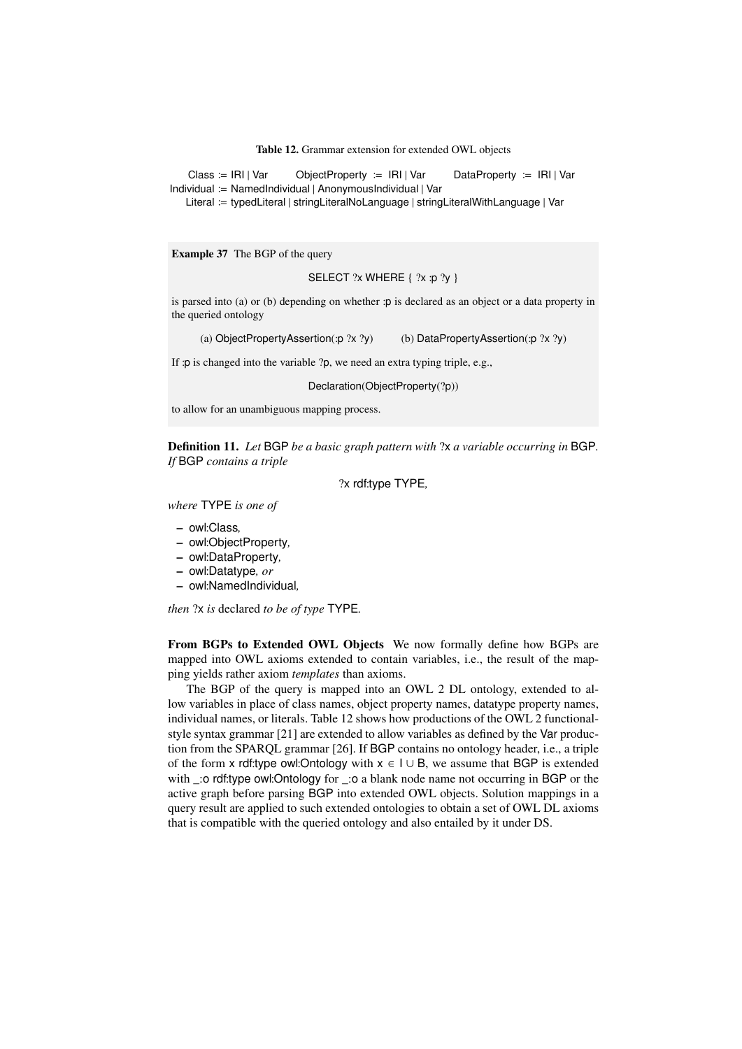Table 12. Grammar extension for extended OWL objects

 $Class := IRI | Var$  ObjectProperty  $I = IRI | Var$  DataProperty  $I = IRI | Var$  $Individual := NamedIndividual | AnonymousIndividual | Var$ 

Literal := typedLiteral | stringLiteralNoLanguage | stringLiteralWithLanguage | Var

Example 37 The BGP of the query

SELECT ?x WHERE { ?x :p ?y }

is parsed into (a) or (b) depending on whether :p is declared as an object or a data property in the queried ontology

(a) ObjectPropertyAssertion(:p  $?x ?y$ ) (b) DataPropertyAssertion(:p  $?x ?y$ )

If :p is changed into the variable ?p, we need an extra typing triple, e.g.,

Declaration(ObjectProperty(?p))

to allow for an unambiguous mapping process.

Definition 11. *Let* BGP *be a basic graph pattern with* ?x *a variable occurring in* BGP*. If* BGP *contains a triple*

?x rdf:type TYPE*,*

*where* TYPE *is one of*

- owl:Class*,*
- owl:ObjectProperty*,*
- owl:DataProperty*,*
- owl:Datatype*, or*
- owl:NamedIndividual*,*

*then* ?x *is* declared *to be of type* TYPE*.*

From BGPs to Extended OWL Objects We now formally define how BGPs are mapped into OWL axioms extended to contain variables, i.e., the result of the mapping yields rather axiom *templates* than axioms.

The BGP of the query is mapped into an OWL 2 DL ontology, extended to allow variables in place of class names, object property names, datatype property names, individual names, or literals. Table 12 shows how productions of the OWL 2 functionalstyle syntax grammar [21] are extended to allow variables as defined by the Var production from the SPARQL grammar [26]. If BGP contains no ontology header, i.e., a triple of the form x rdf:type owl:Ontology with  $x \in I \cup B$ , we assume that BGP is extended with \_:o rdf:type owl:Ontology for \_:o a blank node name not occurring in BGP or the active graph before parsing BGP into extended OWL objects. Solution mappings in a query result are applied to such extended ontologies to obtain a set of OWL DL axioms that is compatible with the queried ontology and also entailed by it under DS.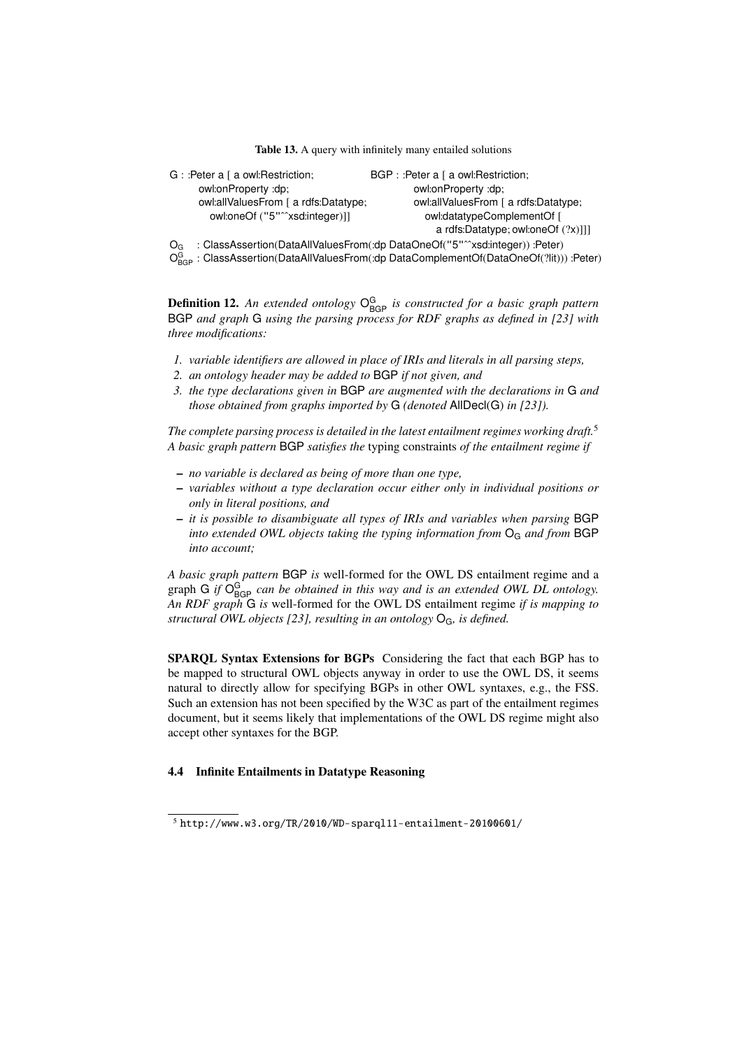Table 13. A query with infinitely many entailed solutions

|       | $G:$ : Peter a [ a owl: Restriction; | BGP : : Peter a [ a owl: Restriction;                                                         |
|-------|--------------------------------------|-----------------------------------------------------------------------------------------------|
|       | owl:onProperty :dp;                  | owl:onProperty :dp;                                                                           |
|       | owl:allValuesFrom [ a rdfs:Datatype; | owl:allValuesFrom [ a rdfs:Datatype;                                                          |
|       | owl:oneOf ("5"^^xsd:integer)]]       | owl:datatypeComplementOf [                                                                    |
|       |                                      | a rdfs:Datatype; owl:oneOf $(?x)]$ ]                                                          |
| $O_G$ |                                      | : ClassAssertion(DataAllValuesFrom(:dp DataOneOf("5"^^xsd:integer)) :Peter)                   |
|       |                                      | $O_{BGP}^G$ : ClassAssertion(DataAllValuesFrom(:dp DataComplementOf(DataOneOf(?lit))) :Peter) |

**Definition 12.** An extended ontology  $O_{\text{BGP}}^G$  is constructed for a basic graph pattern BGP *and graph* G *using the parsing process for RDF graphs as defined in [23] with three modifications:*

- *1. variable identifiers are allowed in place of IRIs and literals in all parsing steps,*
- *2. an ontology header may be added to* BGP *if not given, and*
- *3. the type declarations given in* BGP *are augmented with the declarations in* G *and those obtained from graphs imported by* G *(denoted* AllDecl(G) *in [23]).*

*The complete parsing process is detailed in the latest entailment regimes working draft.*<sup>5</sup> *A basic graph pattern* BGP *satisfies the* typing constraints *of the entailment regime if*

- *no variable is declared as being of more than one type,*
- *variables without a type declaration occur either only in individual positions or only in literal positions, and*
- *it is possible to disambiguate all types of IRIs and variables when parsing* BGP *into extended OWL objects taking the typing information from* O<sup>G</sup> *and from* BGP *into account;*

*A basic graph pattern* BGP *is* well-formed for the OWL DS entailment regime and a graph G if  $\mathsf{O}^{\mathsf{G}}_{\mathsf{BGP}}$  *can be obtained in this way and is an extended OWL DL ontology. An RDF graph* G *is* well-formed for the OWL DS entailment regime *if is mapping to structural OWL objects [23], resulting in an ontology* OG*, is defined.*

SPARQL Syntax Extensions for BGPs Considering the fact that each BGP has to be mapped to structural OWL objects anyway in order to use the OWL DS, it seems natural to directly allow for specifying BGPs in other OWL syntaxes, e.g., the FSS. Such an extension has not been specified by the W3C as part of the entailment regimes document, but it seems likely that implementations of the OWL DS regime might also accept other syntaxes for the BGP.

## 4.4 Infinite Entailments in Datatype Reasoning

 $5$  http://www.w3.org/TR/2010/WD-sparql11-entailment-20100601/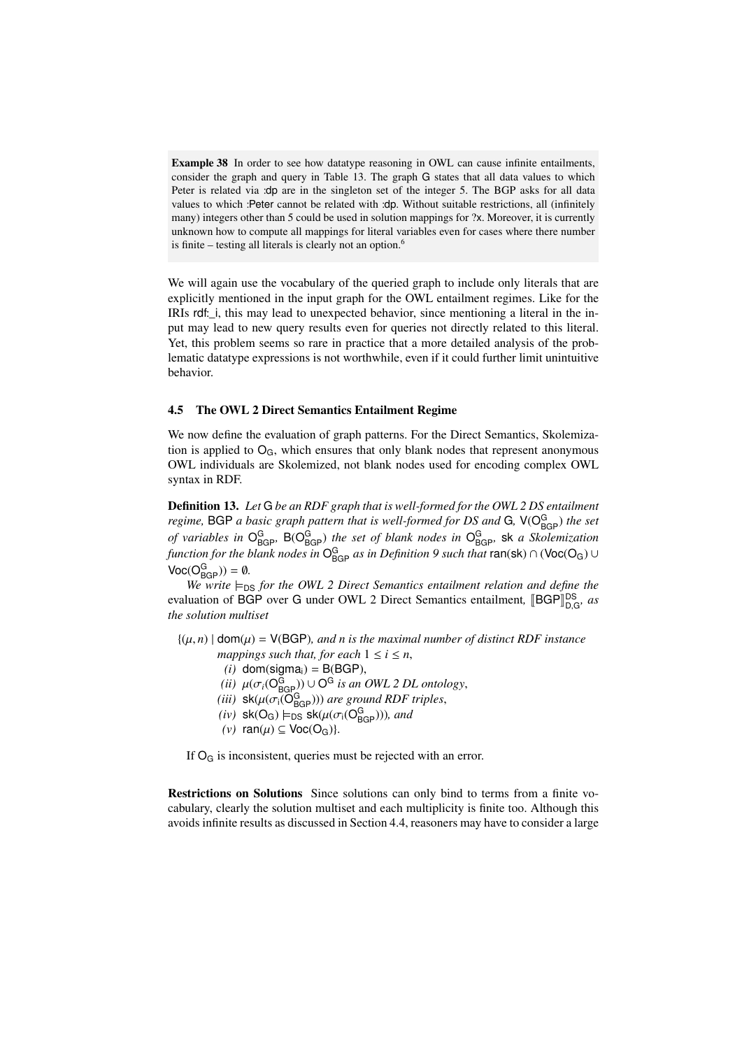Example 38 In order to see how datatype reasoning in OWL can cause infinite entailments, consider the graph and query in Table 13. The graph G states that all data values to which Peter is related via :dp are in the singleton set of the integer 5. The BGP asks for all data values to which :Peter cannot be related with :dp. Without suitable restrictions, all (infinitely many) integers other than 5 could be used in solution mappings for ?x. Moreover, it is currently unknown how to compute all mappings for literal variables even for cases where there number is finite – testing all literals is clearly not an option. $<sup>6</sup>$ </sup>

We will again use the vocabulary of the queried graph to include only literals that are explicitly mentioned in the input graph for the OWL entailment regimes. Like for the IRIs rdf:\_i, this may lead to unexpected behavior, since mentioning a literal in the input may lead to new query results even for queries not directly related to this literal. Yet, this problem seems so rare in practice that a more detailed analysis of the problematic datatype expressions is not worthwhile, even if it could further limit unintuitive behavior.

#### 4.5 The OWL 2 Direct Semantics Entailment Regime

We now define the evaluation of graph patterns. For the Direct Semantics, Skolemization is applied to  $O_G$ , which ensures that only blank nodes that represent anonymous OWL individuals are Skolemized, not blank nodes used for encoding complex OWL syntax in RDF.

Definition 13. *Let* G *be an RDF graph that is well-formed for the OWL 2 DS entailment regime,* BGP *a basic graph pattern that is well-formed for DS and* G,  $V(O_{BGP}^G)$  *the set of variables in* O<sup>G</sup> BGP*,* <sup>B</sup>(O<sup>G</sup> BGP) *the set of blank nodes in* <sup>O</sup><sup>G</sup> BGP*,* sk *a Skolemization function for the blank nodes in*  $\mathsf{O}^\mathsf{G}_\mathsf{BGP}$  *as in Definition 9 such that*  $\mathsf{ran}(\mathsf{sk}) \cap (\mathsf{Voc}(\mathsf{O}_\mathsf{G}) \cup$  $\text{Voc}(\text{O}^\text{G}_\text{BGP})) = \emptyset.$ 

*We write*  $\models$ <sub>DS</sub> *for the OWL 2 Direct Semantics entailment relation and define the* evaluation of BGP over G under OWL 2 Direct Semantics entailment, [BGP]<sup>DS</sup><sub>D,G</sub>, *as*<br>*the solution multiset the solution multiset*

 $\{(µ, n) | dom(µ) = V(BGP), and n is the maximal number of distinct RDF instance$ *mappings such that, for each*  $1 \le i \le n$ , *(i)* dom(sigma<sub>i</sub>) = B(BGP),

- $(i)$  dom(sigma<sub>i</sub>) = B(BGP),<br> $(i)$   $\mu(\sigma(G^G))$ ) |  $G^G$  is an u
- (*ii*)  $\mu(\sigma_i(\mathcal{O}_{BGP}^G)) \cup \mathcal{O}^G$  *is an OWL 2 DL ontology*,<br> *iii*) sk( $\mu(\sigma_i(\mathcal{O}_G^G)))$  are ground *RDE triples*
- (*iii*)  $\mathsf{sk}(\mu(\sigma_1(\overline{O}_G^G)))$  *are ground RDF triples,*<br>(*iv*)  $\mathsf{sk}(\overline{O}_G)$   $\vdash_{\mathsf{D}G} \mathsf{sk}(\mu(\sigma_1(\overline{O}_G^G)))$  *and*
- (*iv*)  $sk(O_G) \models_{DS} sk(\mu(\sigma_i(O_{BGP}^G))),$  and<br>(*v*)  $ran(\mu) \subseteq Noc(O_G)$
- $(v)$  ran( $\mu$ ) ⊆ Voc(O<sub>G</sub>)}.

If  $O<sub>G</sub>$  is inconsistent, queries must be rejected with an error.

Restrictions on Solutions Since solutions can only bind to terms from a finite vocabulary, clearly the solution multiset and each multiplicity is finite too. Although this avoids infinite results as discussed in Section 4.4, reasoners may have to consider a large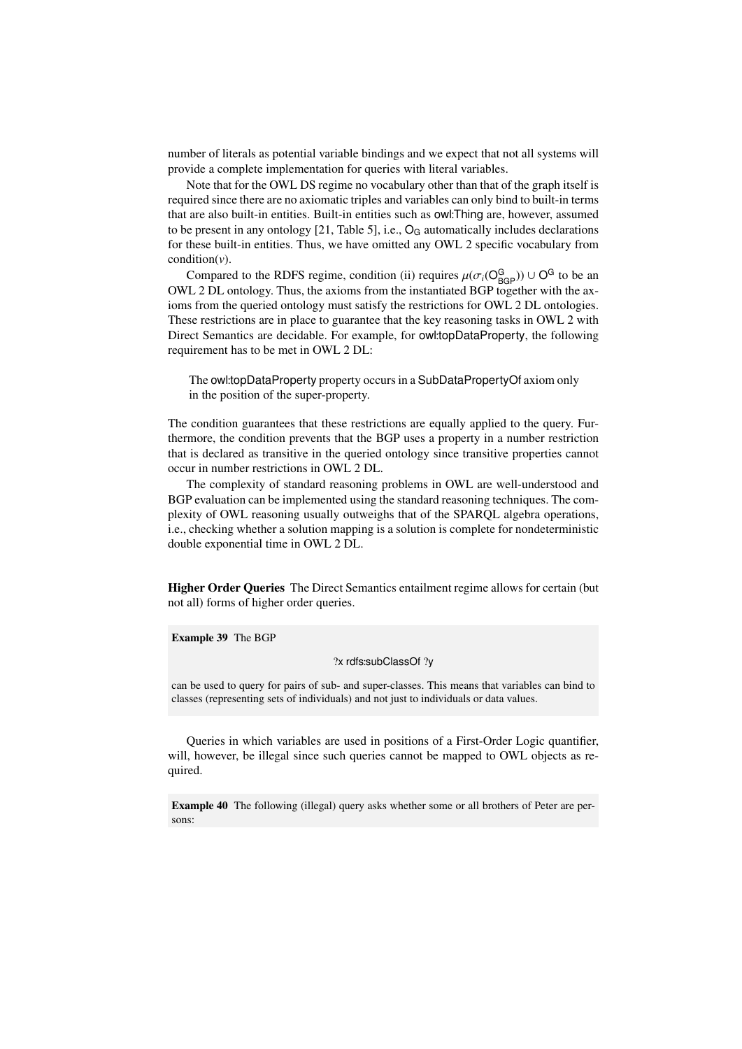number of literals as potential variable bindings and we expect that not all systems will provide a complete implementation for queries with literal variables.

Note that for the OWL DS regime no vocabulary other than that of the graph itself is required since there are no axiomatic triples and variables can only bind to built-in terms that are also built-in entities. Built-in entities such as owl:Thing are, however, assumed to be present in any ontology  $[21, Table 5]$ , i.e.,  $O_G$  automatically includes declarations for these built-in entities. Thus, we have omitted any OWL 2 specific vocabulary from condition(*v*).

Compared to the RDFS regime, condition (ii) requires  $\mu(\sigma_i(Q_{BGP}^G)) \cup Q^G$  to be an  $\Pi$ , 2 DL ontology. Thus the axioms from the instantiated RGP together with the axiom OWL 2 DL ontology. Thus, the axioms from the instantiated BGP together with the axioms from the queried ontology must satisfy the restrictions for OWL 2 DL ontologies. These restrictions are in place to guarantee that the key reasoning tasks in OWL 2 with Direct Semantics are decidable. For example, for owl:topDataProperty, the following requirement has to be met in OWL 2 DL:

The owl:topDataProperty property occurs in a SubDataPropertyOf axiom only in the position of the super-property.

The condition guarantees that these restrictions are equally applied to the query. Furthermore, the condition prevents that the BGP uses a property in a number restriction that is declared as transitive in the queried ontology since transitive properties cannot occur in number restrictions in OWL 2 DL.

The complexity of standard reasoning problems in OWL are well-understood and BGP evaluation can be implemented using the standard reasoning techniques. The complexity of OWL reasoning usually outweighs that of the SPARQL algebra operations, i.e., checking whether a solution mapping is a solution is complete for nondeterministic double exponential time in OWL 2 DL.

Higher Order Queries The Direct Semantics entailment regime allows for certain (but not all) forms of higher order queries.

Example 39 The BGP

?x rdfs:subClassOf ?y

can be used to query for pairs of sub- and super-classes. This means that variables can bind to classes (representing sets of individuals) and not just to individuals or data values.

Queries in which variables are used in positions of a First-Order Logic quantifier, will, however, be illegal since such queries cannot be mapped to OWL objects as required.

Example 40 The following (illegal) query asks whether some or all brothers of Peter are persons: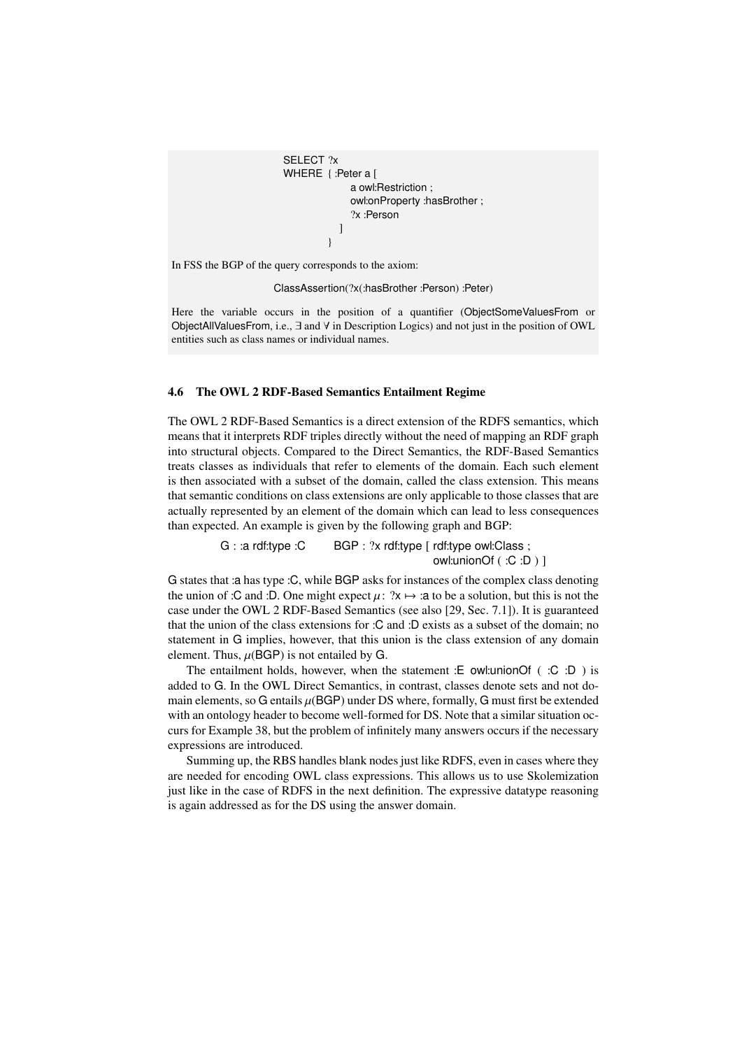```
SELECT ?x
WHERE { :Peter a [
              a owl:Restriction ;
              owl:onProperty :hasBrother ;
              ?x :Person
           ]
         }
```
In FSS the BGP of the query corresponds to the axiom:

ClassAssertion(?x(:hasBrother :Person) :Peter)

Here the variable occurs in the position of a quantifier (ObjectSomeValuesFrom or ObjectAllValuesFrom, i.e., ∃ and ∀ in Description Logics) and not just in the position of OWL entities such as class names or individual names.

## 4.6 The OWL 2 RDF-Based Semantics Entailment Regime

The OWL 2 RDF-Based Semantics is a direct extension of the RDFS semantics, which means that it interprets RDF triples directly without the need of mapping an RDF graph into structural objects. Compared to the Direct Semantics, the RDF-Based Semantics treats classes as individuals that refer to elements of the domain. Each such element is then associated with a subset of the domain, called the class extension. This means that semantic conditions on class extensions are only applicable to those classes that are actually represented by an element of the domain which can lead to less consequences than expected. An example is given by the following graph and BGP:

> $G : a$  rdf:type  $:C$  BGP : ?x rdf:type  $[$  rdf:type owl:Class  $:$ owl:unionOf (:C :D ) ]

G states that :a has type :C, while BGP asks for instances of the complex class denoting the union of :C and :D. One might expect  $\mu$ : ?x  $\mapsto$  :a to be a solution, but this is not the case under the OWL 2 RDF-Based Semantics (see also [29, Sec. 7.1]). It is guaranteed that the union of the class extensions for :C and :D exists as a subset of the domain; no statement in G implies, however, that this union is the class extension of any domain element. Thus,  $\mu$ (BGP) is not entailed by G.

The entailment holds, however, when the statement  $E$  owl:unionOf ( $E$ :C  $E$ ) is added to G. In the OWL Direct Semantics, in contrast, classes denote sets and not domain elements, so G entails  $\mu$ (BGP) under DS where, formally, G must first be extended with an ontology header to become well-formed for DS. Note that a similar situation occurs for Example 38, but the problem of infinitely many answers occurs if the necessary expressions are introduced.

Summing up, the RBS handles blank nodes just like RDFS, even in cases where they are needed for encoding OWL class expressions. This allows us to use Skolemization just like in the case of RDFS in the next definition. The expressive datatype reasoning is again addressed as for the DS using the answer domain.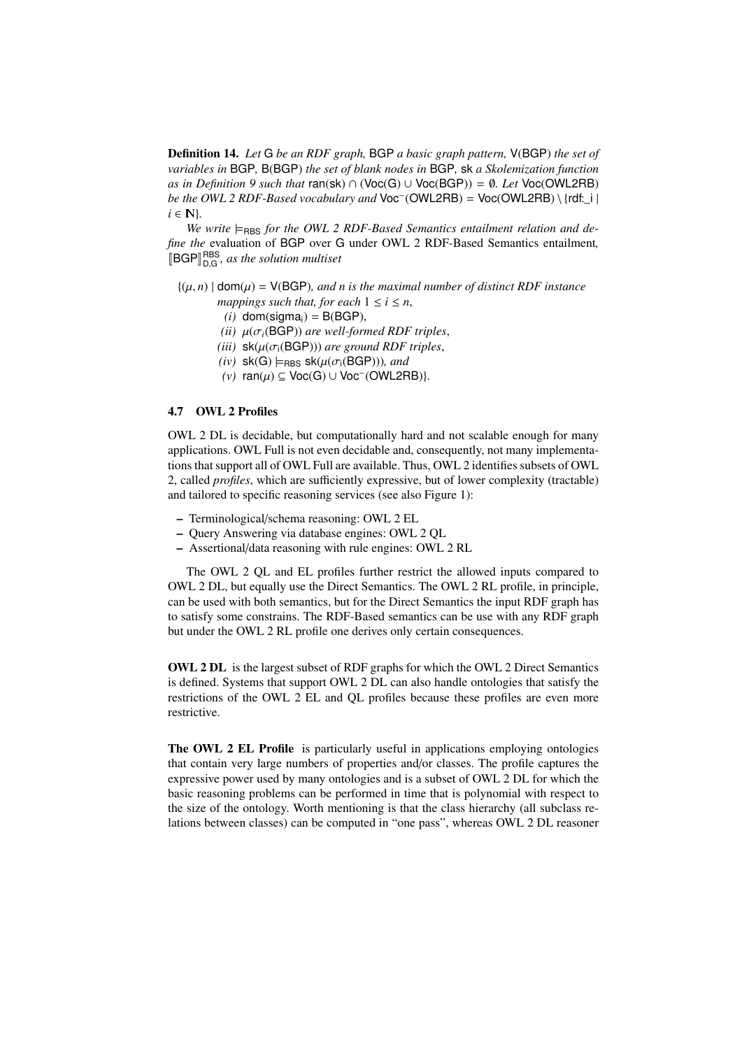Definition 14. *Let* G *be an RDF graph,* BGP *a basic graph pattern,* V(BGP) *the set of variables in* BGP*,* B(BGP) *the set of blank nodes in* BGP*,* sk *a Skolemization function as in Definition 9 such that* ran(sk) ∩ (Voc(G) ∪ Voc(BGP)) = ∅*. Let* Voc(OWL2RB) *be the OWL 2 RDF-Based vocabulary and* Voc<sup>−</sup>(OWL2RB) = Voc(OWL2RB) \ {rdf:\_i |  $i \in \mathbb{N}$ *}*.

We write  $\models$ <sub>RBS</sub> for the OWL 2 RDF-Based Semantics entailment relation and de*fine the* evaluation of BGP over G under OWL 2 RDF-Based Semantics entailment*,* [BGP]<sup>RBS</sup>, as the solution multiset

- ${(\mu, n) \mid \text{dom}(\mu) = \text{V(BGP)}},$  and n is the maximal number of distinct RDF instance *mappings such that, for each*  $1 \le i \le n$ ,
	- $(i)$  dom(sigma<sub>i</sub>) = B(BGP),
	- *(ii)*  $\mu(\sigma_i(\text{BGP}))$  *are well-formed RDF triples,*
	- *(iii)*  $sk(\mu(\sigma_i(BGP)))$  *are ground RDF triples,*
	- $(iv)$  sk(G)  $\models$ <sub>RBS</sub> sk( $\mu(\sigma_i(BGP))$ )*, and*
	- *(v)* ran(µ) <sup>⊆</sup> Voc(G) <sup>∪</sup> Voc<sup>−</sup> (OWL2RB)}.

#### 4.7 OWL 2 Profiles

OWL 2 DL is decidable, but computationally hard and not scalable enough for many applications. OWL Full is not even decidable and, consequently, not many implementations that support all of OWL Full are available. Thus, OWL 2 identifies subsets of OWL 2, called *profiles*, which are sufficiently expressive, but of lower complexity (tractable) and tailored to specific reasoning services (see also Figure 1):

- Terminological/schema reasoning: OWL 2 EL
- Query Answering via database engines: OWL 2 QL
- Assertional/data reasoning with rule engines: OWL 2 RL

The OWL 2 QL and EL profiles further restrict the allowed inputs compared to OWL 2 DL, but equally use the Direct Semantics. The OWL 2 RL profile, in principle, can be used with both semantics, but for the Direct Semantics the input RDF graph has to satisfy some constrains. The RDF-Based semantics can be use with any RDF graph but under the OWL 2 RL profile one derives only certain consequences.

OWL 2 DL is the largest subset of RDF graphs for which the OWL 2 Direct Semantics is defined. Systems that support OWL 2 DL can also handle ontologies that satisfy the restrictions of the OWL 2 EL and QL profiles because these profiles are even more restrictive.

The OWL 2 EL Profile is particularly useful in applications employing ontologies that contain very large numbers of properties and/or classes. The profile captures the expressive power used by many ontologies and is a subset of OWL 2 DL for which the basic reasoning problems can be performed in time that is polynomial with respect to the size of the ontology. Worth mentioning is that the class hierarchy (all subclass relations between classes) can be computed in "one pass", whereas OWL 2 DL reasoner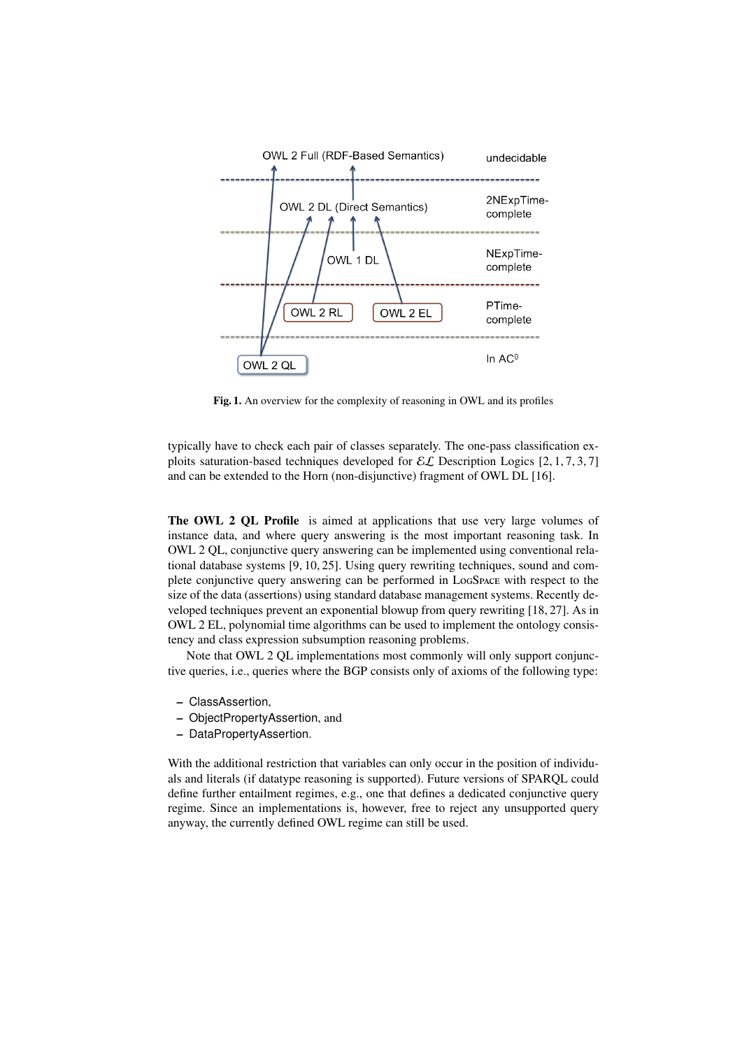

Fig. 1. An overview for the complexity of reasoning in OWL and its profiles

typically have to check each pair of classes separately. The one-pass classification exploits saturation-based techniques developed for  $\mathcal{EL}$  Description Logics [2, 1, 7, 3, 7] and can be extended to the Horn (non-disjunctive) fragment of OWL DL [16].

The OWL 2 QL Profile is aimed at applications that use very large volumes of instance data, and where query answering is the most important reasoning task. In OWL 2 QL, conjunctive query answering can be implemented using conventional relational database systems [9, 10, 25]. Using query rewriting techniques, sound and complete conjunctive query answering can be performed in LogSpace with respect to the size of the data (assertions) using standard database management systems. Recently developed techniques prevent an exponential blowup from query rewriting [18, 27]. As in OWL 2 EL, polynomial time algorithms can be used to implement the ontology consistency and class expression subsumption reasoning problems.

Note that OWL 2 QL implementations most commonly will only support conjunctive queries, i.e., queries where the BGP consists only of axioms of the following type:

- ClassAssertion,
- ObjectPropertyAssertion, and
- DataPropertyAssertion.

With the additional restriction that variables can only occur in the position of individuals and literals (if datatype reasoning is supported). Future versions of SPARQL could define further entailment regimes, e.g., one that defines a dedicated conjunctive query regime. Since an implementations is, however, free to reject any unsupported query anyway, the currently defined OWL regime can still be used.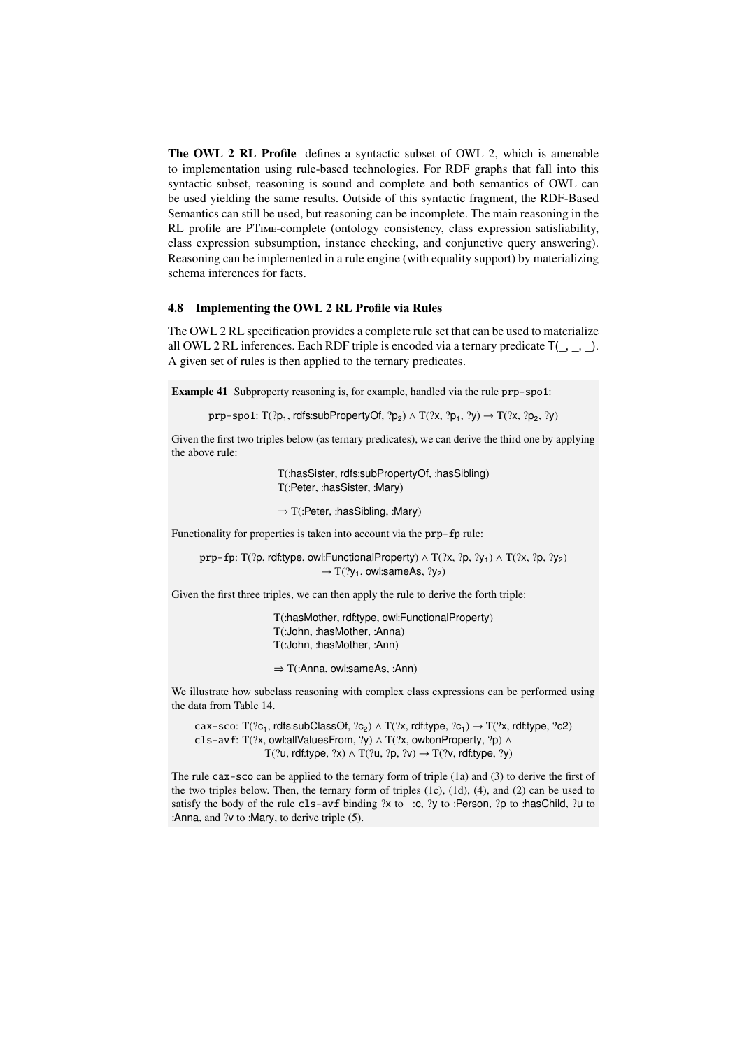The OWL 2 RL Profile defines a syntactic subset of OWL 2, which is amenable to implementation using rule-based technologies. For RDF graphs that fall into this syntactic subset, reasoning is sound and complete and both semantics of OWL can be used yielding the same results. Outside of this syntactic fragment, the RDF-Based Semantics can still be used, but reasoning can be incomplete. The main reasoning in the RL profile are PTime-complete (ontology consistency, class expression satisfiability, class expression subsumption, instance checking, and conjunctive query answering). Reasoning can be implemented in a rule engine (with equality support) by materializing schema inferences for facts.

### 4.8 Implementing the OWL 2 RL Profile via Rules

The OWL 2 RL specification provides a complete rule set that can be used to materialize all OWL 2 RL inferences. Each RDF triple is encoded via a ternary predicate  $T(\,$ ,  $\,$ ,  $)$ . A given set of rules is then applied to the ternary predicates.

Example 41 Subproperty reasoning is, for example, handled via the rule prp-spo1:

prp-spo1: T(?p<sub>1</sub>, rdfs:subPropertyOf, ?p<sub>2</sub>)  $\land$  T(?x, ?p<sub>1</sub>, ?y)  $\rightarrow$  T(?x, ?p<sub>2</sub>, ?y)

Given the first two triples below (as ternary predicates), we can derive the third one by applying the above rule:

> T(:hasSister, rdfs:subPropertyOf, :hasSibling) T(:Peter, :hasSister, :Mary)

⇒ T(:Peter, :hasSibling, :Mary)

Functionality for properties is taken into account via the prp-fp rule:

prp-fp: T(?p, rdf:type, owl:FunctionalProperty)  $\land$  T(?x, ?p, ?y<sub>1</sub>)  $\land$  T(?x, ?p, ?y<sub>2</sub>)  $\rightarrow$  T(?y<sub>1</sub>, owl:sameAs, ?y<sub>2</sub>)

Given the first three triples, we can then apply the rule to derive the forth triple:

T(:hasMother, rdf:type, owl:FunctionalProperty) T(:John, :hasMother, :Anna) T(:John, :hasMother, :Ann)

⇒ T(:Anna, owl:sameAs, :Ann)

We illustrate how subclass reasoning with complex class expressions can be performed using the data from Table 14.

cax-sco: T(?c<sub>1</sub>, rdfs:subClassOf, ?c<sub>2</sub>)  $\land$  T(?x, rdf:type, ?c<sub>1</sub>)  $\rightarrow$  T(?x, rdf:type, ?c2) cls-avf: T(?x, owl:allValuesFrom, ?y) ∧ T(?x, owl:onProperty, ?p) ∧ T(?u, rdf:type, ?x)  $\land$  T(?u, ?p, ?v)  $\rightarrow$  T(?v, rdf:type, ?y)

The rule cax-sco can be applied to the ternary form of triple (1a) and (3) to derive the first of the two triples below. Then, the ternary form of triples  $(1c)$ ,  $(1d)$ ,  $(4)$ , and  $(2)$  can be used to satisfy the body of the rule cls-avf binding  $?x$  to  $.c$ ,  $?y$  to :Person,  $?p$  to :hasChild,  $?u$  to :Anna, and ?v to :Mary, to derive triple (5).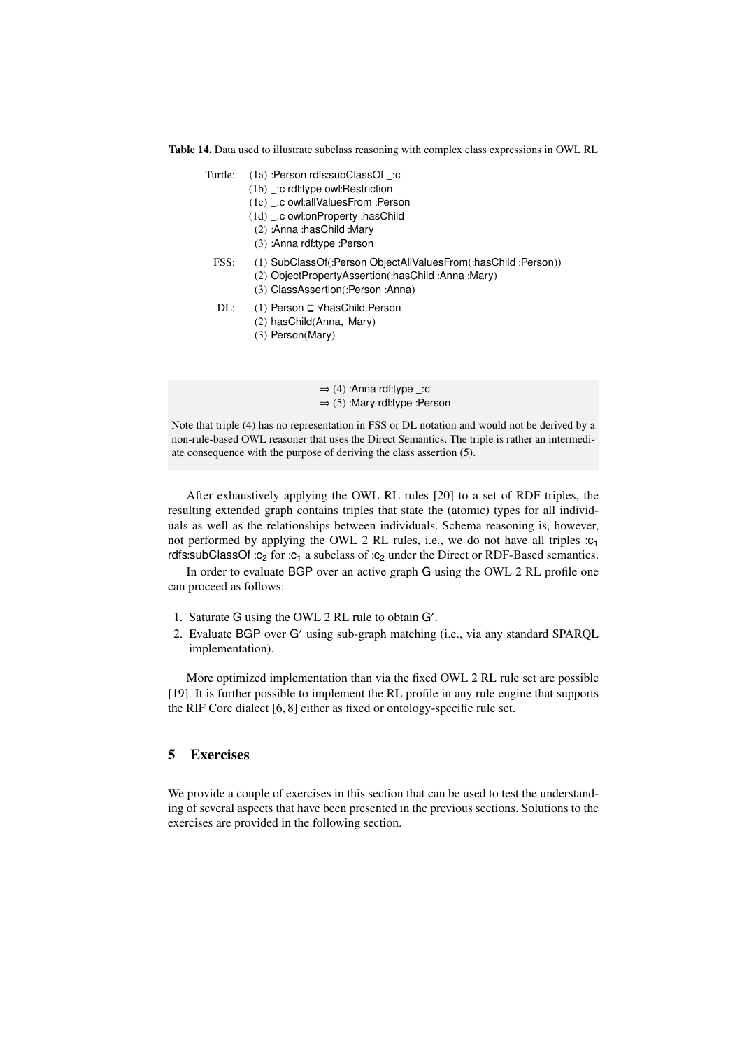Table 14. Data used to illustrate subclass reasoning with complex class expressions in OWL RL

Turtle: (1a) :Person rdfs:subClassOf :c

- (1b) \_:c rdf:type owl:Restriction
- (1c) \_:c owl:allValuesFrom :Person
- (1d) \_:c owl:onProperty :hasChild
- (2) :Anna :hasChild :Mary
- (3) :Anna rdf:type :Person
- FSS: (1) SubClassOf(:Person ObjectAllValuesFrom(:hasChild :Person)) (2) ObjectPropertyAssertion(:hasChild :Anna :Mary)
	- (3) ClassAssertion(:Person :Anna)
- DL: (1) Person ⊑ ∀hasChild.Person
	- (2) hasChild(Anna, Mary)
	- (3) Person(Mary)

 $\Rightarrow$  (4) :Anna rdf:type \_: c ⇒ (5) :Mary rdf:type :Person

Note that triple (4) has no representation in FSS or DL notation and would not be derived by a non-rule-based OWL reasoner that uses the Direct Semantics. The triple is rather an intermediate consequence with the purpose of deriving the class assertion (5).

After exhaustively applying the OWL RL rules [20] to a set of RDF triples, the resulting extended graph contains triples that state the (atomic) types for all individuals as well as the relationships between individuals. Schema reasoning is, however, not performed by applying the OWL 2 RL rules, i.e., we do not have all triples  $c_1$ rdfs:subClassOf : $c_2$  for : $c_1$  a subclass of : $c_2$  under the Direct or RDF-Based semantics.

In order to evaluate BGP over an active graph G using the OWL 2 RL profile one can proceed as follows:

- 1. Saturate G using the OWL 2 RL rule to obtain G'.
- 2. Evaluate BGP over G' using sub-graph matching (i.e., via any standard SPARQL implementation).

More optimized implementation than via the fixed OWL 2 RL rule set are possible [19]. It is further possible to implement the RL profile in any rule engine that supports the RIF Core dialect [6, 8] either as fixed or ontology-specific rule set.

## 5 Exercises

We provide a couple of exercises in this section that can be used to test the understanding of several aspects that have been presented in the previous sections. Solutions to the exercises are provided in the following section.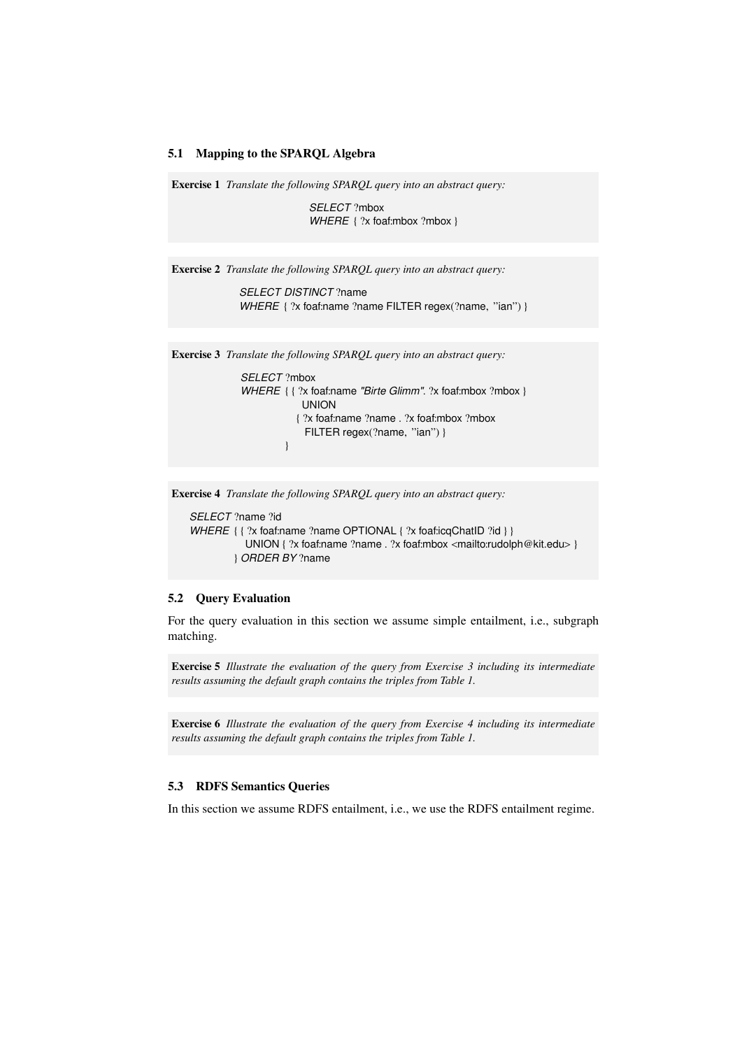### 5.1 Mapping to the SPARQL Algebra

Exercise 1 *Translate the following SPARQL query into an abstract query:*

*SELECT* ?mbox *WHERE* { ?x foaf:mbox ?mbox }

Exercise 2 *Translate the following SPARQL query into an abstract query:*

*SELECT DISTINCT* ?name *WHERE* { ?x foaf:name ?name FILTER regex(?name, "ian") }

Exercise 3 *Translate the following SPARQL query into an abstract query:*

*SELECT* ?mbox *WHERE* { { ?x foaf:name *"Birte Glimm"*. ?x foaf:mbox ?mbox } UNION { ?x foaf:name ?name . ?x foaf:mbox ?mbox FILTER regex(?name, "ian") } }

Exercise 4 *Translate the following SPARQL query into an abstract query:*

*SELECT* ?name ?id *WHERE* { { ?x foaf:name ?name OPTIONAL { ?x foaf:icqChatID ?id } } UNION { ?x foaf:name ?name . ?x foaf:mbox <mailto:rudolph@kit.edu> } } *ORDER BY* ?name

## 5.2 Query Evaluation

For the query evaluation in this section we assume simple entailment, i.e., subgraph matching.

Exercise 5 *Illustrate the evaluation of the query from Exercise 3 including its intermediate results assuming the default graph contains the triples from Table 1.*

Exercise 6 *Illustrate the evaluation of the query from Exercise 4 including its intermediate results assuming the default graph contains the triples from Table 1.*

# 5.3 RDFS Semantics Queries

In this section we assume RDFS entailment, i.e., we use the RDFS entailment regime.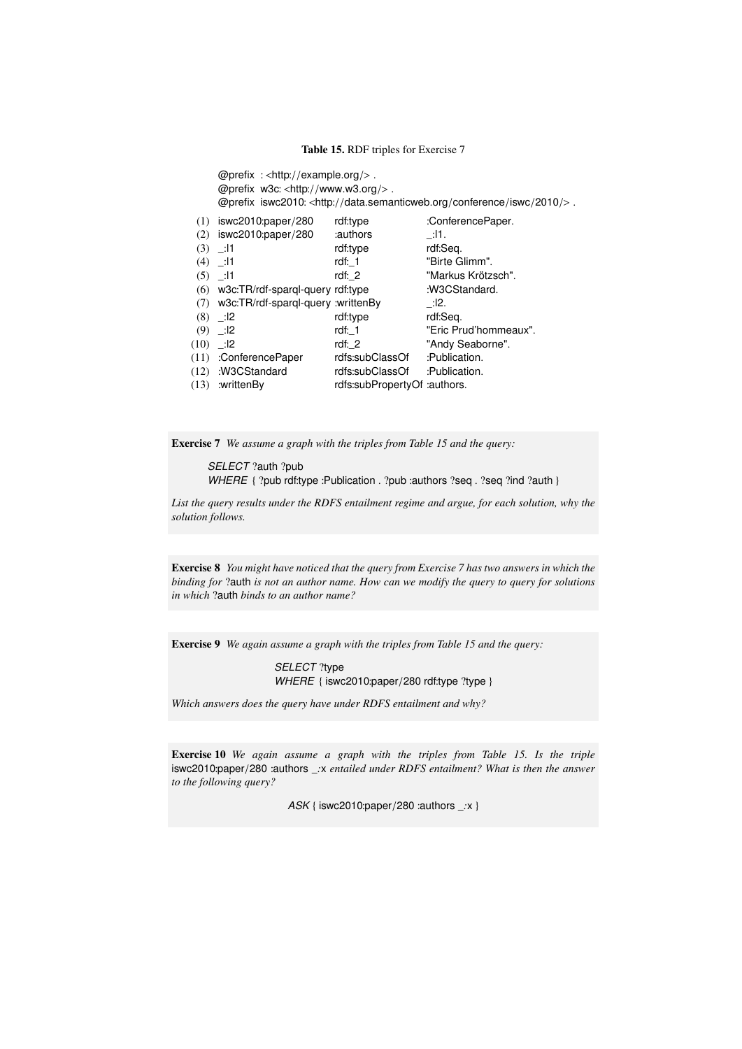Table 15. RDF triples for Exercise 7

@prefix : <http://example.org/> . @prefix w3c: <http://www.w3.org/> . @prefix iswc2010: <http://data.semanticweb.org/conference/iswc/2010/> . (1)  $iswc2010:paper/280$  rdf:type  $(2)$   $iswc2010:paper/280$   $:authors$   $:11$ . (2) iswc2010:paper/280 :authors \_\_:l1.<br>(3) \_:l1 rdf:type rdf:Seq.  $(3)$   $\qquad$ :11 rdf:type rdf:Seq.<br>(4) ·11 rdf: 1 · "Birte G (4)  $\begin{array}{ccc} .!1 & .11 & .11 \\ .3 & .11 & .11 \\ .4 & .11 & .11 \\ .5 & .11 & .11 \\ .4 & .11 & .11 \\ .4 & .11 & .11 \\ .4 & .11 & .11 \\ .4 & .11 & .11 \\ .4 & .11 & .11 \\ .4 & .11 & .11 \\ .4 & .11 & .11 \\ .4 & .11 & .11 \\ .4 & .11 & .11 \\ .4 & .11 & .11 \\ .4 & .11 & .11 \\ .4 & .11 & .11 \\ .4 & .11 & .11 \\ .4 & .11 & .11 \\ .4 & .11 & .11 \\$ (5) \_:l1 rdf:\_2 "Markus Krötzsch".<br>(6) w3c:TB/rdf-spargl-query rdf:type ·W3CStandard (6) w3c:TR/rdf-sparql-query rdf:type :W3CStandard.<br>(7) w3c:TR/rdf-spargl-query writtenBy :Wild (7) w3c:TR/rdf-sparql-query :writtenBy \_\_:l2.<br>(8) \_:l2 rdf:type rdf:Seq.  $(8)$   $\begin{array}{ccc} 12 & & \text{rdf:type} & \text{rdf:Seq.} \ \hline \end{array}$ (9) \_: l2 rdf:\_1 <br>(10) \_: l2 rdf:\_2 rdf:\_2 "Andy Seaborne". (10) \_:l2 rdf:\_<sup>2</sup> "Andy Seaborne". (11) :ConferencePaper rdfs:subClassOf :Publication. (12) :W3CStandard rdfs:subClassOf :Publication. (13) :writtenBy rdfs:subPropertyOf :authors.

Exercise 7 *We assume a graph with the triples from Table 15 and the query:*

*SELECT* ?auth ?pub *WHERE* { ?pub rdf:type :Publication . ?pub :authors ?seq . ?seq ?ind ?auth }

*List the query results under the RDFS entailment regime and argue, for each solution, why the solution follows.*

Exercise 8 *You might have noticed that the query from Exercise 7 has two answers in which the binding for* ?auth *is not an author name. How can we modify the query to query for solutions in which* ?auth *binds to an author name?*

Exercise 9 *We again assume a graph with the triples from Table 15 and the query:*

*SELECT* ?type *WHERE* { iswc2010:paper/280 rdf:type ?type }

*Which answers does the query have under RDFS entailment and why?*

Exercise 10 *We again assume a graph with the triples from Table 15. Is the triple* iswc2010:paper/<sup>280</sup> :authors *\_:*<sup>x</sup> *entailed under RDFS entailment? What is then the answer to the following query?*

*ASK* { iswc2010:paper/<sup>280</sup> :authors *\_:*<sup>x</sup> }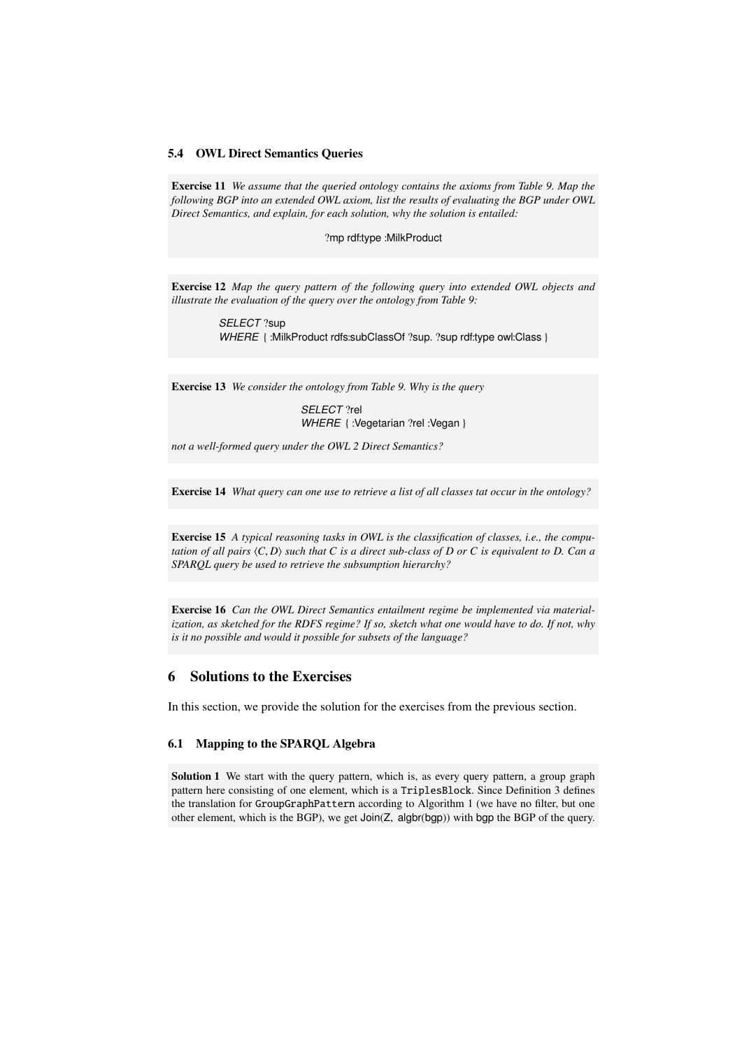#### 5.4 OWL Direct Semantics Queries

Exercise 11 *We assume that the queried ontology contains the axioms from Table 9. Map the following BGP into an extended OWL axiom, list the results of evaluating the BGP under OWL Direct Semantics, and explain, for each solution, why the solution is entailed:*

#### ?mp rdf:type :MilkProduct

Exercise 12 *Map the query pattern of the following query into extended OWL objects and illustrate the evaluation of the query over the ontology from Table 9:*

> *SELECT* ?sup *WHERE* { :MilkProduct rdfs:subClassOf ?sup. ?sup rdf:type owl:Class }

Exercise 13 *We consider the ontology from Table 9. Why is the query*

*SELECT* ?rel *WHERE* { :Vegetarian ?rel :Vegan }

*not a well-formed query under the OWL 2 Direct Semantics?*

Exercise 14 *What query can one use to retrieve a list of all classes tat occur in the ontology?*

Exercise 15 *A typical reasoning tasks in OWL is the classification of classes, i.e., the computation of all pairs*  $\langle C, D \rangle$  *such that C is a direct sub-class of D or C is equivalent to D. Can a SPARQL query be used to retrieve the subsumption hierarchy?*

Exercise 16 *Can the OWL Direct Semantics entailment regime be implemented via materialization, as sketched for the RDFS regime? If so, sketch what one would have to do. If not, why is it no possible and would it possible for subsets of the language?*

## 6 Solutions to the Exercises

In this section, we provide the solution for the exercises from the previous section.

# 6.1 Mapping to the SPARQL Algebra

Solution 1 We start with the query pattern, which is, as every query pattern, a group graph pattern here consisting of one element, which is a TriplesBlock. Since Definition 3 defines the translation for GroupGraphPattern according to Algorithm 1 (we have no filter, but one other element, which is the BGP), we get Join(Z, algbr(bgp)) with bgp the BGP of the query.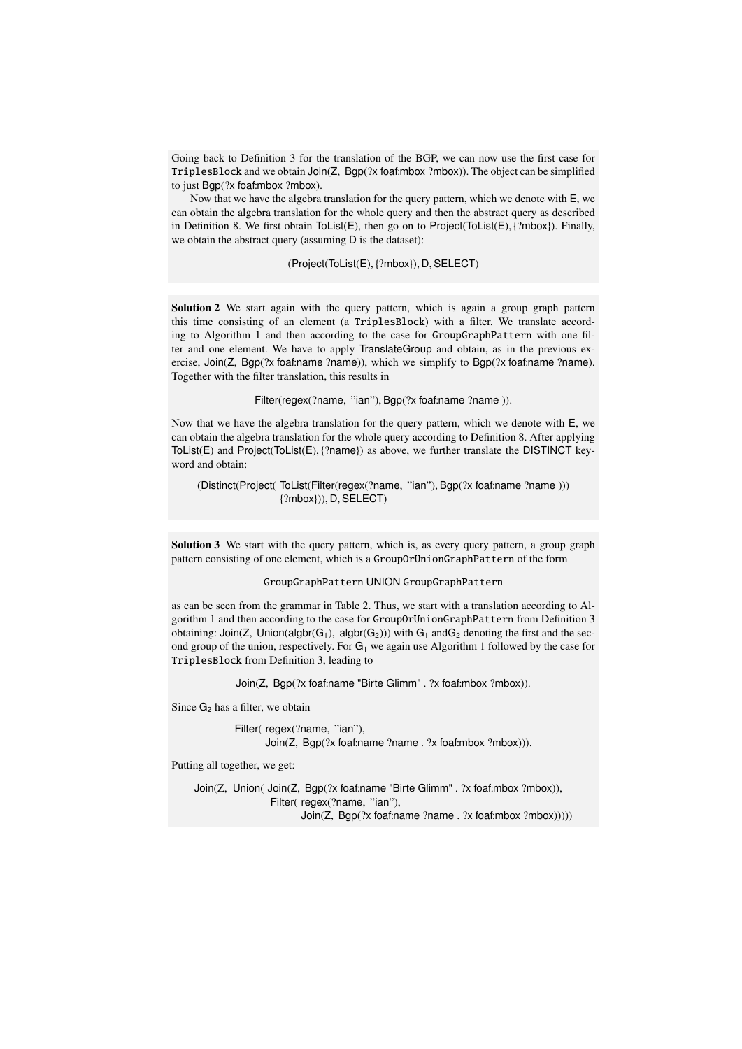Going back to Definition 3 for the translation of the BGP, we can now use the first case for TriplesBlock and we obtain Join(Z, Bgp(?x foaf:mbox ?mbox)). The object can be simplified to just Bgp(?x foaf:mbox ?mbox).

Now that we have the algebra translation for the query pattern, which we denote with E, we can obtain the algebra translation for the whole query and then the abstract query as described in Definition 8. We first obtain ToList(E), then go on to Project(ToList(E), {?mbox}). Finally, we obtain the abstract query (assuming D is the dataset):

#### (Project(ToList(E), {?mbox}), <sup>D</sup>, SELECT)

Solution 2 We start again with the query pattern, which is again a group graph pattern this time consisting of an element (a TriplesBlock) with a filter. We translate according to Algorithm 1 and then according to the case for GroupGraphPattern with one filter and one element. We have to apply TranslateGroup and obtain, as in the previous exercise, Join(Z, Bgp(?x foaf:name ?name)), which we simplify to Bgp(?x foaf:name ?name). Together with the filter translation, this results in

Filter(regex(?name, "ian"), Bgp(?x foaf:name ?name )).

Now that we have the algebra translation for the query pattern, which we denote with E, we can obtain the algebra translation for the whole query according to Definition 8. After applying ToList(E) and Project(ToList(E), {?name}) as above, we further translate the DISTINCT keyword and obtain:

(Distinct(Project( ToList(Filter(regex(?name, "ian"), Bgp(?x foaf:name ?name ))) {?mbox})), <sup>D</sup>, SELECT)

Solution 3 We start with the query pattern, which is, as every query pattern, a group graph pattern consisting of one element, which is a GroupOrUnionGraphPattern of the form

#### GroupGraphPattern UNION GroupGraphPattern

as can be seen from the grammar in Table 2. Thus, we start with a translation according to Algorithm 1 and then according to the case for GroupOrUnionGraphPattern from Definition 3 obtaining: Join(Z, Union(algbr(G<sub>1</sub>), algbr(G<sub>2</sub>))) with G<sub>1</sub> andG<sub>2</sub> denoting the first and the second group of the union, respectively. For  $G_1$  we again use Algorithm 1 followed by the case for TriplesBlock from Definition 3, leading to

Join(Z, Bgp(?x foaf:name "Birte Glimm" . ?x foaf:mbox ?mbox)).

Since  $G_2$  has a filter, we obtain

Filter( regex(?name, "ian"), Join(Z, Bgp(?x foaf:name ?name . ?x foaf:mbox ?mbox))).

Putting all together, we get:

Join(Z, Union( Join(Z, Bgp(?x foaf:name "Birte Glimm" . ?x foaf:mbox ?mbox)), Filter( regex(?name, "ian"), Join(Z, Bgp(?x foaf:name ?name . ?x foaf:mbox ?mbox)))))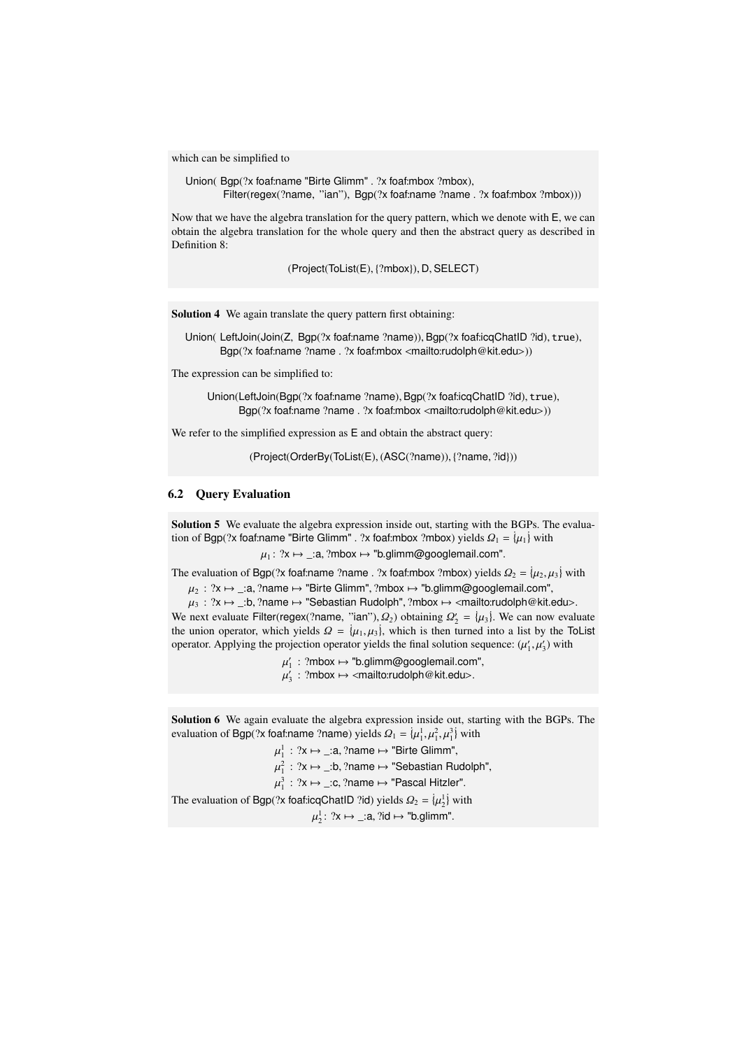which can be simplified to

Union( Bgp(?x foaf:name "Birte Glimm" . ?x foaf:mbox ?mbox), Filter(regex(?name, "ian"), Bgp(?x foaf:name ?name . ?x foaf:mbox ?mbox)))

Now that we have the algebra translation for the query pattern, which we denote with E, we can obtain the algebra translation for the whole query and then the abstract query as described in Definition 8:

(Project(ToList(E), {?mbox}), <sup>D</sup>, SELECT)

Solution 4 We again translate the query pattern first obtaining:

Union( LeftJoin(Join(Z, Bgp(?x foaf:name ?name)), Bgp(?x foaf:icqChatID ?id), true), Bgp(?x foaf:name ?name . ?x foaf:mbox <mailto:rudolph@kit.edu>))

The expression can be simplified to:

Union(LeftJoin(Bgp(?x foaf:name ?name), Bgp(?x foaf:icqChatID ?id), true), Bgp(?x foaf:name ?name . ?x foaf:mbox <mailto:rudolph@kit.edu>))

We refer to the simplified expression as  $E$  and obtain the abstract query:

(Project(OrderBy(ToList(E), (ASC(?name)), {?name, ?id}))

#### 6.2 Query Evaluation

Solution 5 We evaluate the algebra expression inside out, starting with the BGPs. The evaluation of Bgp(?x foaf:name "Birte Glimm" . ?x foaf:mbox ?mbox) yields  $\Omega_1 = {\mu_1}$  with  $\mu_1$ : ?x  $\mapsto$  \_:a, ?mbox  $\mapsto$  "b.glimm@googlemail.com".

The evaluation of Bgp(?x foaf:name ?name . ?x foaf:mbox ?mbox) yields  $\Omega_2 = {\mu_2, \mu_3}$  with

 $\mu_2 : ?x \mapsto$  \_:a, ?name  $\mapsto$  "Birte Glimm", ?mbox  $\mapsto$  "b.glimm@googlemail.com",

 $\mu_3 : ?x \mapsto \bot$ :b, ?name  $\mapsto$  "Sebastian Rudolph", ?mbox  $\mapsto$  <mailto:rudolph@kit.edu>. We next evaluate Filter(regex(?name, "ian"),  $\Omega_2$ ) obtaining  $\Omega'_2 = \{\mu_3\}$ . We can now evaluate the union operator, which yields  $\Omega = {\mu_1, \mu_3}$ , which is then turned into a list by the ToList operator. Applying the projection operator yields the final solution sequence:  $(\mu' \mu')$  with operator. Applying the projection operator yields the final solution sequence:  $(\mu'_1, \mu'_3)$  with

 $\frac{1}{1}$ : ?mbox  $\mapsto$  "b.glimm@googlemail.com",<br>  $\frac{1}{1}$  : ?mbox  $\mapsto$  <mailto:rudolph@kit.edu

∫′<br>‴  $\mathbf{r}$  $\frac{1}{3}$  : ?mbox  $\mapsto$  <mailto:rudolph@kit.edu>.

Solution 6 We again evaluate the algebra expression inside out, starting with the BGPs. The evaluation of Bgp(?x foaf:name ?name) yields  $\Omega_1 = {\mu_1^1, \mu_1^2, \mu_1^3}$  with

 $\frac{1}{1}$  : ?x → \_:a, ?name → "Birte Glimm",

 $\mu_1^2$ :  $2x \mapsto \pm b$ ,  $2n$  ame  $\mapsto$  "Sebastian Rudolph",

 $\mu_1^3$ :  $?x \mapsto$  \_:c, ?name  $\mapsto$  "Pascal Hitzler".

The evaluation of Bgp(?x foaf:icqChatID ?id) yields  $\Omega_2 = {\mu_2}^1$  with

 $\mu_2^1$ : ?x → \_:a, ?id → "b.glimm".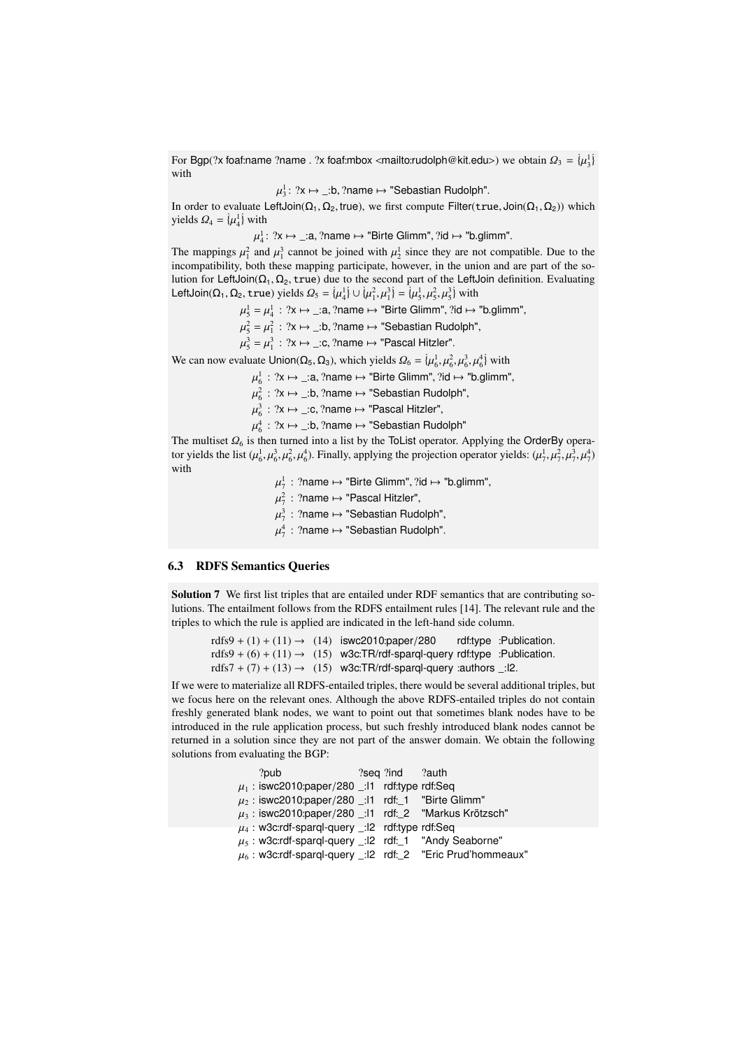For Bgp(?x foaf:name ?name . ?x foaf:mbox <mailto:rudolph@kit.edu>) we obtain  $\mathcal{Q}_3 = {\mu_3^1}$ <br>with with

# $\frac{1}{3}$ : ?x → \_:b, ?name → "Sebastian Rudolph".

In order to evaluate LeftJoin( $\Omega_1, \Omega_2$ , true), we first compute Filter(true, Join( $\Omega_1, \Omega_2$ )) which yields  $\Omega_4 = {\mu_4^1}$  with

 $\frac{1}{4}$ : ?x → \_:a, ?name → "Birte Glimm", ?id → "b.glimm".

The mappings  $\mu_1^2$  and  $\mu_2^3$  cannot be joined with  $\mu_2^1$  since they are not compatible. Due to the incompatibility, both these mapping participate, however, in the union and are part of the solution for LeftJoin( $\Omega_1, \Omega_2$ , true) due to the second part of the LeftJoin definition. Evaluating LeftJoin(Ω<sub>1</sub>, Ω<sub>2</sub>, true) yields  $Q_5 = \{\mu_4^1\} \cup \{\mu_1^2, \mu_1^3\} = \{\mu_5^1, \mu_5^2, \mu_3^3\}$  with

 $\frac{1}{5} = \mu_{4}^{1}$  : ?x → \_:a, ?name → "Birte Glimm", ?id → "b.glimm",

 $\mu_5^2 = \mu_1^2$  :  $?x \mapsto ...$ :b, ?name  $\mapsto$  "Sebastian Rudolph",

 $\mu_3^3 = \mu_1^3 : 2x \mapsto ...$ :c, ?name  $\mapsto$  "Pascal Hitzler".

We can now evaluate Union( $\Omega_5, \Omega_3$ ), which yields  $\Omega_6 = {\mu_6^1, \mu_6^2, \mu_6^3, \mu_6^4}$  with

 $\frac{1}{6}$ : ?x → \_:a, ?name → "Birte Glimm", ?id → "b.glimm",

 $\mu_6^2$ :  $?x \mapsto -1$ ;  $\mu_6$  ? name  $\mapsto$  "Sebastian Rudolph",

 $\mu_6^2$ :  $?x \mapsto$  \_:c, ?name  $\mapsto$  "Pascal Hitzler",

 $\mu_6^4$ :  $?x \mapsto$  \_:b, ?name  $\mapsto$  "Sebastian Rudolph"<br>  $\mu_6^4$ :  $?x \mapsto$  \_:b, ?name  $\mapsto$  "Sebastian Rudolph"

The multiset  $\Omega_6$  is then turned into a list by the ToList operator. Applying the OrderBy operator vields the list  $(\mu_1^1, \mu_2^3, \mu_3^4)$ . Finally, applying the projection operator vields:  $(\mu_1^1, \mu_2^2, \mu_3^3, \mu_4^4)$ tor yields the list  $(\mu_6^1, \mu_6^2, \mu_6^2, \mu_6^4)$ . Finally, applying the projection operator yields:  $(\mu_7^1, \mu_7^2, \mu_7^3, \mu_7^4)$ with

 $\frac{1}{7}$ : ?name  $\mapsto$  "Birte Glimm", ?id  $\mapsto$  "b.glimm",

- $\mu_7^2$ : ?name  $\mapsto$  "Pascal Hitzler",
- $\mu_7^3$ : ?name  $\mapsto$  "Sebastian Rudolph",
- $\mathbf{r}$  $\mu_7^4$  : ?name  $\mapsto$  "Sebastian Rudolph".

#### 6.3 RDFS Semantics Queries

Solution 7 We first list triples that are entailed under RDF semantics that are contributing solutions. The entailment follows from the RDFS entailment rules [14]. The relevant rule and the triples to which the rule is applied are indicated in the left-hand side column.

rdfs9 + (1) + (11)  $\rightarrow$  (14) iswc2010:paper/280 rdf:type :Publication.<br>rdfs9 + (6) + (11)  $\rightarrow$  (15) w3c:TB/rdf-spargl-guery rdf:type :Publication. rdfs9 + (6) + (11)  $\rightarrow$  (15) w3c:TR/rdf-sparql-query rdf:type :Publication.<br>rdfs7 + (7) + (13)  $\rightarrow$  (15) w3c:TR/rdf-spargl-query :authors :P  $rdfs7 + (7) + (13) \rightarrow (15)$  w3c:TR/rdf-sparql-query :authors \_: l2.

If we were to materialize all RDFS-entailed triples, there would be several additional triples, but we focus here on the relevant ones. Although the above RDFS-entailed triples do not contain freshly generated blank nodes, we want to point out that sometimes blank nodes have to be introduced in the rule application process, but such freshly introduced blank nodes cannot be returned in a solution since they are not part of the answer domain. We obtain the following solutions from evaluating the BGP:

| ?pub                                                                  | ?seg ?ind ?auth |  |
|-----------------------------------------------------------------------|-----------------|--|
| $\mu_1$ : iswc2010:paper/280 _: l1 rdf:type rdf:Seq                   |                 |  |
| $\mu_2$ : iswc2010:paper/280 _:11 rdf: 1 "Birte Glimm"                |                 |  |
| $\mu_3$ : iswc2010:paper/280 :11 rdf: 2 "Markus Krötzsch"             |                 |  |
| $\mu_4$ : w3c:rdf-spargl-query : 2 rdf:type rdf:Seq                   |                 |  |
| $\mu$ <sub>5</sub> : w3c:rdf-spargl-query : l2 rdf: 1 "Andy Seaborne" |                 |  |
| $\mu_6$ : w3c:rdf-sparql-query _: l2 rdf: _2 "Eric Prud'hommeaux"     |                 |  |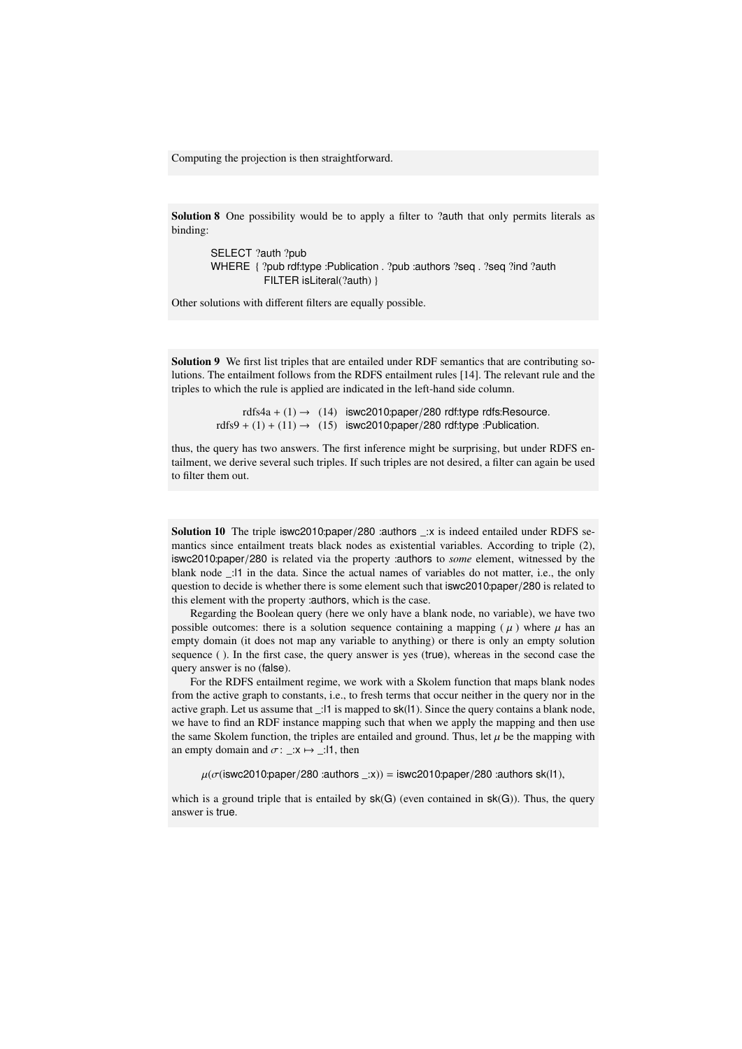Computing the projection is then straightforward.

Solution 8 One possibility would be to apply a filter to ?auth that only permits literals as binding:

```
SELECT ?auth ?pub
WHERE { ?pub rdf:type :Publication . ?pub :authors ?seq . ?seq ?ind ?auth
           FILTER isLiteral(?auth) }
```
Other solutions with different filters are equally possible.

Solution 9 We first list triples that are entailed under RDF semantics that are contributing solutions. The entailment follows from the RDFS entailment rules [14]. The relevant rule and the triples to which the rule is applied are indicated in the left-hand side column.

> rdfs4a +  $(1) \rightarrow (14)$  iswc2010:paper/280 rdf:type rdfs:Resource. rdfs $9 + (1) + (11) \rightarrow (15)$  iswc2010:paper/280 rdf:type :Publication.

thus, the query has two answers. The first inference might be surprising, but under RDFS entailment, we derive several such triples. If such triples are not desired, a filter can again be used to filter them out.

Solution 10 The triple iswc2010:paper/280 :authors \_:x is indeed entailed under RDFS semantics since entailment treats black nodes as existential variables. According to triple (2), iswc2010:paper/<sup>280</sup> is related via the property :authors to *some* element, witnessed by the blank node \_:l1 in the data. Since the actual names of variables do not matter, i.e., the only question to decide is whether there is some element such that iswc2010:paper/<sup>280</sup> is related to this element with the property :authors, which is the case.

Regarding the Boolean query (here we only have a blank node, no variable), we have two possible outcomes: there is a solution sequence containing a mapping ( $\mu$ ) where  $\mu$  has an empty domain (it does not map any variable to anything) or there is only an empty solution sequence ( ). In the first case, the query answer is yes (true), whereas in the second case the query answer is no (false).

For the RDFS entailment regime, we work with a Skolem function that maps blank nodes from the active graph to constants, i.e., to fresh terms that occur neither in the query nor in the active graph. Let us assume that \_:l1 is mapped to sk(l1). Since the query contains a blank node, we have to find an RDF instance mapping such that when we apply the mapping and then use the same Skolem function, the triples are entailed and ground. Thus, let  $\mu$  be the mapping with an empty domain and  $\sigma$ : \_:x  $\mapsto$  \_:l1, then

 $\mu(\sigma(\text{iswc2010:paper}/280:authors \_):x)) = \text{iswc2010:paper}/280:authors sk(1),$ 

which is a ground triple that is entailed by  $sk(G)$  (even contained in  $sk(G)$ ). Thus, the query answer is true.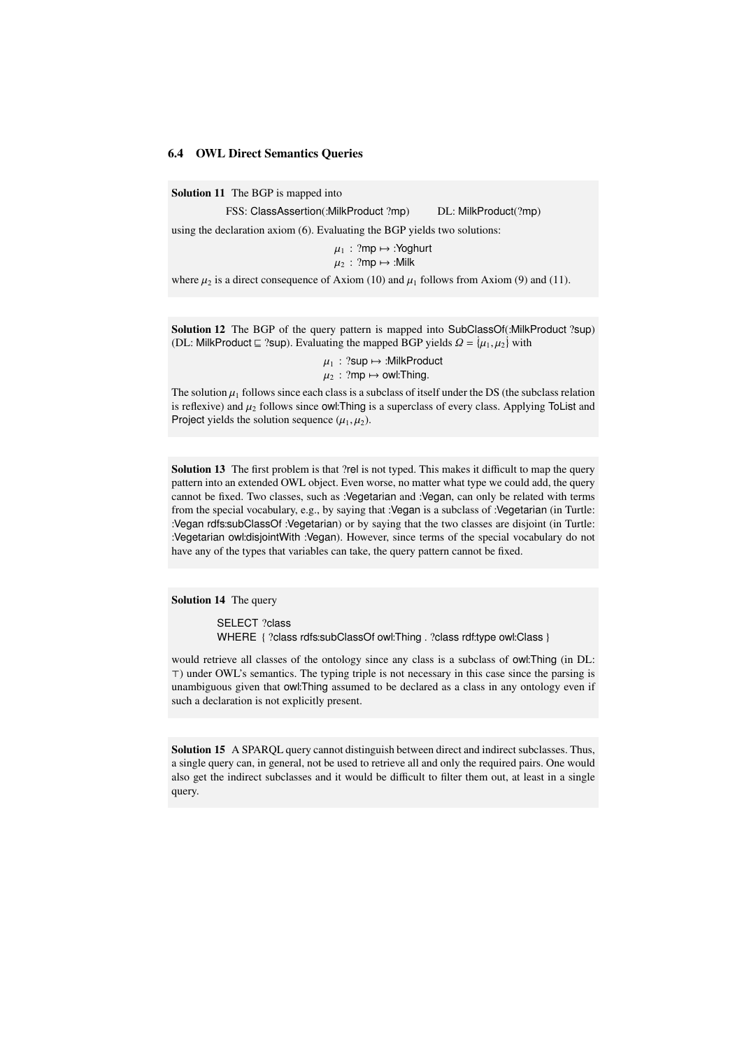#### 6.4 OWL Direct Semantics Queries

Solution 11 The BGP is mapped into

FSS: ClassAssertion(:MilkProduct ?mp) DL: MilkProduct(?mp)

using the declaration axiom (6). Evaluating the BGP yields two solutions:

 $\mu_1$  : ?mp  $\mapsto$  :Yoghurt  $\mu_2$  : ?mp  $\mapsto$  :Milk

where  $\mu_2$  is a direct consequence of Axiom (10) and  $\mu_1$  follows from Axiom (9) and (11).

Solution 12 The BGP of the query pattern is mapped into SubClassOf(:MilkProduct ?sup) (DL: MilkProduct  $\subseteq$  ?sup). Evaluating the mapped BGP yields  $\Omega = {\mu_1, \mu_2}$  with

 $\mu_1$  : ?sup  $\mapsto$  :MilkProduct  $\mu_2$ : ?mp  $\mapsto$  owl:Thing.

The solution  $\mu_1$  follows since each class is a subclass of itself under the DS (the subclass relation is reflexive) and  $\mu_2$  follows since owl: Thing is a superclass of every class. Applying ToList and Project yields the solution sequence  $(\mu_1, \mu_2)$ .

Solution 13 The first problem is that ?rel is not typed. This makes it difficult to map the query pattern into an extended OWL object. Even worse, no matter what type we could add, the query cannot be fixed. Two classes, such as :Vegetarian and :Vegan, can only be related with terms from the special vocabulary, e.g., by saying that :Vegan is a subclass of :Vegetarian (in Turtle: :Vegan rdfs:subClassOf :Vegetarian) or by saying that the two classes are disjoint (in Turtle: :Vegetarian owl:disjointWith :Vegan). However, since terms of the special vocabulary do not have any of the types that variables can take, the query pattern cannot be fixed.

### Solution 14 The query

SELECT ?class WHERE { ?class rdfs:subClassOf owl:Thing . ?class rdf:type owl:Class }

would retrieve all classes of the ontology since any class is a subclass of owl:Thing (in DL: >) under OWL's semantics. The typing triple is not necessary in this case since the parsing is unambiguous given that owl:Thing assumed to be declared as a class in any ontology even if such a declaration is not explicitly present.

Solution 15 A SPARQL query cannot distinguish between direct and indirect subclasses. Thus, a single query can, in general, not be used to retrieve all and only the required pairs. One would also get the indirect subclasses and it would be difficult to filter them out, at least in a single query.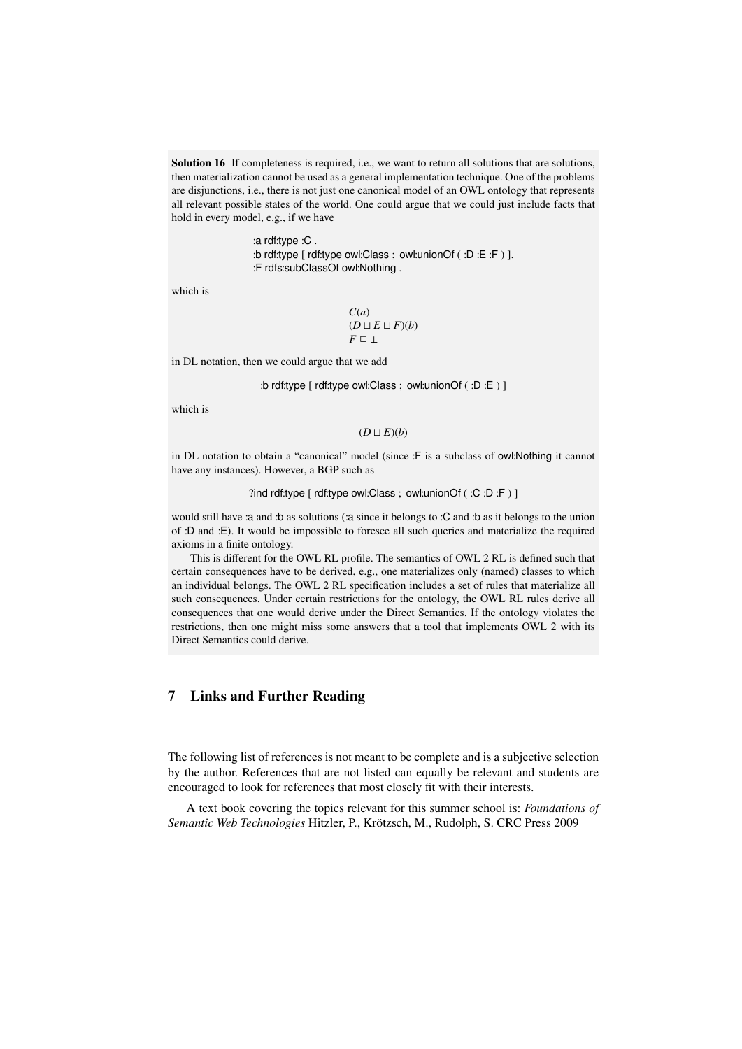Solution 16 If completeness is required, i.e., we want to return all solutions that are solutions, then materialization cannot be used as a general implementation technique. One of the problems are disjunctions, i.e., there is not just one canonical model of an OWL ontology that represents all relevant possible states of the world. One could argue that we could just include facts that hold in every model, e.g., if we have

> :a rdf:type :<sup>C</sup> . :b rdf:type [ rdf:type owl:Class ; owl:unionOf ( :<sup>D</sup> :<sup>E</sup> :<sup>F</sup> ) ]. :F rdfs:subClassOf owl:Nothing .

which is

*C*(*a*)  $(D \sqcup E \sqcup F)(b)$  $F \sqsubseteq \bot$ 

in DL notation, then we could argue that we add

:b rdf:type [ rdf:type owl:Class ; owl:unionOf ( :D :E ) ]

which is

 $(D \sqcup E)(b)$ 

in DL notation to obtain a "canonical" model (since :F is a subclass of owl:Nothing it cannot have any instances). However, a BGP such as

?ind rdf:type [ rdf:type owl:Class ; owl:unionOf ( :C :D :F ) ]

would still have :a and :b as solutions (:a since it belongs to :C and :b as it belongs to the union of :D and :E). It would be impossible to foresee all such queries and materialize the required axioms in a finite ontology.

This is different for the OWL RL profile. The semantics of OWL 2 RL is defined such that certain consequences have to be derived, e.g., one materializes only (named) classes to which an individual belongs. The OWL 2 RL specification includes a set of rules that materialize all such consequences. Under certain restrictions for the ontology, the OWL RL rules derive all consequences that one would derive under the Direct Semantics. If the ontology violates the restrictions, then one might miss some answers that a tool that implements OWL 2 with its Direct Semantics could derive.

# 7 Links and Further Reading

The following list of references is not meant to be complete and is a subjective selection by the author. References that are not listed can equally be relevant and students are encouraged to look for references that most closely fit with their interests.

A text book covering the topics relevant for this summer school is: *Foundations of Semantic Web Technologies* Hitzler, P., Krötzsch, M., Rudolph, S. CRC Press 2009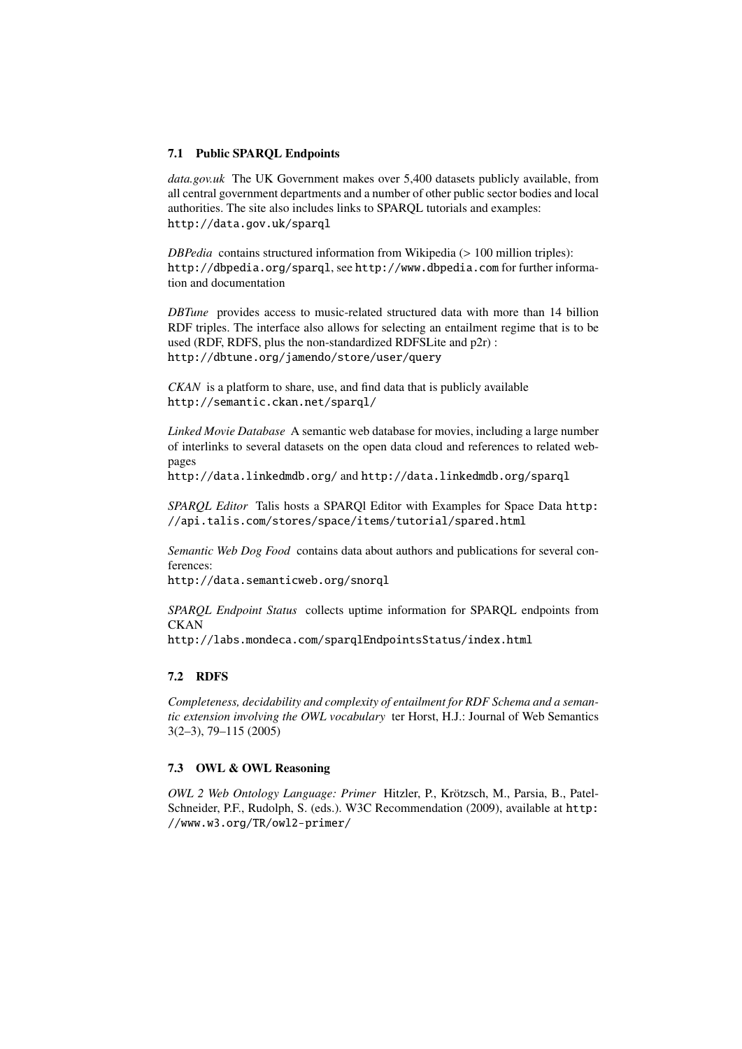### 7.1 Public SPARQL Endpoints

*data.gov.uk* The UK Government makes over 5,400 datasets publicly available, from all central government departments and a number of other public sector bodies and local authorities. The site also includes links to SPARQL tutorials and examples: http://data.gov.uk/sparql

*DBPedia* contains structured information from Wikipedia (> 100 million triples): http://dbpedia.org/sparql, see http://www.dbpedia.com for further information and documentation

*DBTune* provides access to music-related structured data with more than 14 billion RDF triples. The interface also allows for selecting an entailment regime that is to be used (RDF, RDFS, plus the non-standardized RDFSLite and p2r) : http://dbtune.org/jamendo/store/user/query

*CKAN* is a platform to share, use, and find data that is publicly available http://semantic.ckan.net/sparql/

*Linked Movie Database* A semantic web database for movies, including a large number of interlinks to several datasets on the open data cloud and references to related webpages

http://data.linkedmdb.org/ and http://data.linkedmdb.org/sparql

*SPARQL Editor* Talis hosts a SPARQl Editor with Examples for Space Data http: //api.talis.com/stores/space/items/tutorial/spared.html

*Semantic Web Dog Food* contains data about authors and publications for several conferences:

http://data.semanticweb.org/snorql

*SPARQL Endpoint Status* collects uptime information for SPARQL endpoints from **CKAN** 

http://labs.mondeca.com/sparqlEndpointsStatus/index.html

# 7.2 RDFS

*Completeness, decidability and complexity of entailment for RDF Schema and a semantic extension involving the OWL vocabulary* ter Horst, H.J.: Journal of Web Semantics 3(2–3), 79–115 (2005)

### 7.3 OWL & OWL Reasoning

*OWL 2 Web Ontology Language: Primer* Hitzler, P., Krötzsch, M., Parsia, B., Patel-Schneider, P.F., Rudolph, S. (eds.). W3C Recommendation (2009), available at http: //www.w3.org/TR/owl2-primer/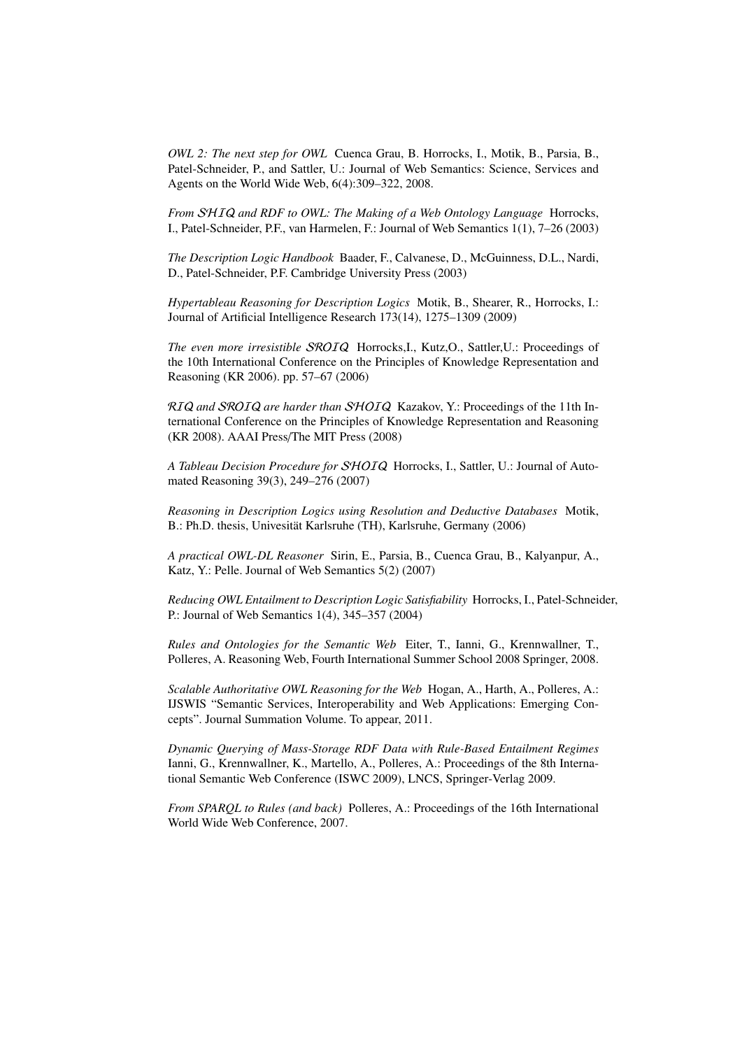*OWL 2: The next step for OWL* Cuenca Grau, B. Horrocks, I., Motik, B., Parsia, B., Patel-Schneider, P., and Sattler, U.: Journal of Web Semantics: Science, Services and Agents on the World Wide Web, 6(4):309–322, 2008.

*From* SHIQ *and RDF to OWL: The Making of a Web Ontology Language* Horrocks, I., Patel-Schneider, P.F., van Harmelen, F.: Journal of Web Semantics 1(1), 7–26 (2003)

*The Description Logic Handbook* Baader, F., Calvanese, D., McGuinness, D.L., Nardi, D., Patel-Schneider, P.F. Cambridge University Press (2003)

*Hypertableau Reasoning for Description Logics* Motik, B., Shearer, R., Horrocks, I.: Journal of Artificial Intelligence Research 173(14), 1275–1309 (2009)

*The even more irresistible* SROIQ Horrocks,I., Kutz,O., Sattler,U.: Proceedings of the 10th International Conference on the Principles of Knowledge Representation and Reasoning (KR 2006). pp. 57–67 (2006)

RIQ *and* SROIQ *are harder than* SHOIQ Kazakov, Y.: Proceedings of the 11th International Conference on the Principles of Knowledge Representation and Reasoning (KR 2008). AAAI Press/The MIT Press (2008)

*A Tableau Decision Procedure for* SHOIQ Horrocks, I., Sattler, U.: Journal of Automated Reasoning 39(3), 249–276 (2007)

*Reasoning in Description Logics using Resolution and Deductive Databases* Motik, B.: Ph.D. thesis, Univesität Karlsruhe (TH), Karlsruhe, Germany (2006)

*A practical OWL-DL Reasoner* Sirin, E., Parsia, B., Cuenca Grau, B., Kalyanpur, A., Katz, Y.: Pelle. Journal of Web Semantics 5(2) (2007)

*Reducing OWL Entailment to Description Logic Satisfiability* Horrocks, I., Patel-Schneider, P.: Journal of Web Semantics 1(4), 345–357 (2004)

*Rules and Ontologies for the Semantic Web* Eiter, T., Ianni, G., Krennwallner, T., Polleres, A. Reasoning Web, Fourth International Summer School 2008 Springer, 2008.

*Scalable Authoritative OWL Reasoning for the Web* Hogan, A., Harth, A., Polleres, A.: IJSWIS "Semantic Services, Interoperability and Web Applications: Emerging Concepts". Journal Summation Volume. To appear, 2011.

*Dynamic Querying of Mass-Storage RDF Data with Rule-Based Entailment Regimes* Ianni, G., Krennwallner, K., Martello, A., Polleres, A.: Proceedings of the 8th International Semantic Web Conference (ISWC 2009), LNCS, Springer-Verlag 2009.

*From SPARQL to Rules (and back)* Polleres, A.: Proceedings of the 16th International World Wide Web Conference, 2007.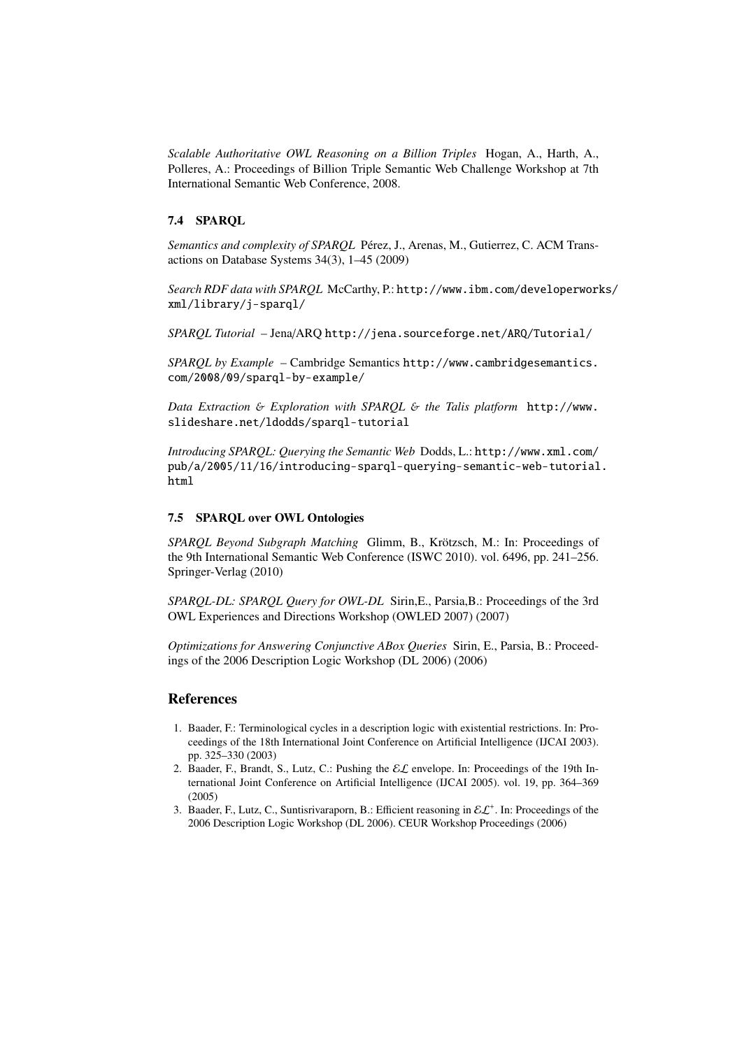*Scalable Authoritative OWL Reasoning on a Billion Triples* Hogan, A., Harth, A., Polleres, A.: Proceedings of Billion Triple Semantic Web Challenge Workshop at 7th International Semantic Web Conference, 2008.

#### 7.4 SPARQL

*Semantics and complexity of SPARQL* Pérez, J., Arenas, M., Gutierrez, C. ACM Transactions on Database Systems 34(3), 1–45 (2009)

*Search RDF data with SPARQL* McCarthy, P.: http://www.ibm.com/developerworks/ xml/library/j-sparql/

*SPARQL Tutorial* – Jena/ARQ http://jena.sourceforge.net/ARQ/Tutorial/

*SPARQL by Example* – Cambridge Semantics http://www.cambridgesemantics. com/2008/09/sparql-by-example/

*Data Extraction* & *Exploration with SPARQL* & *the Talis platform* http://www. slideshare.net/ldodds/sparql-tutorial

*Introducing SPARQL: Querying the Semantic Web* Dodds, L.: http://www.xml.com/ pub/a/2005/11/16/introducing-sparql-querying-semantic-web-tutorial. html

## 7.5 SPARQL over OWL Ontologies

*SPARQL Beyond Subgraph Matching* Glimm, B., Krötzsch, M.: In: Proceedings of the 9th International Semantic Web Conference (ISWC 2010). vol. 6496, pp. 241–256. Springer-Verlag (2010)

*SPARQL-DL: SPARQL Query for OWL-DL* Sirin,E., Parsia,B.: Proceedings of the 3rd OWL Experiences and Directions Workshop (OWLED 2007) (2007)

*Optimizations for Answering Conjunctive ABox Queries* Sirin, E., Parsia, B.: Proceedings of the 2006 Description Logic Workshop (DL 2006) (2006)

## References

- 1. Baader, F.: Terminological cycles in a description logic with existential restrictions. In: Proceedings of the 18th International Joint Conference on Artificial Intelligence (IJCAI 2003). pp. 325–330 (2003)
- 2. Baader, F., Brandt, S., Lutz, C.: Pushing the  $\mathcal{EL}$  envelope. In: Proceedings of the 19th International Joint Conference on Artificial Intelligence (IJCAI 2005). vol. 19, pp. 364–369 (2005)
- 3. Baader, F., Lutz, C., Suntisrivaraporn, B.: Efficient reasoning in  $\mathcal{EL}^+$ . In: Proceedings of the 2006 Description Logic Workshop (DL 2006). CEUR Workshop Proceedings (2006)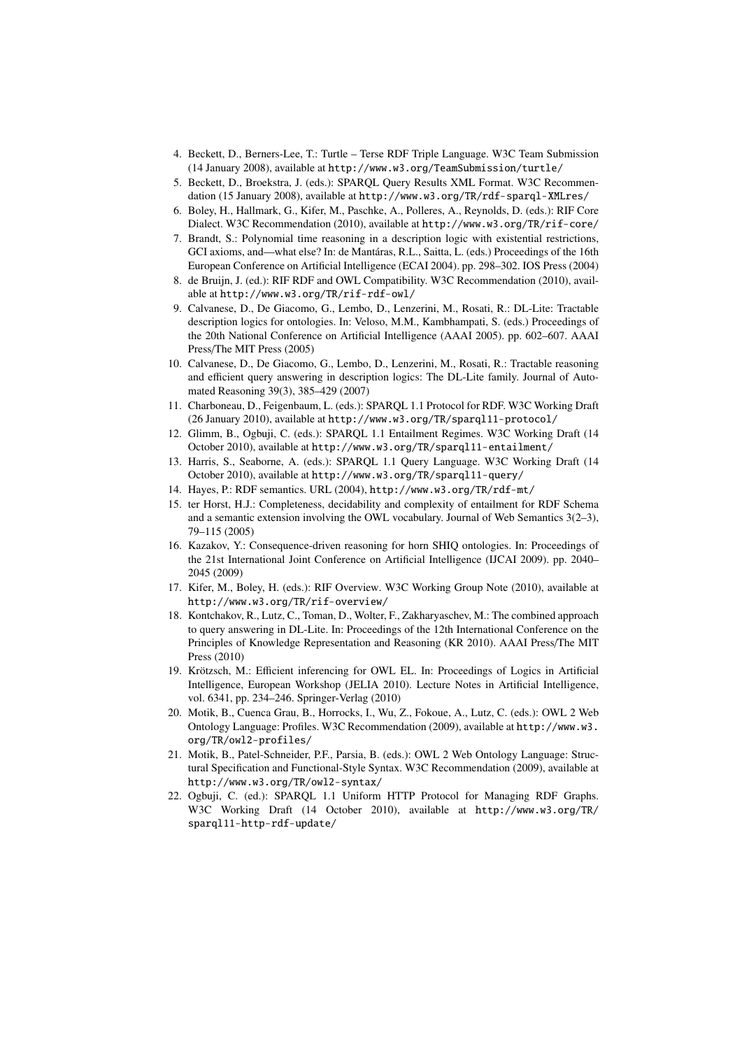- 4. Beckett, D., Berners-Lee, T.: Turtle Terse RDF Triple Language. W3C Team Submission (14 January 2008), available at http://www.w3.org/TeamSubmission/turtle/
- 5. Beckett, D., Broekstra, J. (eds.): SPARQL Query Results XML Format. W3C Recommendation (15 January 2008), available at http://www.w3.org/TR/rdf-sparql-XMLres/
- 6. Boley, H., Hallmark, G., Kifer, M., Paschke, A., Polleres, A., Reynolds, D. (eds.): RIF Core Dialect. W3C Recommendation (2010), available at http://www.w3.org/TR/rif-core/
- 7. Brandt, S.: Polynomial time reasoning in a description logic with existential restrictions, GCI axioms, and—what else? In: de Mantáras, R.L., Saitta, L. (eds.) Proceedings of the 16th European Conference on Artificial Intelligence (ECAI 2004). pp. 298–302. IOS Press (2004)
- 8. de Bruijn, J. (ed.): RIF RDF and OWL Compatibility. W3C Recommendation (2010), available at http://www.w3.org/TR/rif-rdf-owl/
- 9. Calvanese, D., De Giacomo, G., Lembo, D., Lenzerini, M., Rosati, R.: DL-Lite: Tractable description logics for ontologies. In: Veloso, M.M., Kambhampati, S. (eds.) Proceedings of the 20th National Conference on Artificial Intelligence (AAAI 2005). pp. 602–607. AAAI Press/The MIT Press (2005)
- 10. Calvanese, D., De Giacomo, G., Lembo, D., Lenzerini, M., Rosati, R.: Tractable reasoning and efficient query answering in description logics: The DL-Lite family. Journal of Automated Reasoning 39(3), 385–429 (2007)
- 11. Charboneau, D., Feigenbaum, L. (eds.): SPARQL 1.1 Protocol for RDF. W3C Working Draft (26 January 2010), available at http://www.w3.org/TR/sparql11-protocol/
- 12. Glimm, B., Ogbuji, C. (eds.): SPARQL 1.1 Entailment Regimes. W3C Working Draft (14 October 2010), available at http://www.w3.org/TR/sparql11-entailment/
- 13. Harris, S., Seaborne, A. (eds.): SPARQL 1.1 Query Language. W3C Working Draft (14 October 2010), available at http://www.w3.org/TR/sparql11-query/
- 14. Hayes, P.: RDF semantics. URL (2004), http://www.w3.org/TR/rdf-mt/
- 15. ter Horst, H.J.: Completeness, decidability and complexity of entailment for RDF Schema and a semantic extension involving the OWL vocabulary. Journal of Web Semantics 3(2–3), 79–115 (2005)
- 16. Kazakov, Y.: Consequence-driven reasoning for horn SHIQ ontologies. In: Proceedings of the 21st International Joint Conference on Artificial Intelligence (IJCAI 2009). pp. 2040– 2045 (2009)
- 17. Kifer, M., Boley, H. (eds.): RIF Overview. W3C Working Group Note (2010), available at http://www.w3.org/TR/rif-overview/
- 18. Kontchakov, R., Lutz, C., Toman, D., Wolter, F., Zakharyaschev, M.: The combined approach to query answering in DL-Lite. In: Proceedings of the 12th International Conference on the Principles of Knowledge Representation and Reasoning (KR 2010). AAAI Press/The MIT Press (2010)
- 19. Krötzsch, M.: Efficient inferencing for OWL EL. In: Proceedings of Logics in Artificial Intelligence, European Workshop (JELIA 2010). Lecture Notes in Artificial Intelligence, vol. 6341, pp. 234–246. Springer-Verlag (2010)
- 20. Motik, B., Cuenca Grau, B., Horrocks, I., Wu, Z., Fokoue, A., Lutz, C. (eds.): OWL 2 Web Ontology Language: Profiles. W3C Recommendation (2009), available at http://www.w3. org/TR/owl2-profiles/
- 21. Motik, B., Patel-Schneider, P.F., Parsia, B. (eds.): OWL 2 Web Ontology Language: Structural Specification and Functional-Style Syntax. W3C Recommendation (2009), available at http://www.w3.org/TR/owl2-syntax/
- 22. Ogbuji, C. (ed.): SPARQL 1.1 Uniform HTTP Protocol for Managing RDF Graphs. W3C Working Draft (14 October 2010), available at http://www.w3.org/TR/ sparql11-http-rdf-update/